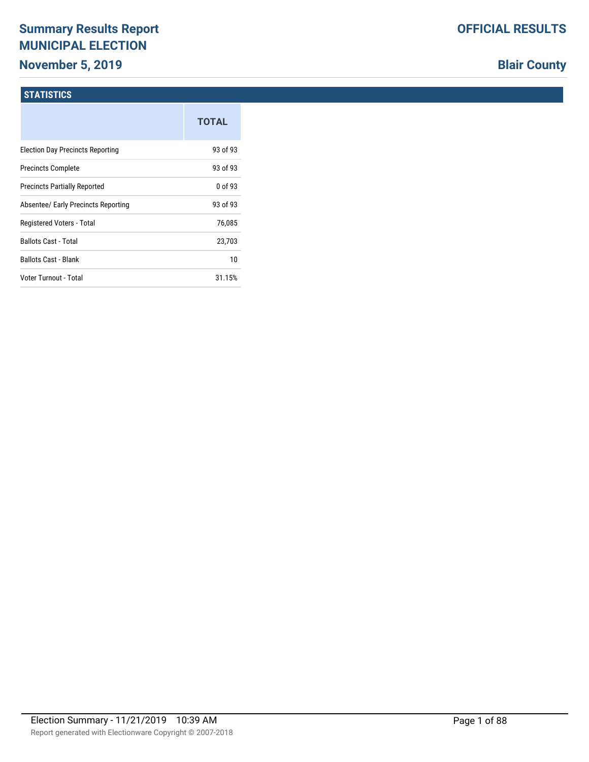# **Summary Results Report MUNICIPAL ELECTION**

# **Blair County**

# **STATISTICS**

|                                         | <b>TOTAL</b> |
|-----------------------------------------|--------------|
| <b>Election Day Precincts Reporting</b> | 93 of 93     |
| <b>Precincts Complete</b>               | 93 of 93     |
| <b>Precincts Partially Reported</b>     | 0 of 93      |
| Absentee/ Early Precincts Reporting     | 93 of 93     |
| Registered Voters - Total               | 76.085       |
| Ballots Cast - Total                    | 23,703       |
| Ballots Cast - Blank                    | 10           |
| Voter Turnout - Total                   | 31.15%       |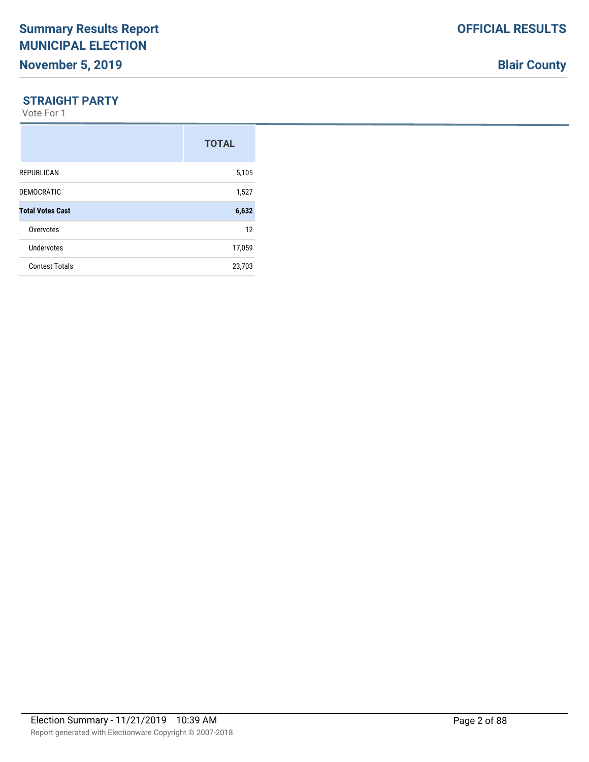# **November 5, 2019**

# **Blair County**

### **STRAIGHT PARTY**

|                         | <b>TOTAL</b> |
|-------------------------|--------------|
| REPUBLICAN              | 5,105        |
| <b>DEMOCRATIC</b>       | 1,527        |
| <b>Total Votes Cast</b> | 6,632        |
| Overvotes               | 12           |
| Undervotes              | 17,059       |
| <b>Contest Totals</b>   | 23,703       |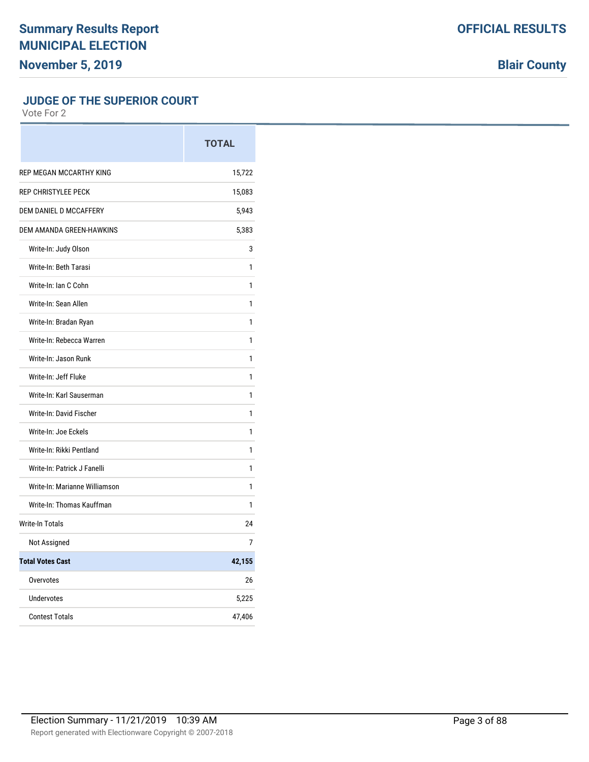### **JUDGE OF THE SUPERIOR COURT**

|                                 | <b>TOTAL</b> |
|---------------------------------|--------------|
| <b>REP MEGAN MCCARTHY KING</b>  | 15,722       |
| <b>REP CHRISTYLEE PECK</b>      | 15,083       |
| <b>DEM DANIEL D MCCAFFERY</b>   | 5,943        |
| <b>DEM AMANDA GREEN-HAWKINS</b> | 5,383        |
| Write-In: Judy Olson            | 3            |
| Write-In: Beth Tarasi           | 1            |
| Write-In: Ian C Cohn            | 1            |
| Write-In: Sean Allen            | 1            |
| Write-In: Bradan Ryan           | 1            |
| Write-In: Rebecca Warren        | 1            |
| Write-In: Jason Runk            | 1            |
| Write-In: Jeff Fluke            | 1            |
| Write-In: Karl Sauserman        | 1            |
| Write-In: David Fischer         | 1            |
| Write-In: Joe Eckels            | 1            |
| Write-In: Rikki Pentland        | 1            |
| Write-In: Patrick J Fanelli     | 1            |
| Write-In: Marianne Williamson   | 1            |
| Write-In: Thomas Kauffman       | 1            |
| <b>Write-In Totals</b>          | 24           |
| Not Assigned                    | 7            |
| <b>Total Votes Cast</b>         | 42,155       |
| Overvotes                       | 26           |
| <b>Undervotes</b>               | 5,225        |
| <b>Contest Totals</b>           | 47,406       |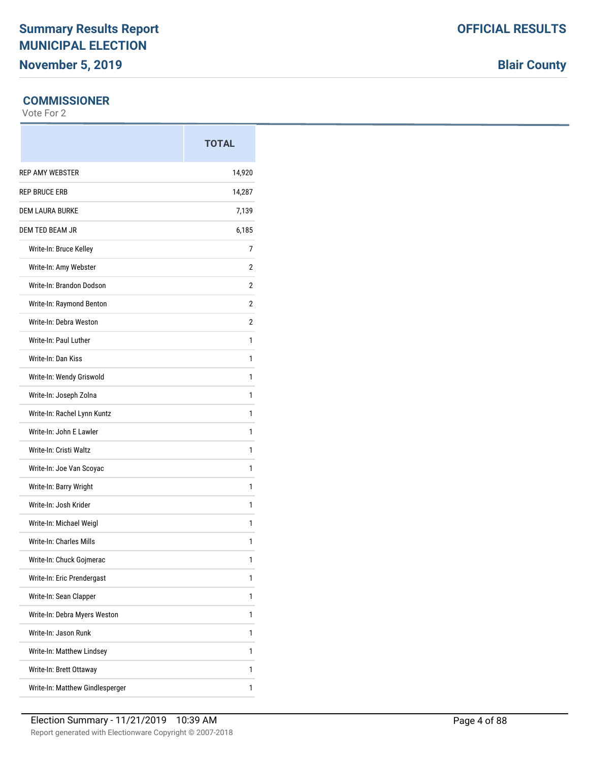### **COMMISSIONER**

|                                 | <b>TOTAL</b> |
|---------------------------------|--------------|
| <b>REP AMY WEBSTER</b>          | 14,920       |
| <b>REP BRUCE ERB</b>            | 14,287       |
| <b>DEM LAURA BURKE</b>          | 7,139        |
| DEM TED BEAM JR                 | 6,185        |
| Write-In: Bruce Kelley          | 7            |
| Write-In: Amy Webster           | 2            |
| Write-In: Brandon Dodson        | 2            |
| Write-In: Raymond Benton        | 2            |
| Write-In: Debra Weston          | 2            |
| Write-In: Paul Luther           | 1            |
| Write-In: Dan Kiss              | 1            |
| Write-In: Wendy Griswold        | 1            |
| Write-In: Joseph Zolna          | 1            |
| Write-In: Rachel Lynn Kuntz     | 1            |
| Write-In: John E Lawler         | 1            |
| Write-In: Cristi Waltz          | 1            |
| Write-In: Joe Van Scoyac        | 1            |
| Write-In: Barry Wright          | 1            |
| Write-In: Josh Krider           | 1            |
| Write-In: Michael Weigl         | 1            |
| <b>Write-In: Charles Mills</b>  | 1            |
| Write-In: Chuck Gojmerac        | 1            |
| Write-In: Eric Prendergast      | 1            |
| Write-In: Sean Clapper          | 1            |
| Write-In: Debra Myers Weston    | 1            |
| Write-In: Jason Runk            | 1            |
| Write-In: Matthew Lindsey       | 1            |
| Write-In: Brett Ottaway         | 1            |
| Write-In: Matthew Gindlesperger | 1            |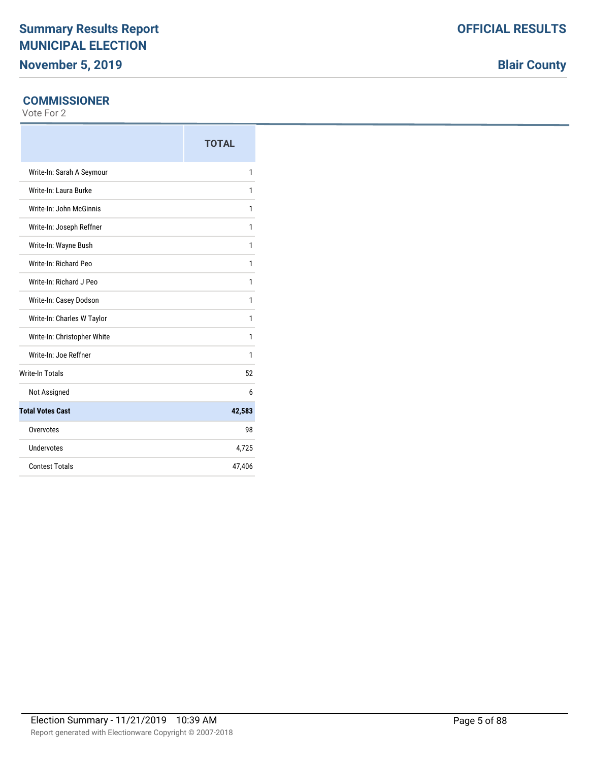### **COMMISSIONER**

|                             | <b>TOTAL</b> |
|-----------------------------|--------------|
| Write-In: Sarah A Seymour   | 1            |
| Write-In: Laura Burke       | 1            |
| Write-In: John McGinnis     | 1            |
| Write-In: Joseph Reffner    | 1            |
| Write-In: Wayne Bush        | 1            |
| Write-In: Richard Peo       | 1            |
| Write-In: Richard J Peo     | 1            |
| Write-In: Casey Dodson      | 1            |
| Write-In: Charles W Taylor  | 1            |
| Write-In: Christopher White | 1            |
| Write-In: Joe Reffner       | 1            |
| <b>Write-In Totals</b>      | 52           |
| Not Assigned                | 6            |
| <b>Total Votes Cast</b>     | 42,583       |
| Overvotes                   | 98           |
| Undervotes                  | 4,725        |
| <b>Contest Totals</b>       | 47,406       |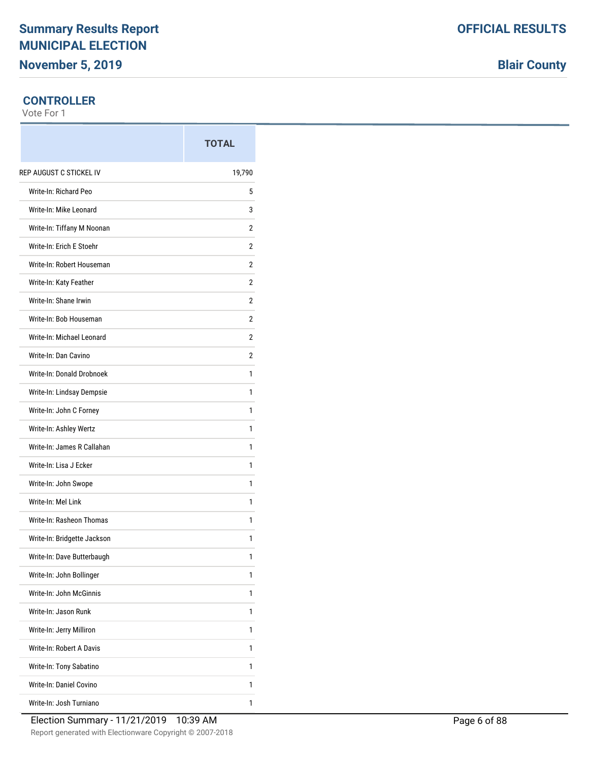# **CONTROLLER**

|                                | <b>TOTAL</b> |
|--------------------------------|--------------|
| <b>REP AUGUST C STICKEL IV</b> | 19,790       |
| Write-In: Richard Peo          | 5            |
| Write-In: Mike Leonard         | 3            |
| Write-In: Tiffany M Noonan     | 2            |
| Write-In: Erich E Stoehr       | 2            |
| Write-In: Robert Houseman      | 2            |
| Write-In: Katy Feather         | 2            |
| Write-In: Shane Irwin          | 2            |
| Write-In: Bob Houseman         | 2            |
| Write-In: Michael Leonard      | 2            |
| Write-In: Dan Cavino           | 2            |
| Write-In: Donald Drobnoek      | 1            |
| Write-In: Lindsay Dempsie      | 1            |
| Write-In: John C Forney        | 1            |
| Write-In: Ashley Wertz         | 1            |
| Write-In: James R Callahan     | 1            |
| Write-In: Lisa J Ecker         | 1            |
| Write-In: John Swope           | 1            |
| Write-In: Mel Link             | 1            |
| Write-In: Rasheon Thomas       | 1            |
| Write-In: Bridgette Jackson    | 1            |
| Write-In: Dave Butterbaugh     | 1            |
| Write-In: John Bollinger       | 1            |
| Write-In: John McGinnis        | 1            |
| Write-In: Jason Runk           | 1            |
| Write-In: Jerry Milliron       | 1            |
| Write-In: Robert A Davis       | 1            |
| Write-In: Tony Sabatino        | 1            |
| Write-In: Daniel Covino        | 1            |
| Write-In: Josh Turniano        | 1            |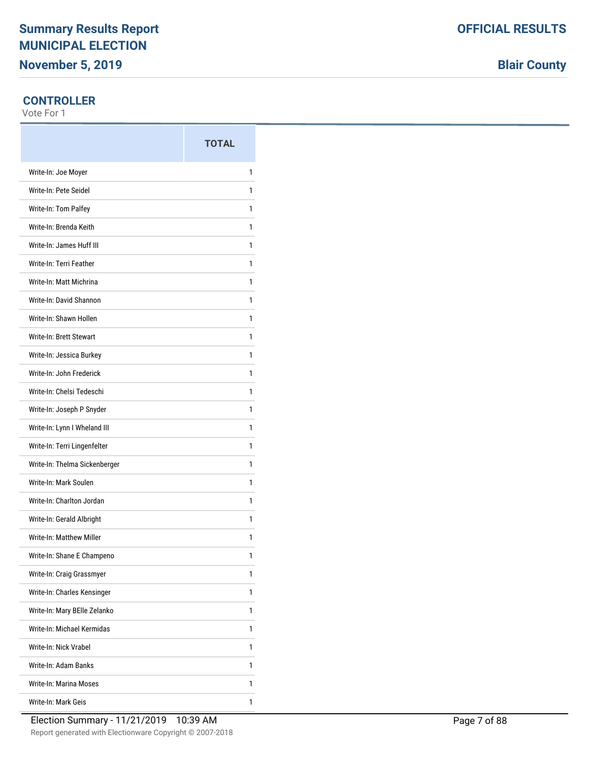# **OFFICIAL RESULTS**

**Blair County**

# **CONTROLLER**

|                               | <b>TOTAL</b> |
|-------------------------------|--------------|
| Write-In: Joe Moyer           | 1            |
| Write-In: Pete Seidel         | 1            |
| Write-In: Tom Palfey          | 1            |
| Write-In: Brenda Keith        | 1            |
| Write-In: James Huff III      | 1            |
| Write-In: Terri Feather       | 1            |
| Write-In: Matt Michrina       | 1            |
| Write-In: David Shannon       | 1            |
| Write-In: Shawn Hollen        | 1            |
| Write-In: Brett Stewart       | 1            |
| Write-In: Jessica Burkey      | 1            |
| Write-In: John Frederick      | 1            |
| Write-In: Chelsi Tedeschi     | 1            |
| Write-In: Joseph P Snyder     | 1            |
| Write-In: Lynn I Wheland III  | 1            |
| Write-In: Terri Lingenfelter  | 1            |
| Write-In: Thelma Sickenberger | 1            |
| Write-In: Mark Soulen         | 1            |
| Write-In: Charlton Jordan     | 1            |
| Write-In: Gerald Albright     | 1            |
| Write-In: Matthew Miller      | 1            |
| Write-In: Shane E Champeno    | 1            |
| Write-In: Craig Grassmyer     | 1            |
| Write-In: Charles Kensinger   | 1            |
| Write-In: Mary BElle Zelanko  | 1            |
| Write-In: Michael Kermidas    | 1            |
| Write-In: Nick Vrabel         | 1            |
| Write-In: Adam Banks          | 1            |
| Write-In: Marina Moses        | 1            |
| Write-In: Mark Geis           | 1            |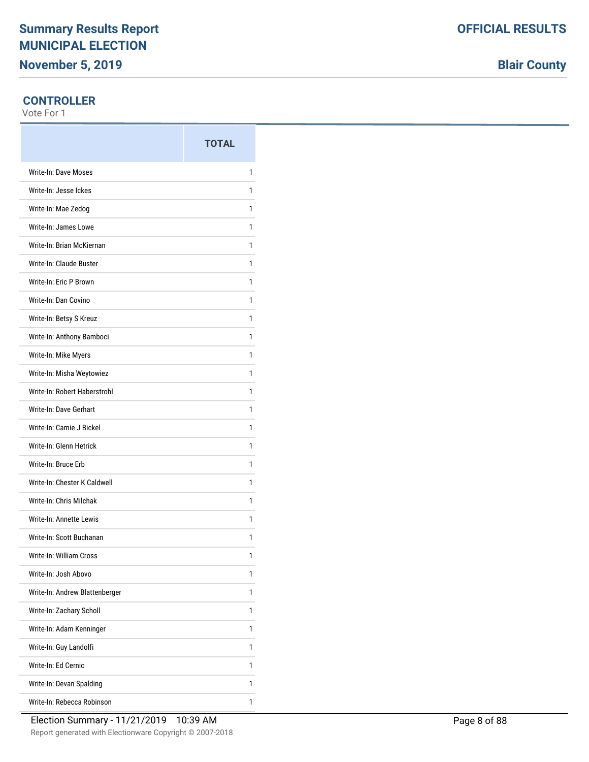# **CONTROLLER**

|                                | <b>TOTAL</b> |
|--------------------------------|--------------|
| Write-In: Dave Moses           | 1            |
| Write-In: Jesse Ickes          | 1            |
| Write-In: Mae Zedog            | 1            |
| Write-In: James Lowe           | 1            |
| Write-In: Brian McKiernan      | 1            |
| Write-In: Claude Buster        | 1            |
| Write-In: Eric P Brown         | 1            |
| Write-In: Dan Covino           | 1            |
| Write-In: Betsy S Kreuz        | 1            |
| Write-In: Anthony Bamboci      | 1            |
| Write-In: Mike Myers           | 1            |
| Write-In: Misha Weytowiez      | 1            |
| Write-In: Robert Haberstrohl   | 1            |
| Write-In: Dave Gerhart         | 1            |
| Write-In: Camie J Bickel       | 1            |
| Write-In: Glenn Hetrick        | 1            |
| Write-In: Bruce Erb            | 1            |
| Write-In: Chester K Caldwell   | 1            |
| Write-In: Chris Milchak        | 1            |
| Write-In: Annette Lewis        | 1            |
| Write-In: Scott Buchanan       | 1            |
| Write-In: William Cross        | 1            |
| Write-In: Josh Abovo           | 1            |
| Write-In: Andrew Blattenberger | 1            |
| Write-In: Zachary Scholl       | 1            |
| Write-In: Adam Kenninger       | 1            |
| Write-In: Guy Landolfi         | 1            |
| Write-In: Ed Cernic            | 1            |
| Write-In: Devan Spalding       | 1            |
| Write-In: Rebecca Robinson     | 1            |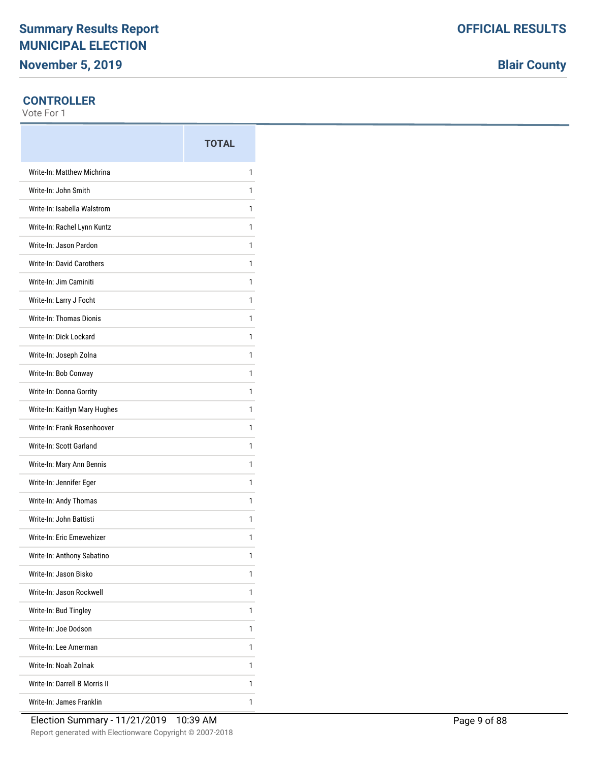# **CONTROLLER**

|                               | <b>TOTAL</b> |
|-------------------------------|--------------|
| Write-In: Matthew Michrina    | 1            |
| Write-In: John Smith          | 1            |
| Write-In: Isabella Walstrom   | 1            |
| Write-In: Rachel Lynn Kuntz   | 1            |
| Write-In: Jason Pardon        | 1            |
| Write-In: David Carothers     | 1            |
| Write-In: Jim Caminiti        | 1            |
| Write-In: Larry J Focht       | 1            |
| Write-In: Thomas Dionis       | 1            |
| Write-In: Dick Lockard        | 1            |
| Write-In: Joseph Zolna        | 1            |
| Write-In: Bob Conway          | 1            |
| Write-In: Donna Gorrity       | 1            |
| Write-In: Kaitlyn Mary Hughes | 1            |
| Write-In: Frank Rosenhoover   | 1            |
| Write-In: Scott Garland       | 1            |
| Write-In: Mary Ann Bennis     | 1            |
| Write-In: Jennifer Eger       | 1            |
| Write-In: Andy Thomas         | 1            |
| Write-In: John Battisti       | 1            |
| Write-In: Eric Emewehizer     | 1            |
| Write-In: Anthony Sabatino    | 1            |
| Write-In: Jason Bisko         | 1            |
| Write-In: Jason Rockwell      | 1            |
| Write-In: Bud Tingley         | 1            |
| Write-In: Joe Dodson          | 1            |
| Write-In: Lee Amerman         | 1            |
| Write-In: Noah Zolnak         | 1            |
| Write-In: Darrell B Morris II | 1            |
| Write-In: James Franklin      | 1            |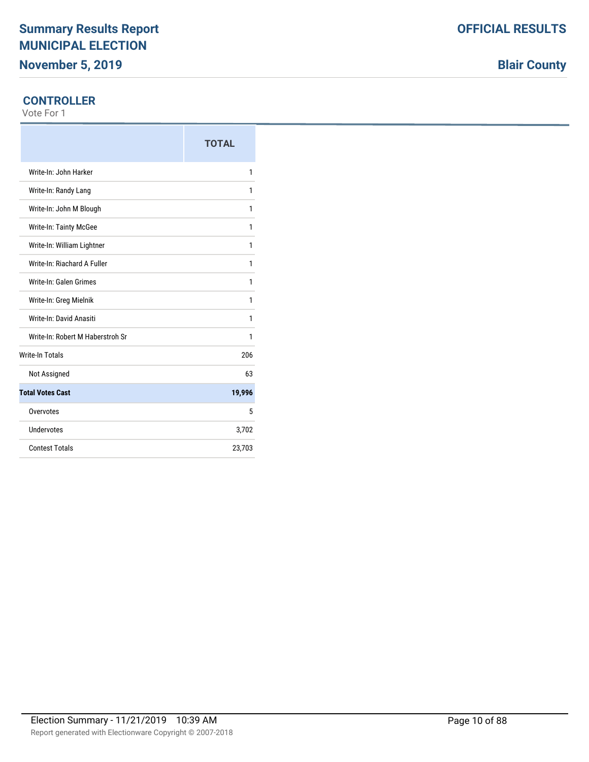# **CONTROLLER**

|                                  | <b>TOTAL</b> |
|----------------------------------|--------------|
| Write-In: John Harker            | 1            |
| Write-In: Randy Lang             | 1            |
| Write-In: John M Blough          | 1            |
| Write-In: Tainty McGee           | 1            |
| Write-In: William Lightner       | 1            |
| Write-In: Riachard A Fuller      | 1            |
| Write-In: Galen Grimes           | 1            |
| Write-In: Greg Mielnik           | 1            |
| Write-In: David Anasiti          | 1            |
| Write-In: Robert M Haberstroh Sr | 1            |
| <b>Write-In Totals</b>           | 206          |
| Not Assigned                     | 63           |
| <b>Total Votes Cast</b>          | 19,996       |
| Overvotes                        | 5            |
| Undervotes                       | 3,702        |
| <b>Contest Totals</b>            | 23,703       |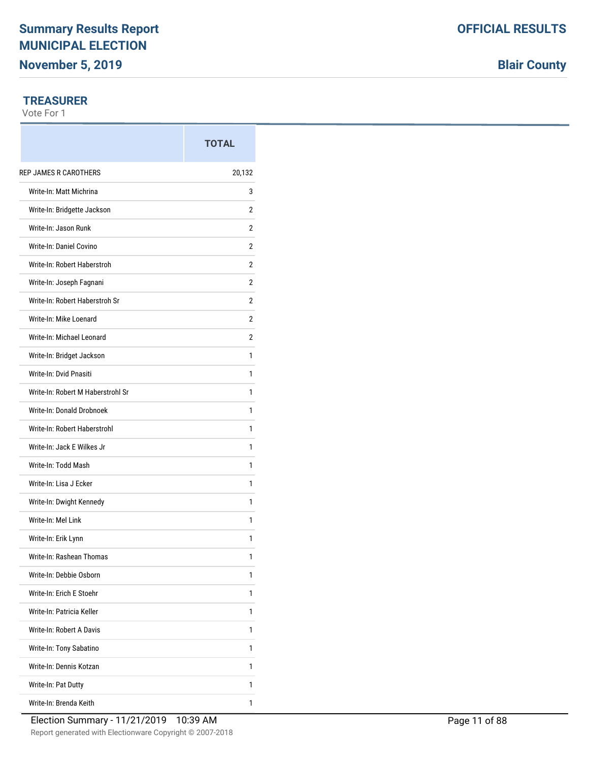### **TREASURER**

|                                   | <b>TOTAL</b> |
|-----------------------------------|--------------|
| <b>REP JAMES R CAROTHERS</b>      | 20,132       |
| Write-In: Matt Michrina           | 3            |
| Write-In: Bridgette Jackson       | 2            |
| Write-In: Jason Runk              | 2            |
| Write-In: Daniel Covino           | 2            |
| Write-In: Robert Haberstroh       | 2            |
| Write-In: Joseph Fagnani          | 2            |
| Write-In: Robert Haberstroh Sr    | 2            |
| Write-In: Mike Loenard            | 2            |
| Write-In: Michael Leonard         | 2            |
| Write-In: Bridget Jackson         | 1            |
| Write-In: Dvid Pnasiti            | 1            |
| Write-In: Robert M Haberstrohl Sr | 1            |
| Write-In: Donald Drobnoek         | 1            |
| Write-In: Robert Haberstrohl      | 1            |
| Write-In: Jack E Wilkes Jr        | 1            |
| Write-In: Todd Mash               | 1            |
| Write-In: Lisa J Ecker            | 1            |
| Write-In: Dwight Kennedy          | 1            |
| Write-In: Mel Link                | 1            |
| Write-In: Erik Lynn               | 1            |
| Write-In: Rashean Thomas          | 1            |
| Write-In: Debbie Osborn           | 1            |
| Write-In: Erich E Stoehr          | 1            |
| Write-In: Patricia Keller         | 1            |
| Write-In: Robert A Davis          | 1            |
| Write-In: Tony Sabatino           | 1            |
| Write-In: Dennis Kotzan           | 1            |
| Write-In: Pat Dutty               | 1            |
| Write-In: Brenda Keith            | 1            |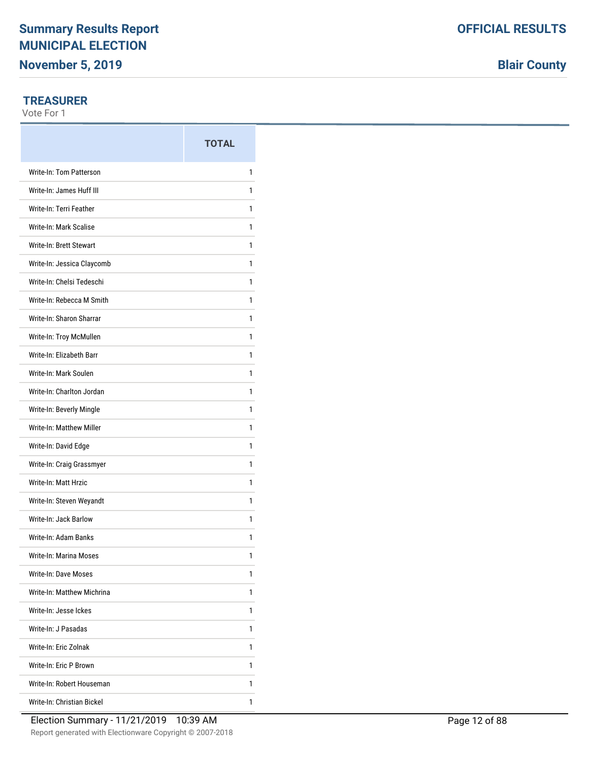### **TREASURER**

|                             | <b>TOTAL</b> |
|-----------------------------|--------------|
| Write-In: Tom Patterson     | 1            |
| Write-In: James Huff III    | 1            |
| Write-In: Terri Feather     | 1            |
| Write-In: Mark Scalise      | 1            |
| Write-In: Brett Stewart     | 1            |
| Write-In: Jessica Claycomb  | 1            |
| Write-In: Chelsi Tedeschi   | 1            |
| Write-In: Rebecca M Smith   | 1            |
| Write-In: Sharon Sharrar    | 1            |
| Write-In: Troy McMullen     | 1            |
| Write-In: Elizabeth Barr    | 1            |
| Write-In: Mark Soulen       | 1            |
| Write-In: Charlton Jordan   | 1            |
| Write-In: Beverly Mingle    | 1            |
| Write-In: Matthew Miller    | 1            |
| Write-In: David Edge        | 1            |
| Write-In: Craig Grassmyer   | 1            |
| Write-In: Matt Hrzic        | 1            |
| Write-In: Steven Weyandt    | 1            |
| Write-In: Jack Barlow       | 1            |
| Write-In: Adam Banks        | 1            |
| Write-In: Marina Moses      | 1            |
| <b>Write-In: Dave Moses</b> | 1            |
| Write-In: Matthew Michrina  | 1            |
| Write-In: Jesse Ickes       | 1            |
| Write-In: J Pasadas         | 1            |
| Write-In: Eric Zolnak       | 1            |
| Write-In: Eric P Brown      | 1            |
| Write-In: Robert Houseman   | 1            |
| Write-In: Christian Bickel  | 1            |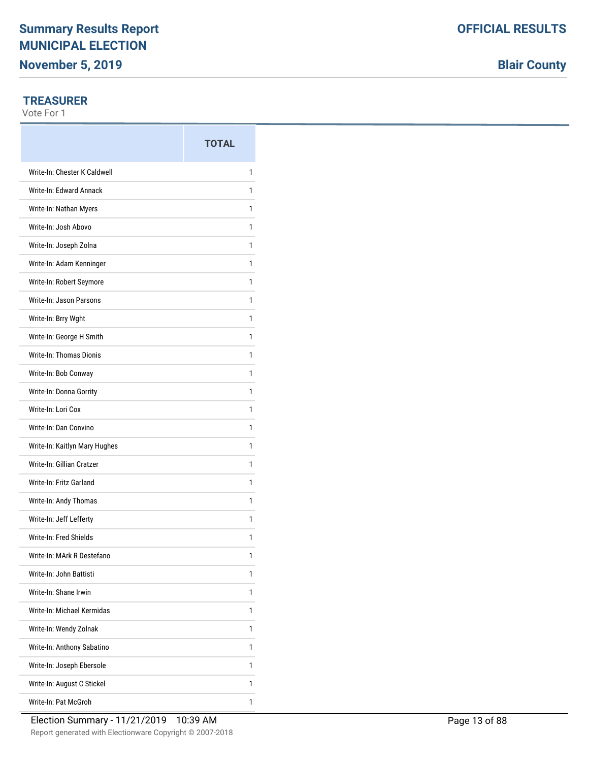### **TREASURER**

|                               | <b>TOTAL</b> |
|-------------------------------|--------------|
| Write-In: Chester K Caldwell  | 1            |
| Write-In: Edward Annack       | 1            |
| Write-In: Nathan Myers        | 1            |
| Write-In: Josh Abovo          | 1            |
| Write-In: Joseph Zolna        | 1            |
| Write-In: Adam Kenninger      | 1            |
| Write-In: Robert Seymore      | 1            |
| Write-In: Jason Parsons       | 1            |
| Write-In: Brry Wght           | 1            |
| Write-In: George H Smith      | 1            |
| Write-In: Thomas Dionis       | 1            |
| Write-In: Bob Conway          | 1            |
| Write-In: Donna Gorrity       | 1            |
| Write-In: Lori Cox            | 1            |
| Write-In: Dan Convino         | 1            |
| Write-In: Kaitlyn Mary Hughes | 1            |
| Write-In: Gillian Cratzer     | 1            |
| Write-In: Fritz Garland       | 1            |
| Write-In: Andy Thomas         | 1            |
| Write-In: Jeff Lefferty       | 1            |
| Write-In: Fred Shields        | 1            |
| Write-In: MArk R Destefano    | 1            |
| Write-In: John Battisti       | 1            |
| Write-In: Shane Irwin         | 1            |
| Write-In: Michael Kermidas    | 1            |
| Write-In: Wendy Zolnak        | 1            |
| Write-In: Anthony Sabatino    | 1            |
| Write-In: Joseph Ebersole     | 1            |
| Write-In: August C Stickel    | 1            |
| Write-In: Pat McGroh          | 1            |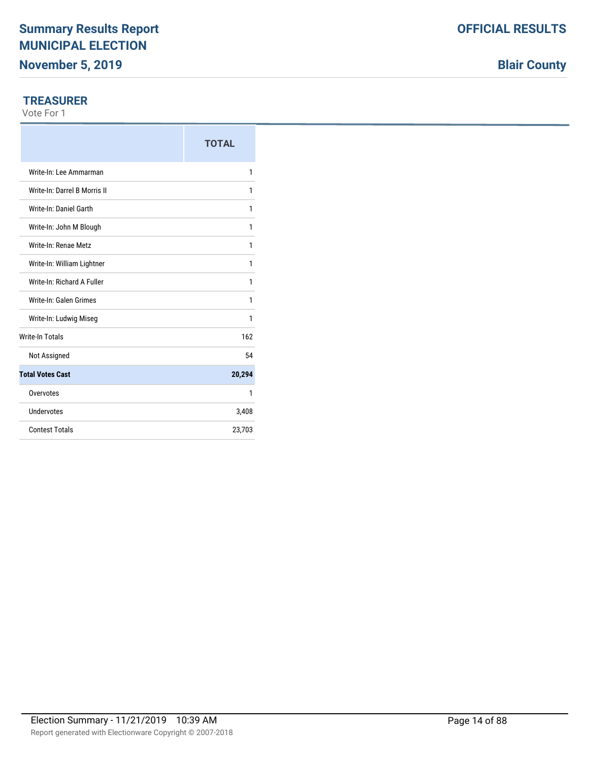### **TREASURER**

|                              | <b>TOTAL</b> |
|------------------------------|--------------|
| Write-In: Lee Ammarman       | 1            |
| Write-In: Darrel B Morris II | 1            |
| Write-In: Daniel Garth       | 1            |
| Write-In: John M Blough      | 1            |
| Write-In: Renae Metz         | 1            |
| Write-In: William Lightner   | 1            |
| Write-In: Richard A Fuller   | 1            |
| Write-In: Galen Grimes       | 1            |
| Write-In: Ludwig Miseg       | 1            |
| <b>Write-In Totals</b>       | 162          |
| Not Assigned                 | 54           |
| <b>Total Votes Cast</b>      | 20,294       |
| Overvotes                    | 1            |
| Undervotes                   | 3,408        |
| <b>Contest Totals</b>        | 23,703       |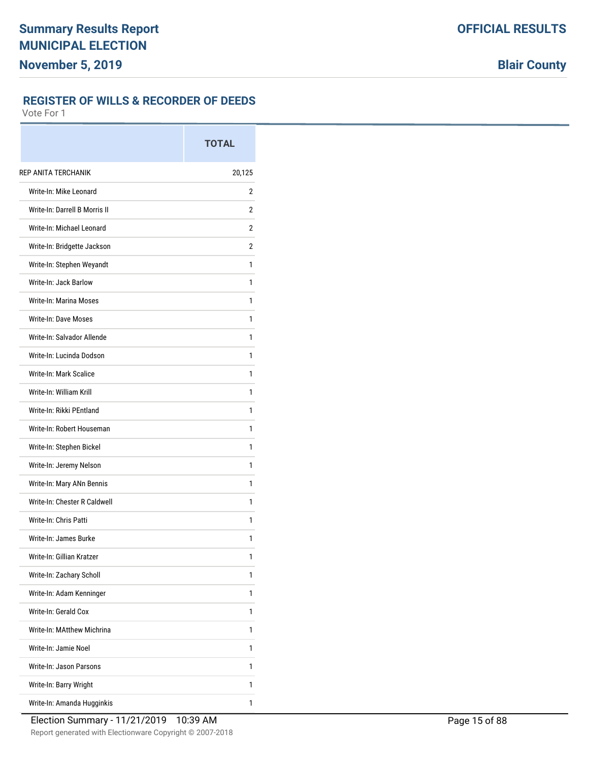# **REGISTER OF WILLS & RECORDER OF DEEDS**

|                               | <b>TOTAL</b> |
|-------------------------------|--------------|
| <b>REP ANITA TERCHANIK</b>    | 20,125       |
| Write-In: Mike Leonard        | 2            |
| Write-In: Darrell B Morris II | 2            |
| Write-In: Michael Leonard     | 2            |
| Write-In: Bridgette Jackson   | 2            |
| Write-In: Stephen Weyandt     | 1            |
| Write-In: Jack Barlow         | 1            |
| Write-In: Marina Moses        | 1            |
| Write-In: Dave Moses          | 1            |
| Write-In: Salvador Allende    | 1            |
| Write-In: Lucinda Dodson      | 1            |
| Write-In: Mark Scalice        | 1            |
| Write-In: William Krill       | 1            |
| Write-In: Rikki PEntland      | 1            |
| Write-In: Robert Houseman     | 1            |
| Write-In: Stephen Bickel      | 1            |
| Write-In: Jeremy Nelson       | 1            |
| Write-In: Mary ANn Bennis     | 1            |
| Write-In: Chester R Caldwell  | 1            |
| Write-In: Chris Patti         | 1            |
| Write-In: James Burke         | 1            |
| Write-In: Gillian Kratzer     |              |
| Write-In: Zachary Scholl      | 1            |
| Write-In: Adam Kenninger      | 1            |
| Write-In: Gerald Cox          | 1            |
| Write-In: MAtthew Michrina    | 1            |
| Write-In: Jamie Noel          | 1            |
| Write-In: Jason Parsons       | 1            |
| Write-In: Barry Wright        | 1            |
| Write-In: Amanda Hugginkis    | 1            |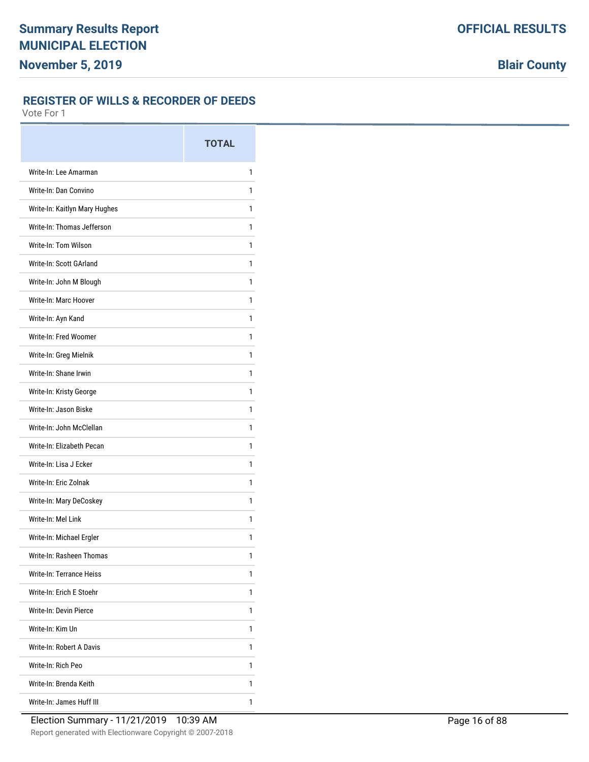# **REGISTER OF WILLS & RECORDER OF DEEDS**

|                               | <b>TOTAL</b> |
|-------------------------------|--------------|
| Write-In: Lee Amarman         | 1            |
| Write-In: Dan Convino         | 1            |
| Write-In: Kaitlyn Mary Hughes | 1            |
| Write-In: Thomas Jefferson    | 1            |
| Write-In: Tom Wilson          | 1            |
| Write-In: Scott GArland       | 1            |
| Write-In: John M Blough       | 1            |
| Write-In: Marc Hoover         | 1            |
| Write-In: Ayn Kand            | 1            |
| Write-In: Fred Woomer         | 1            |
| Write-In: Greg Mielnik        | 1            |
| Write-In: Shane Irwin         | 1            |
| Write-In: Kristy George       | 1            |
| Write-In: Jason Biske         | 1            |
| Write-In: John McClellan      | 1            |
| Write-In: Elizabeth Pecan     | 1            |
| Write-In: Lisa J Ecker        | 1            |
| Write-In: Eric Zolnak         | 1            |
| Write-In: Mary DeCoskey       | 1            |
| Write-In: Mel Link            | 1            |
| Write-In: Michael Ergler      | 1            |
| Write-In: Rasheen Thomas      | 1            |
| Write-In: Terrance Heiss      | 1            |
| Write-In: Erich E Stoehr      | 1            |
| Write-In: Devin Pierce        | 1            |
| Write-In: Kim Un              | 1            |
| Write-In: Robert A Davis      | 1            |
| Write-In: Rich Peo            | 1            |
| Write-In: Brenda Keith        | 1            |
| Write-In: James Huff III      | 1            |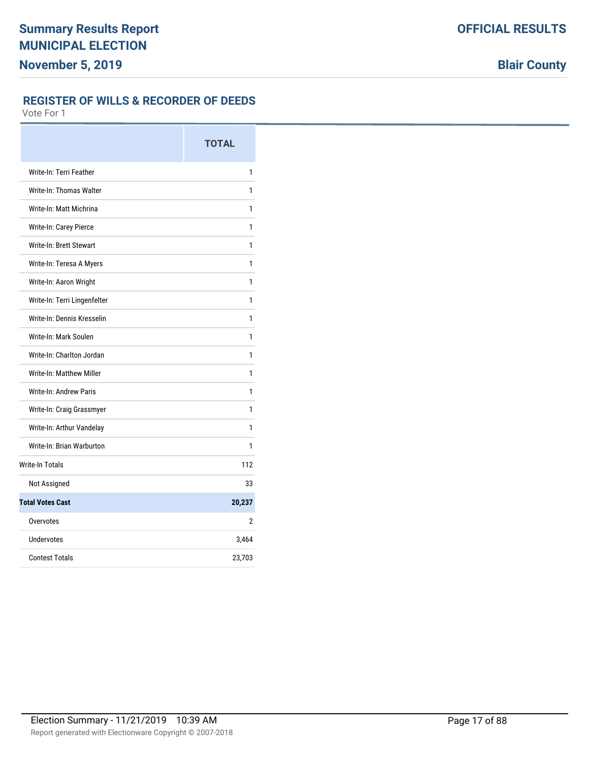# **REGISTER OF WILLS & RECORDER OF DEEDS**

|                               | <b>TOTAL</b> |
|-------------------------------|--------------|
| Write-In: Terri Feather       | 1            |
| Write-In: Thomas Walter       | 1            |
| Write-In: Matt Michrina       | 1            |
| Write-In: Carey Pierce        | 1            |
| Write-In: Brett Stewart       | 1            |
| Write-In: Teresa A Myers      | 1            |
| Write-In: Aaron Wright        | 1            |
| Write-In: Terri Lingenfelter  | 1            |
| Write-In: Dennis Kresselin    | 1            |
| Write-In: Mark Soulen         | 1            |
| Write-In: Charlton Jordan     | 1            |
| Write-In: Matthew Miller      | 1            |
| <b>Write-In: Andrew Paris</b> | 1            |
| Write-In: Craig Grassmyer     | 1            |
| Write-In: Arthur Vandelay     | 1            |
| Write-In: Brian Warburton     | 1            |
| <b>Write-In Totals</b>        | 112          |
| Not Assigned                  | 33           |
| <b>Total Votes Cast</b>       | 20,237       |
| Overvotes                     | 2            |
| <b>Undervotes</b>             | 3,464        |
| <b>Contest Totals</b>         | 23,703       |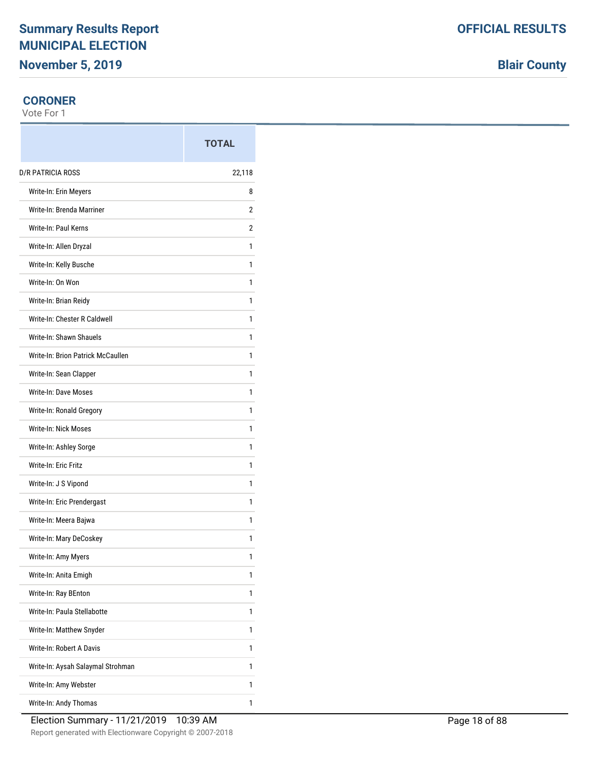# **CORONER**

|                                   | <b>TOTAL</b> |
|-----------------------------------|--------------|
| <b>D/R PATRICIA ROSS</b>          | 22,118       |
| Write-In: Erin Meyers             | 8            |
| Write-In: Brenda Marriner         | 2            |
| Write-In: Paul Kerns              | 2            |
| Write-In: Allen Dryzal            | 1            |
| Write-In: Kelly Busche            | 1            |
| Write-In: On Won                  | 1            |
| Write-In: Brian Reidy             | 1            |
| Write-In: Chester R Caldwell      | 1            |
| Write-In: Shawn Shauels           | 1            |
| Write-In: Brion Patrick McCaullen | 1            |
| Write-In: Sean Clapper            | 1            |
| Write-In: Dave Moses              | 1            |
| Write-In: Ronald Gregory          | 1            |
| <b>Write-In: Nick Moses</b>       | 1            |
| Write-In: Ashley Sorge            | 1            |
| Write-In: Eric Fritz              | 1            |
| Write-In: J S Vipond              | 1            |
| Write-In: Eric Prendergast        | 1            |
| Write-In: Meera Bajwa             | 1            |
| Write-In: Mary DeCoskey           | 1            |
| Write-In: Amy Myers               | 1            |
| Write-In: Anita Emigh             | 1            |
| Write-In: Ray BEnton              | 1            |
| Write-In: Paula Stellabotte       | 1            |
| Write-In: Matthew Snyder          | 1            |
| Write-In: Robert A Davis          | 1            |
| Write-In: Aysah Salaymal Strohman | 1            |
| Write-In: Amy Webster             | 1            |
| Write-In: Andy Thomas             | 1            |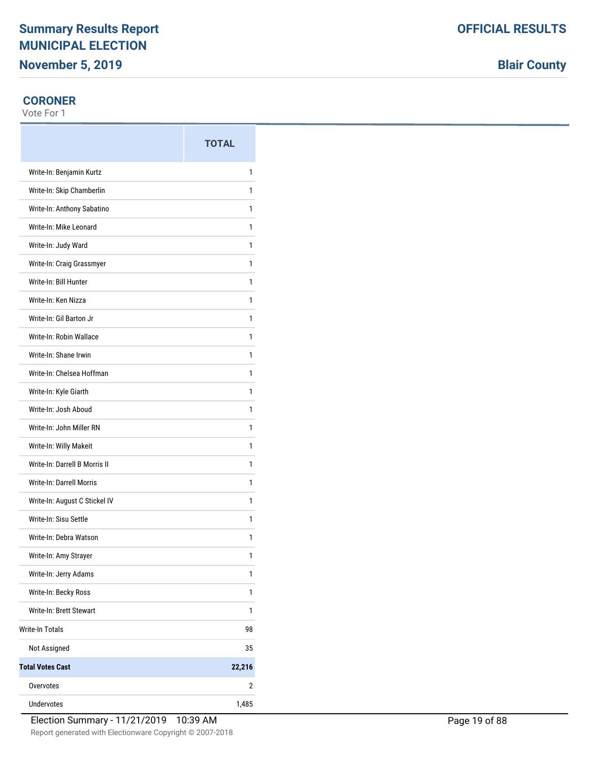### **CORONER**

|                                 | <b>TOTAL</b> |
|---------------------------------|--------------|
| Write-In: Benjamin Kurtz        | 1            |
| Write-In: Skip Chamberlin       | 1            |
| Write-In: Anthony Sabatino      | 1            |
| Write-In: Mike Leonard          | 1            |
| Write-In: Judy Ward             | 1            |
| Write-In: Craig Grassmyer       | 1            |
| Write-In: Bill Hunter           | 1            |
| Write-In: Ken Nizza             | 1            |
| Write-In: Gil Barton Jr         | 1            |
| Write-In: Robin Wallace         | 1            |
| Write-In: Shane Irwin           | 1            |
| Write-In: Chelsea Hoffman       | 1            |
| Write-In: Kyle Giarth           | 1            |
| Write-In: Josh Aboud            | 1            |
| Write-In: John Miller RN        | 1            |
| Write-In: Willy Makeit          | 1            |
| Write-In: Darrell B Morris II   | 1            |
| <b>Write-In: Darrell Morris</b> | 1            |
| Write-In: August C Stickel IV   | 1            |
| Write-In: Sisu Settle           | 1            |
| Write-In: Debra Watson          | 1            |
| Write-In: Amy Strayer           | 1            |
| Write-In: Jerry Adams           | 1            |
| Write-In: Becky Ross            | 1            |
| Write-In: Brett Stewart         | 1            |
| <b>Write-In Totals</b>          | 98           |
| Not Assigned                    | 35           |
| <b>Total Votes Cast</b>         | 22,216       |
| Overvotes                       | 2            |
| Undervotes                      | 1,485        |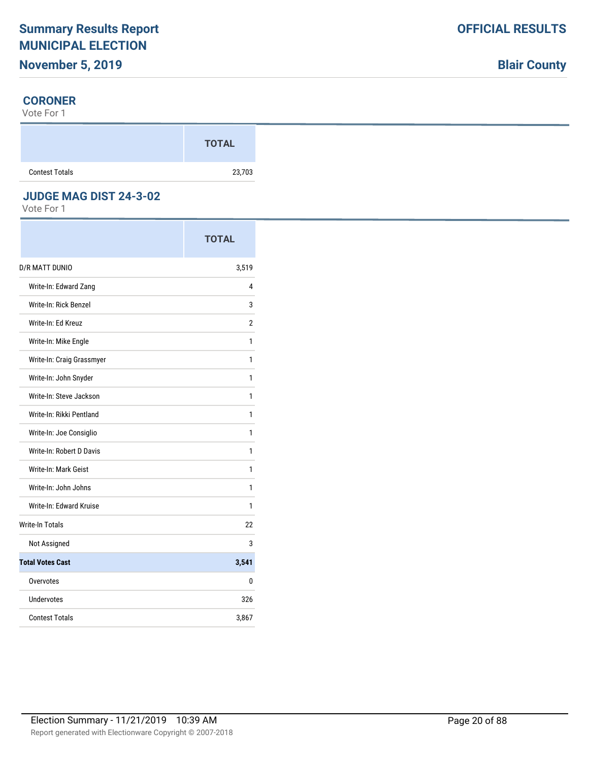# **CORONER**

Vote For 1

|                           | <b>TOTAL</b> |
|---------------------------|--------------|
| <b>D/R MATT DUNIO</b>     | 3,519        |
| Write-In: Edward Zang     | 4            |
| Write-In: Rick Benzel     | 3            |
| Write-In: Ed Kreuz        | 2            |
| Write-In: Mike Engle      | 1            |
| Write-In: Craig Grassmyer | 1            |
| Write-In: John Snyder     | 1            |
| Write-In: Steve Jackson   | 1            |
| Write-In: Rikki Pentland  | 1            |
| Write-In: Joe Consiglio   | 1            |
| Write-In: Robert D Davis  | 1            |
| Write-In: Mark Geist      | 1            |
| Write-In: John Johns      | 1            |
| Write-In: Edward Kruise   | 1            |
| <b>Write-In Totals</b>    | 22           |
| Not Assigned              | 3            |
| <b>Total Votes Cast</b>   | 3,541        |
| Overvotes                 | 0            |
| Undervotes                | 326          |
| <b>Contest Totals</b>     | 3,867        |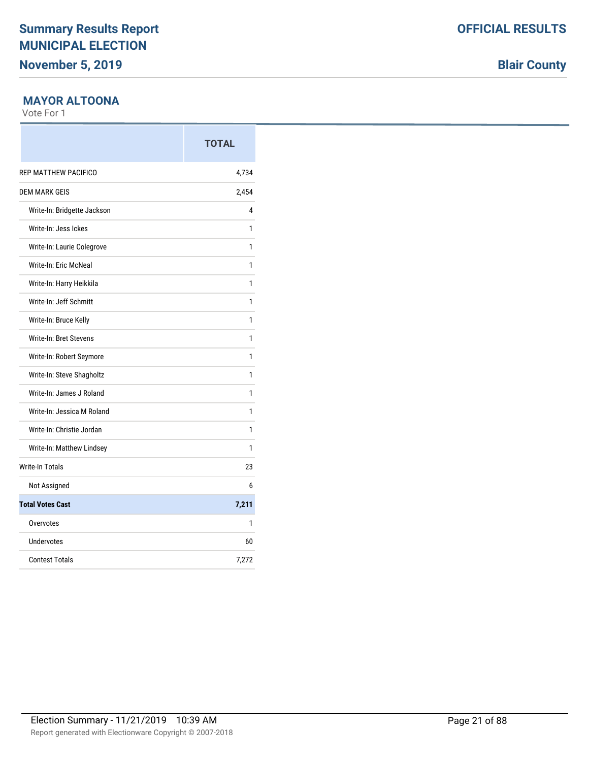# **MAYOR ALTOONA**

|                             | <b>TOTAL</b> |
|-----------------------------|--------------|
| <b>REP MATTHEW PACIFICO</b> | 4,734        |
| <b>DEM MARK GEIS</b>        | 2,454        |
| Write-In: Bridgette Jackson | 4            |
| Write-In: Jess Ickes        | 1            |
| Write-In: Laurie Colegrove  | 1            |
| Write-In: Eric McNeal       | 1            |
| Write-In: Harry Heikkila    | 1            |
| Write-In: Jeff Schmitt      | 1            |
| Write-In: Bruce Kelly       | 1            |
| Write-In: Bret Stevens      | 1            |
| Write-In: Robert Seymore    | 1            |
| Write-In: Steve Shagholtz   | 1            |
| Write-In: James J Roland    | 1            |
| Write-In: Jessica M Roland  | 1            |
| Write-In: Christie Jordan   | 1            |
| Write-In: Matthew Lindsey   | 1            |
| <b>Write-In Totals</b>      | 23           |
| Not Assigned                | 6            |
| <b>Total Votes Cast</b>     | 7,211        |
| Overvotes                   | 1            |
| <b>Undervotes</b>           | 60           |
| <b>Contest Totals</b>       | 7,272        |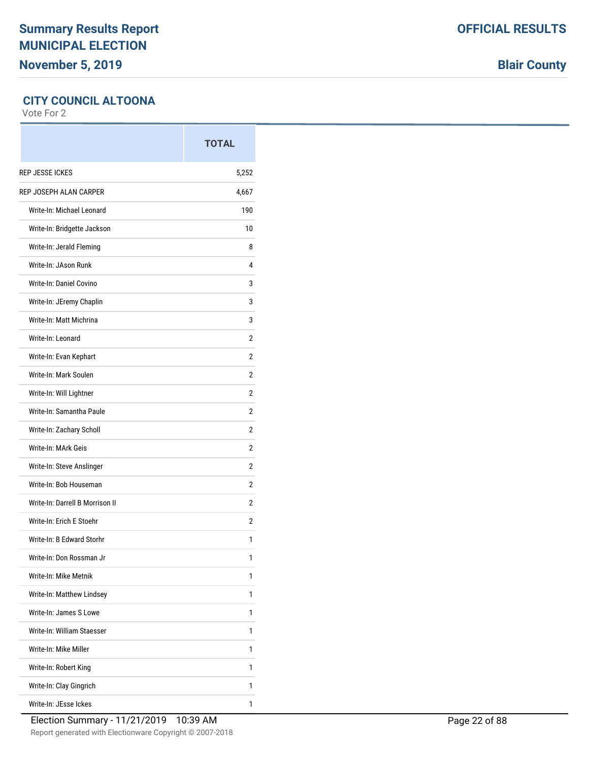**OFFICIAL RESULTS**

# **CITY COUNCIL ALTOONA**

|                                 | <b>TOTAL</b> |
|---------------------------------|--------------|
| <b>REP JESSE ICKES</b>          | 5,252        |
| <b>REP JOSEPH ALAN CARPER</b>   | 4,667        |
| Write-In: Michael Leonard       | 190          |
| Write-In: Bridgette Jackson     | 10           |
| Write-In: Jerald Fleming        | 8            |
| Write-In: JAson Runk            | 4            |
| Write-In: Daniel Covino         | 3            |
| Write-In: JEremy Chaplin        | 3            |
| Write-In: Matt Michrina         | 3            |
| Write-In: Leonard               | 2            |
| Write-In: Evan Kephart          | 2            |
| Write-In: Mark Soulen           | 2            |
| Write-In: Will Lightner         | 2            |
| Write-In: Samantha Paule        | 2            |
| Write-In: Zachary Scholl        | 2            |
| Write-In: MArk Geis             | 2            |
| Write-In: Steve Anslinger       | 2            |
| Write-In: Bob Houseman          | 2            |
| Write-In: Darrell B Morrison II | 2            |
| Write-In: Erich E Stoehr        | 2            |
| Write-In: B Edward Storhr       | 1            |
| Write-In: Don Rossman Jr        | 1            |
| Write-In: Mike Metnik           | 1            |
| Write-In: Matthew Lindsey       | 1            |
| Write-In: James S Lowe          | 1            |
| Write-In: William Staesser      | 1            |
| Write-In: Mike Miller           | 1            |
| Write-In: Robert King           | 1            |
| Write-In: Clay Gingrich         | 1            |
| Write-In: JEsse Ickes           | 1            |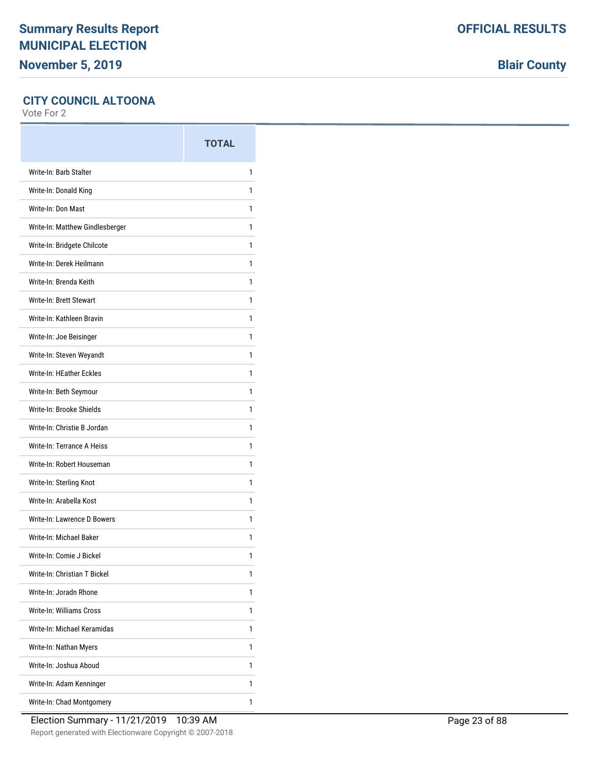# **CITY COUNCIL ALTOONA**

|                                 | <b>TOTAL</b> |
|---------------------------------|--------------|
| Write-In: Barb Stalter          | 1            |
| Write-In: Donald King           | 1            |
| Write-In: Don Mast              | 1            |
| Write-In: Matthew Gindlesberger | 1            |
| Write-In: Bridgete Chilcote     | 1            |
| Write-In: Derek Heilmann        | 1            |
| Write-In: Brenda Keith          | 1            |
| Write-In: Brett Stewart         | 1            |
| Write-In: Kathleen Bravin       | 1            |
| Write-In: Joe Beisinger         | 1            |
| Write-In: Steven Weyandt        | 1            |
| Write-In: HEather Eckles        | 1            |
| Write-In: Beth Seymour          | 1            |
| Write-In: Brooke Shields        | 1            |
| Write-In: Christie B Jordan     | 1            |
| Write-In: Terrance A Heiss      | 1            |
| Write-In: Robert Houseman       | 1            |
| Write-In: Sterling Knot         | 1            |
| Write-In: Arabella Kost         | 1            |
| Write-In: Lawrence D Bowers     | 1            |
| Write-In: Michael Baker         | 1            |
| Write-In: Comie J Bickel        | 1            |
| Write-In: Christian T Bickel    | 1            |
| Write-In: Joradn Rhone          | 1            |
| Write-In: Williams Cross        | 1            |
| Write-In: Michael Keramidas     | 1            |
| Write-In: Nathan Myers          | 1            |
| Write-In: Joshua Aboud          | 1            |
| Write-In: Adam Kenninger        | 1            |
| Write-In: Chad Montgomery       | 1            |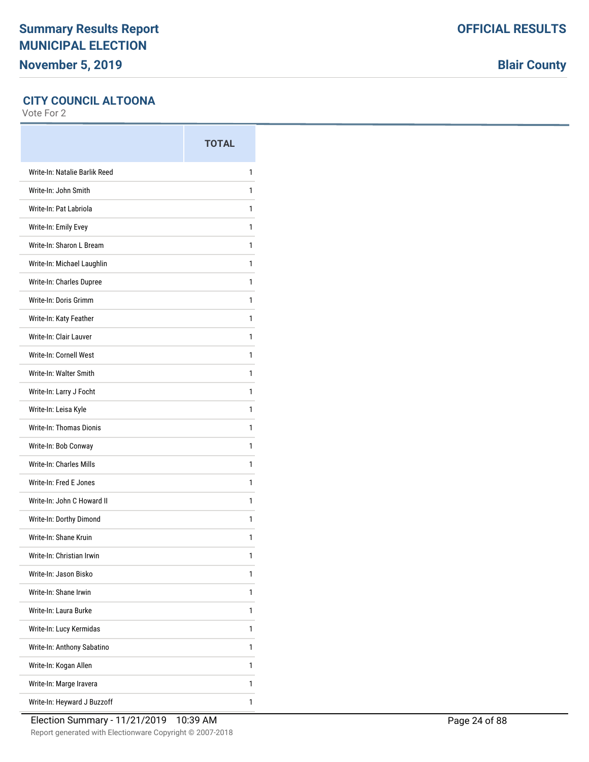# **November 5, 2019**

**Blair County**

# **CITY COUNCIL ALTOONA**

|                               | <b>TOTAL</b> |
|-------------------------------|--------------|
| Write-In: Natalie Barlik Reed | 1            |
| Write-In: John Smith          | 1            |
| Write-In: Pat Labriola        | 1            |
| Write-In: Emily Evey          | 1            |
| Write-In: Sharon L Bream      | 1            |
| Write-In: Michael Laughlin    | 1            |
| Write-In: Charles Dupree      | 1            |
| Write-In: Doris Grimm         | 1            |
| Write-In: Katy Feather        | 1            |
| Write-In: Clair Lauver        | 1            |
| Write-In: Cornell West        | 1            |
| Write-In: Walter Smith        | 1            |
| Write-In: Larry J Focht       | 1            |
| Write-In: Leisa Kyle          | 1            |
| Write-In: Thomas Dionis       | 1            |
| Write-In: Bob Conway          | 1            |
| Write-In: Charles Mills       | 1            |
| Write-In: Fred E Jones        | 1            |
| Write-In: John C Howard II    | 1            |
| Write-In: Dorthy Dimond       | 1            |
| Write-In: Shane Kruin         | 1            |
| Write-In: Christian Irwin     | 1            |
| Write-In: Jason Bisko         | 1            |
| Write-In: Shane Irwin         | 1            |
| Write-In: Laura Burke         | 1            |
| Write-In: Lucy Kermidas       | 1            |
| Write-In: Anthony Sabatino    | 1            |
| Write-In: Kogan Allen         | 1            |
| Write-In: Marge Iravera       | 1            |
| Write-In: Heyward J Buzzoff   | 1            |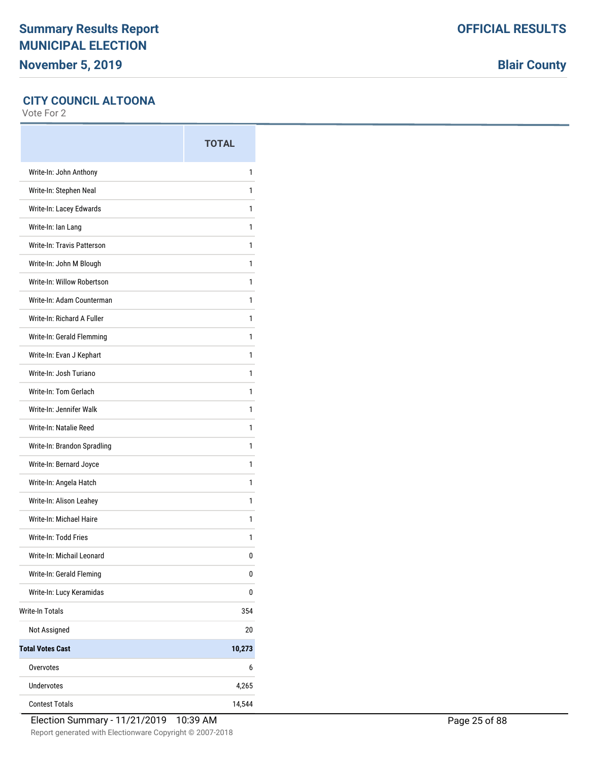# **CITY COUNCIL ALTOONA**

Vote For 2

|                             | <b>TOTAL</b> |
|-----------------------------|--------------|
| Write-In: John Anthony      | 1            |
| Write-In: Stephen Neal      | 1            |
| Write-In: Lacey Edwards     | 1            |
| Write-In: Ian Lang          | 1            |
| Write-In: Travis Patterson  | 1            |
| Write-In: John M Blough     | 1            |
| Write-In: Willow Robertson  | 1            |
| Write-In: Adam Counterman   | 1            |
| Write-In: Richard A Fuller  | 1            |
| Write-In: Gerald Flemming   | 1            |
| Write-In: Evan J Kephart    | 1            |
| Write-In: Josh Turiano      | 1            |
| Write-In: Tom Gerlach       | 1            |
| Write-In: Jennifer Walk     | 1            |
| Write-In: Natalie Reed      | 1            |
| Write-In: Brandon Spradling | 1            |
| Write-In: Bernard Joyce     | 1            |
| Write-In: Angela Hatch      | 1            |
| Write-In: Alison Leahey     | 1            |
| Write-In: Michael Haire     | 1            |
| Write-In: Todd Fries        | 1            |
| Write-In: Michail Leonard   | 0            |
| Write-In: Gerald Fleming    | 0            |
| Write-In: Lucy Keramidas    | 0            |
| <b>Write-In Totals</b>      | 354          |
| Not Assigned                | 20           |
| <b>Total Votes Cast</b>     | 10,273       |
| Overvotes                   | 6            |
| <b>Undervotes</b>           | 4,265        |
| <b>Contest Totals</b>       | 14,544       |

**Blair County**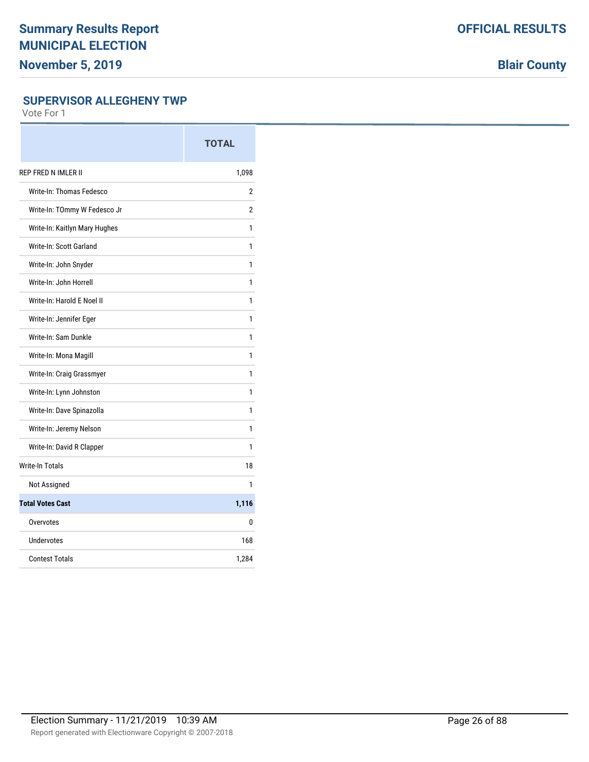# **November 5, 2019**

**Blair County**

# **SUPERVISOR ALLEGHENY TWP**

|                               | <b>TOTAL</b>   |
|-------------------------------|----------------|
| REP FRED N IMLER II           | 1,098          |
| Write-In: Thomas Fedesco      | 2              |
| Write-In: TOmmy W Fedesco Jr  | $\overline{2}$ |
| Write-In: Kaitlyn Mary Hughes | 1              |
| Write-In: Scott Garland       | 1              |
| Write-In: John Snyder         | 1              |
| Write-In: John Horrell        | 1              |
| Write-In: Harold E Noel II    | 1              |
| Write-In: Jennifer Eger       | 1              |
| Write-In: Sam Dunkle          | 1              |
| Write-In: Mona Magill         | 1              |
| Write-In: Craig Grassmyer     | 1              |
| Write-In: Lynn Johnston       | 1              |
| Write-In: Dave Spinazolla     | 1              |
| Write-In: Jeremy Nelson       | 1              |
| Write-In: David R Clapper     | 1              |
| <b>Write-In Totals</b>        | 18             |
| Not Assigned                  | 1              |
| <b>Total Votes Cast</b>       | 1,116          |
| Overvotes                     | 0              |
| Undervotes                    | 168            |
| <b>Contest Totals</b>         | 1,284          |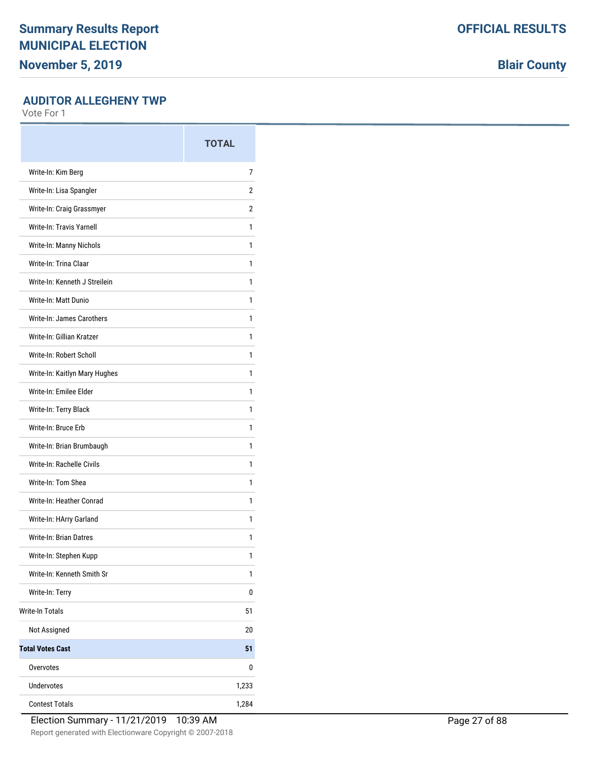### **AUDITOR ALLEGHENY TWP**

|                               | <b>TOTAL</b> |
|-------------------------------|--------------|
| Write-In: Kim Berg            | 7            |
| Write-In: Lisa Spangler       | 2            |
| Write-In: Craig Grassmyer     | 2            |
| Write-In: Travis Yarnell      | 1            |
| Write-In: Manny Nichols       | 1            |
| Write-In: Trina Claar         | 1            |
| Write-In: Kenneth J Streilein | 1            |
| Write-In: Matt Dunio          | 1            |
| Write-In: James Carothers     | 1            |
| Write-In: Gillian Kratzer     | 1            |
| Write-In: Robert Scholl       | 1            |
| Write-In: Kaitlyn Mary Hughes | 1            |
| Write-In: Emilee Elder        | 1            |
| Write-In: Terry Black         | 1            |
| Write-In: Bruce Erb           | 1            |
| Write-In: Brian Brumbaugh     | 1            |
| Write-In: Rachelle Civils     | 1            |
| Write-In: Tom Shea            | 1            |
| Write-In: Heather Conrad      | 1            |
| Write-In: HArry Garland       | 1            |
| <b>Write-In: Brian Datres</b> | 1            |
| Write-In: Stephen Kupp        | 1            |
| Write-In: Kenneth Smith Sr    | 1            |
| Write-In: Terry               | 0            |
| <b>Write-In Totals</b>        | 51           |
| Not Assigned                  | 20           |
| <b>Total Votes Cast</b>       | 51           |
| Overvotes                     | 0            |
| Undervotes                    | 1,233        |
| <b>Contest Totals</b>         | 1,284        |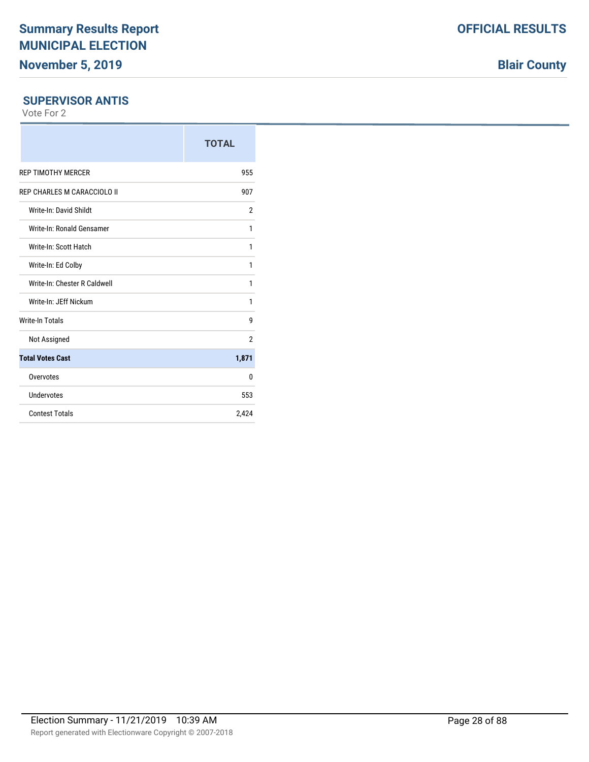# **SUPERVISOR ANTIS**

|                              | <b>TOTAL</b>   |
|------------------------------|----------------|
| <b>REP TIMOTHY MERCER</b>    | 955            |
| REP CHARLES M CARACCIOLO II  | 907            |
| Write-In: David Shildt       | 2              |
| Write-In: Ronald Gensamer    | 1              |
| Write-In: Scott Hatch        | 1              |
| Write-In: Ed Colby           | 1              |
| Write-In: Chester R Caldwell | 1              |
| Write-In: JFff Nickum        | 1              |
| <b>Write-In Totals</b>       | 9              |
| Not Assigned                 | $\overline{2}$ |
| <b>Total Votes Cast</b>      | 1,871          |
| Overvotes                    | 0              |
| <b>Undervotes</b>            | 553            |
| <b>Contest Totals</b>        | 2,424          |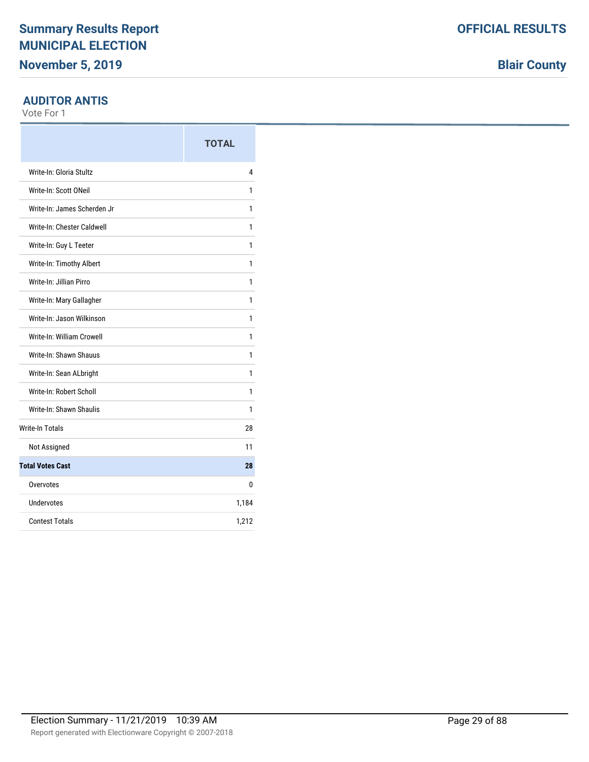### **AUDITOR ANTIS**

|                             | <b>TOTAL</b> |
|-----------------------------|--------------|
| Write-In: Gloria Stultz     | 4            |
| Write-In: Scott ONeil       | 1            |
| Write-In: James Scherden Jr | 1            |
| Write-In: Chester Caldwell  | 1            |
| Write-In: Guy L Teeter      | 1            |
| Write-In: Timothy Albert    | 1            |
| Write-In: Jillian Pirro     | 1            |
| Write-In: Mary Gallagher    | 1            |
| Write-In: Jason Wilkinson   | 1            |
| Write-In: William Crowell   | 1            |
| Write-In: Shawn Shauus      | 1            |
| Write-In: Sean ALbright     | 1            |
| Write-In: Robert Scholl     | 1            |
| Write-In: Shawn Shaulis     | 1            |
| <b>Write-In Totals</b>      | 28           |
| Not Assigned                | 11           |
| <b>Total Votes Cast</b>     | 28           |
| <b>Overvotes</b>            | 0            |
| Undervotes                  | 1,184        |
| <b>Contest Totals</b>       | 1,212        |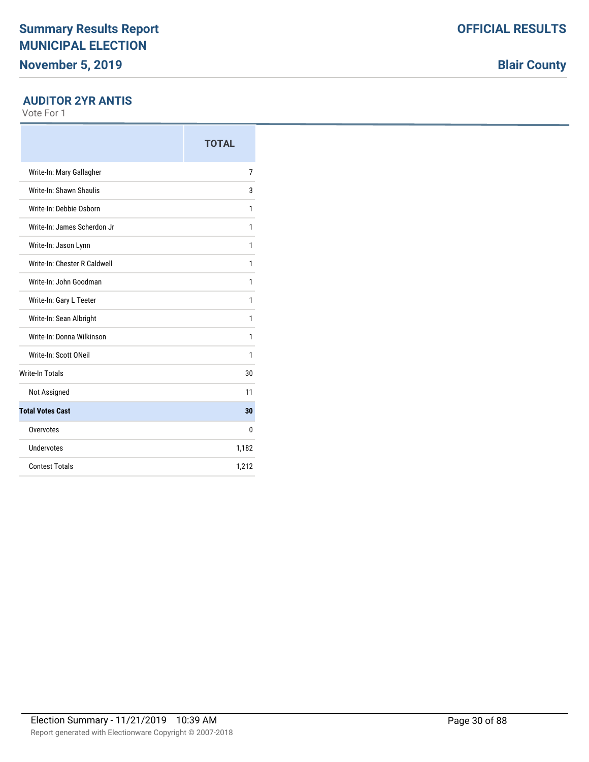# **AUDITOR 2YR ANTIS**

|                              | <b>TOTAL</b>   |
|------------------------------|----------------|
| Write-In: Mary Gallagher     | $\overline{7}$ |
| Write-In: Shawn Shaulis      | 3              |
| Write-In: Debbie Osborn      | 1              |
| Write-In: James Scherdon Jr  | 1              |
| Write-In: Jason Lynn         | 1              |
| Write-In: Chester R Caldwell | 1              |
| Write-In: John Goodman       | 1              |
| Write-In: Gary L Teeter      | 1              |
| Write-In: Sean Albright      | 1              |
| Write-In: Donna Wilkinson    | 1              |
| Write-In: Scott ONeil        | 1              |
| <b>Write-In Totals</b>       | 30             |
| Not Assigned                 | 11             |
| <b>Total Votes Cast</b>      | 30             |
| Overvotes                    | 0              |
| Undervotes                   | 1,182          |
| <b>Contest Totals</b>        | 1,212          |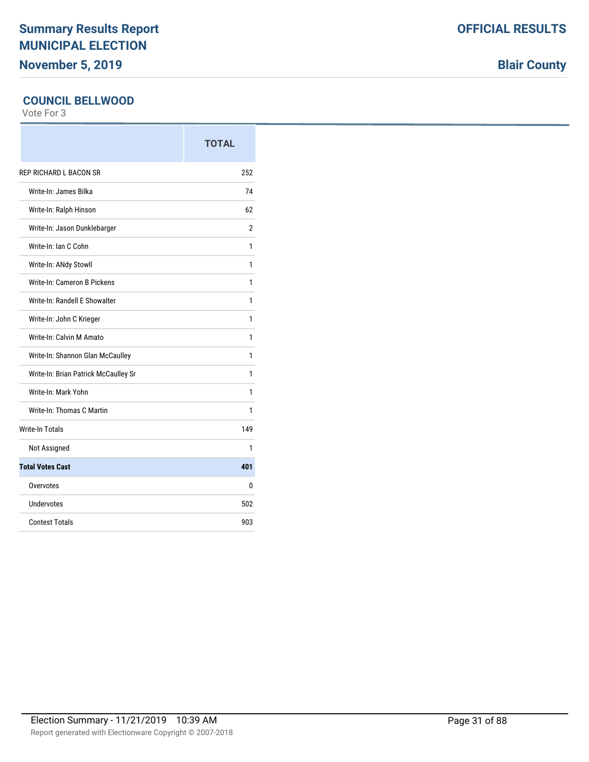# **November 5, 2019**

**Blair County**

### **COUNCIL BELLWOOD**

|                                      | <b>TOTAL</b>   |
|--------------------------------------|----------------|
| <b>REP RICHARD L BACON SR</b>        | 252            |
| Write-In: James Bilka                | 74             |
| Write-In: Ralph Hinson               | 62             |
| Write-In: Jason Dunklebarger         | $\overline{2}$ |
| Write-In: Ian C Cohn                 | 1              |
| Write-In: ANdy Stowll                | 1              |
| Write-In: Cameron B Pickens          | 1              |
| Write-In: Randell E Showalter        | 1              |
| Write-In: John C Krieger             | 1              |
| Write-In: Calvin M Amato             | 1              |
| Write-In: Shannon Glan McCaulley     | 1              |
| Write-In: Brian Patrick McCaulley Sr | 1              |
| Write-In: Mark Yohn                  | 1              |
| Write-In: Thomas C Martin            | 1              |
| <b>Write-In Totals</b>               | 149            |
| Not Assigned                         | 1              |
| <b>Total Votes Cast</b>              | 401            |
| Overvotes                            | 0              |
| Undervotes                           | 502            |
| <b>Contest Totals</b>                | 903            |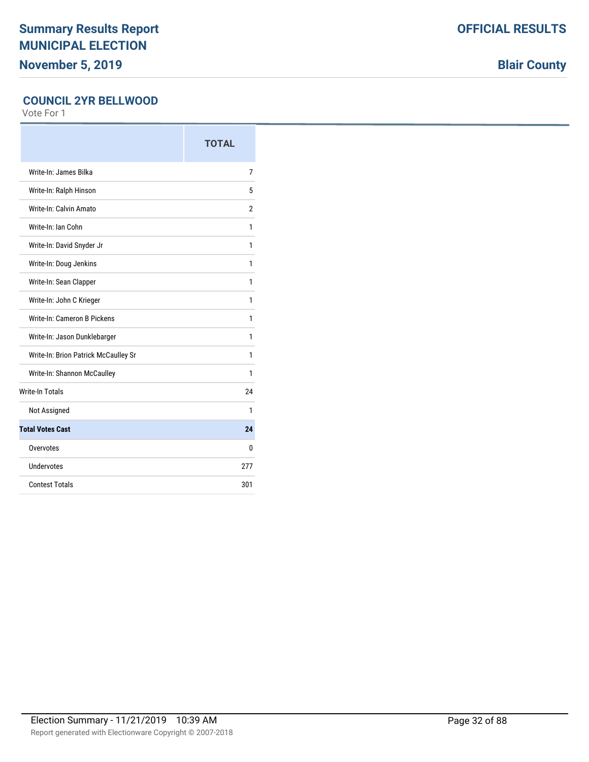# **COUNCIL 2YR BELLWOOD**

Vote For 1

|                                      | <b>TOTAL</b>   |
|--------------------------------------|----------------|
| Write-In: James Bilka                | 7              |
| Write-In: Ralph Hinson               | 5              |
| Write-In: Calvin Amato               | $\overline{2}$ |
| Write-In: Ian Cohn                   | 1              |
| Write-In: David Snyder Jr            | 1              |
| Write-In: Doug Jenkins               | 1              |
| Write-In: Sean Clapper               | 1              |
| Write-In: John C Krieger             | 1              |
| Write-In: Cameron B Pickens          | 1              |
| Write-In: Jason Dunklebarger         | 1              |
| Write-In: Brion Patrick McCaulley Sr | 1              |
| Write-In: Shannon McCaulley          | 1              |
| <b>Write-In Totals</b>               | 24             |
| Not Assigned                         | 1              |
| <b>Total Votes Cast</b>              | 24             |
| Overvotes                            | 0              |
| Undervotes                           | 277            |
| <b>Contest Totals</b>                | 301            |

**Blair County**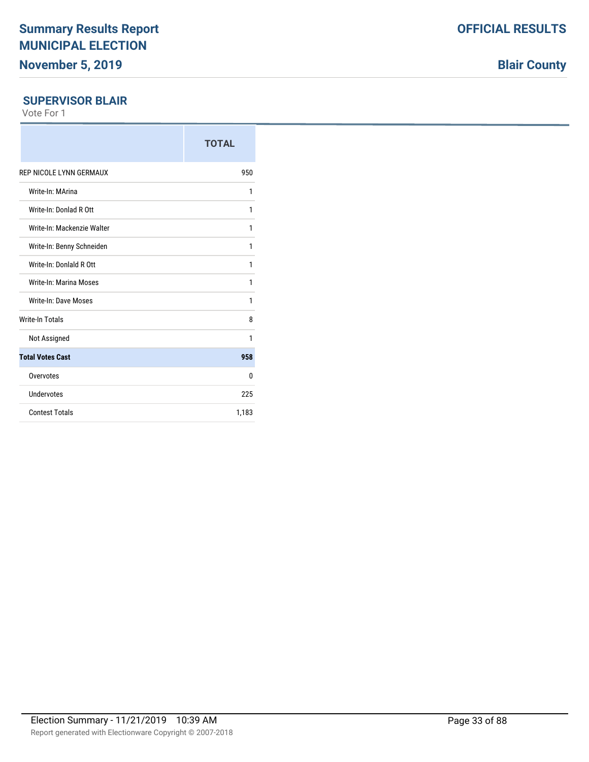# **November 5, 2019**

**Blair County**

# **SUPERVISOR BLAIR**

|                            | <b>TOTAL</b> |
|----------------------------|--------------|
| REP NICOLE LYNN GERMAUX    | 950          |
| Write-In: MArina           | 1            |
| Write-In: Donlad R Ott     | 1            |
| Write-In: Mackenzie Walter | 1            |
| Write-In: Benny Schneiden  | 1            |
| Write-In: Donlald R Ott    | 1            |
| Write-In: Marina Moses     | 1            |
| Write-In: Dave Moses       | 1            |
| <b>Write-In Totals</b>     | 8            |
| Not Assigned               | 1            |
| <b>Total Votes Cast</b>    | 958          |
| Overvotes                  | U            |
| Undervotes                 | 225          |
| <b>Contest Totals</b>      | 1,183        |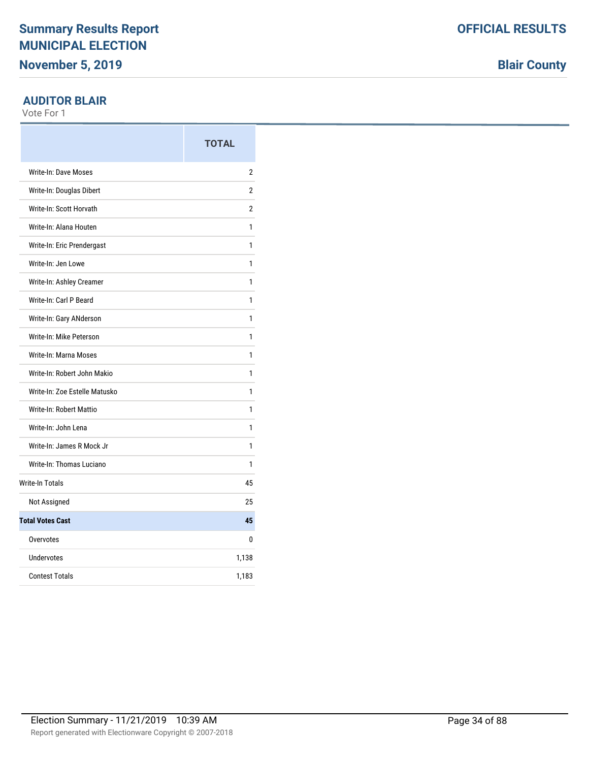### **AUDITOR BLAIR**

|                               | <b>TOTAL</b>   |
|-------------------------------|----------------|
| <b>Write-In: Dave Moses</b>   | $\overline{2}$ |
| Write-In: Douglas Dibert      | $\overline{2}$ |
| Write-In: Scott Horvath       | $\overline{2}$ |
| Write-In: Alana Houten        | 1              |
| Write-In: Eric Prendergast    | 1              |
| Write-In: Jen Lowe            | 1              |
| Write-In: Ashley Creamer      | 1              |
| Write-In: Carl P Beard        | 1              |
| Write-In: Gary ANderson       | 1              |
| Write-In: Mike Peterson       | 1              |
| Write-In: Marna Moses         | 1              |
| Write-In: Robert John Makio   | 1              |
| Write-In: Zoe Estelle Matusko | 1              |
| Write-In: Robert Mattio       | 1              |
| Write-In: John Lena           | 1              |
| Write-In: James R Mock Jr     | 1              |
| Write-In: Thomas Luciano      | 1              |
| <b>Write-In Totals</b>        | 45             |
| Not Assigned                  | 25             |
| <b>Total Votes Cast</b>       | 45             |
| Overvotes                     | 0              |
| <b>Undervotes</b>             | 1,138          |
| <b>Contest Totals</b>         | 1,183          |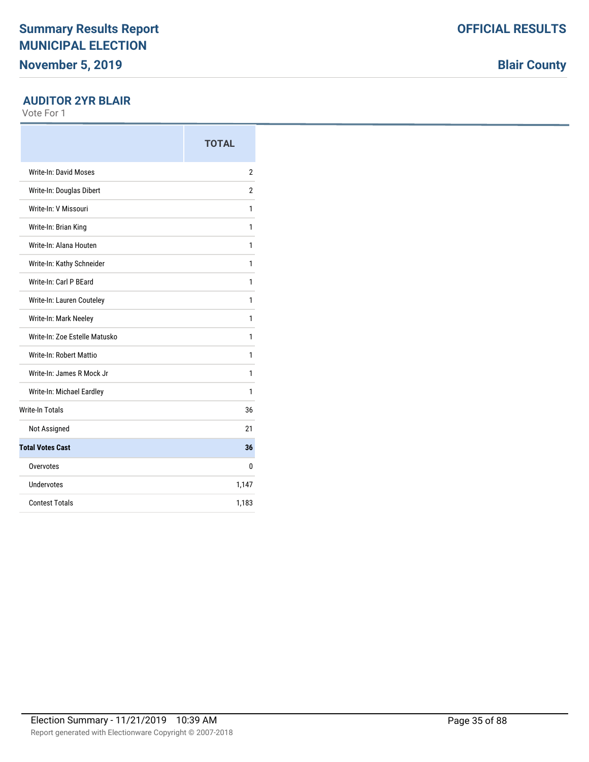### **AUDITOR 2YR BLAIR**

|                               | <b>TOTAL</b>   |
|-------------------------------|----------------|
| <b>Write-In: David Moses</b>  | $\overline{2}$ |
| Write-In: Douglas Dibert      | $\overline{2}$ |
| Write-In: V Missouri          | 1              |
| Write-In: Brian King          | 1              |
| Write-In: Alana Houten        | 1              |
| Write-In: Kathy Schneider     | 1              |
| Write-In: Carl P BEard        | 1              |
| Write-In: Lauren Couteley     | 1              |
| Write-In: Mark Neeley         | 1              |
| Write-In: Zoe Estelle Matusko | 1              |
| Write-In: Robert Mattio       | 1              |
| Write-In: James R Mock Jr     | 1              |
| Write-In: Michael Eardley     | 1              |
| <b>Write-In Totals</b>        | 36             |
| Not Assigned                  | 21             |
| <b>Total Votes Cast</b>       | 36             |
| Overvotes                     | $\mathbf{0}$   |
| Undervotes                    | 1,147          |
| <b>Contest Totals</b>         | 1,183          |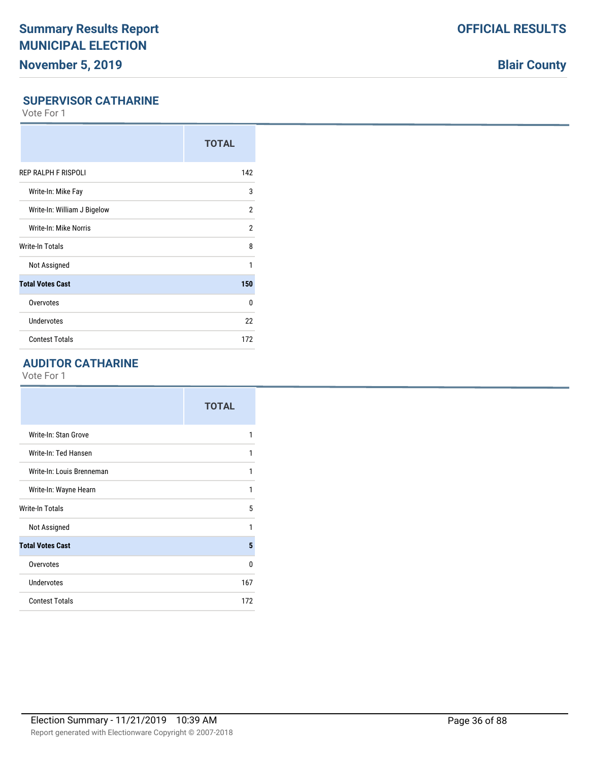# **November 5, 2019**

# **Blair County**

# **SUPERVISOR CATHARINE**

Vote For 1

|                             | <b>TOTAL</b> |
|-----------------------------|--------------|
| <b>REP RALPH F RISPOLI</b>  | 142          |
| Write-In: Mike Fay          | 3            |
| Write-In: William J Bigelow | 2            |
| Write-In: Mike Norris       | 2            |
| Write-In Totals             | 8            |
| Not Assigned                | 1            |
| <b>Total Votes Cast</b>     | 150          |
| Overvotes                   | $\Omega$     |
| <b>Undervotes</b>           | 22           |
| <b>Contest Totals</b>       | 172          |

# **AUDITOR CATHARINE**

|                           | <b>TOTAL</b> |
|---------------------------|--------------|
| Write-In: Stan Grove      | 1            |
| Write-In: Ted Hansen      | 1            |
| Write-In: Louis Brenneman | 1            |
| Write-In: Wayne Hearn     | 1            |
| Write-In Totals           | 5            |
| Not Assigned              | 1            |
| <b>Total Votes Cast</b>   | 5            |
| Overvotes                 | 0            |
| Undervotes                | 167          |
| <b>Contest Totals</b>     | 172          |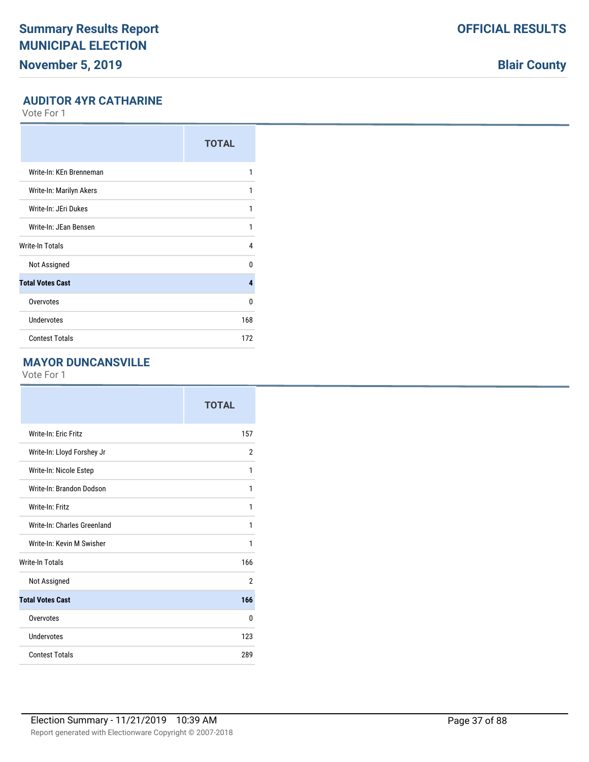## **Blair County**

### **AUDITOR 4YR CATHARINE**

Vote For 1

|                         | <b>TOTAL</b> |
|-------------------------|--------------|
| Write-In: KEn Brenneman | 1            |
| Write-In: Marilyn Akers | 1            |
| Write-In: JEri Dukes    | 1            |
| Write-In: JEan Bensen   | 1            |
| Write-In Totals         | 4            |
| Not Assigned            | 0            |
| <b>Total Votes Cast</b> | 4            |
| Overvotes               | $\Omega$     |
| <b>Undervotes</b>       | 168          |
| <b>Contest Totals</b>   | 172          |

### **MAYOR DUNCANSVILLE**

|                             | <b>TOTAL</b>   |
|-----------------------------|----------------|
| Write-In: Eric Fritz        | 157            |
| Write-In: Lloyd Forshey Jr  | $\overline{2}$ |
| Write-In: Nicole Estep      | 1              |
| Write-In: Brandon Dodson    | 1              |
| Write-In: Fritz             | 1              |
| Write-In: Charles Greenland | 1              |
| Write-In: Kevin M Swisher   | 1              |
| <b>Write-In Totals</b>      | 166            |
| Not Assigned                | 2              |
| <b>Total Votes Cast</b>     | 166            |
| Overvotes                   | 0              |
| Undervotes                  | 123            |
| <b>Contest Totals</b>       | 289            |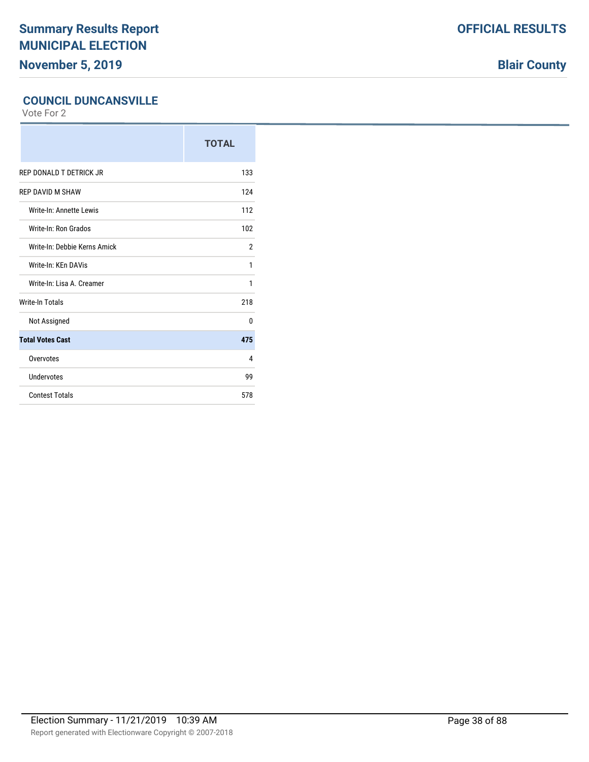**Blair County**

## **COUNCIL DUNCANSVILLE**

|                              | <b>TOTAL</b>   |
|------------------------------|----------------|
| REP DONALD T DETRICK JR      | 133            |
| <b>REP DAVID M SHAW</b>      | 124            |
| Write-In: Annette Lewis      | 112            |
| Write-In: Ron Grados         | 102            |
| Write-In: Debbie Kerns Amick | $\overline{2}$ |
| Write-In: KEn DAVis          | 1              |
| Write-In: Lisa A. Creamer    | 1              |
| <b>Write-In Totals</b>       | 218            |
| Not Assigned                 | $\Omega$       |
| <b>Total Votes Cast</b>      | 475            |
| Overvotes                    | 4              |
| Undervotes                   | 99             |
| <b>Contest Totals</b>        | 578            |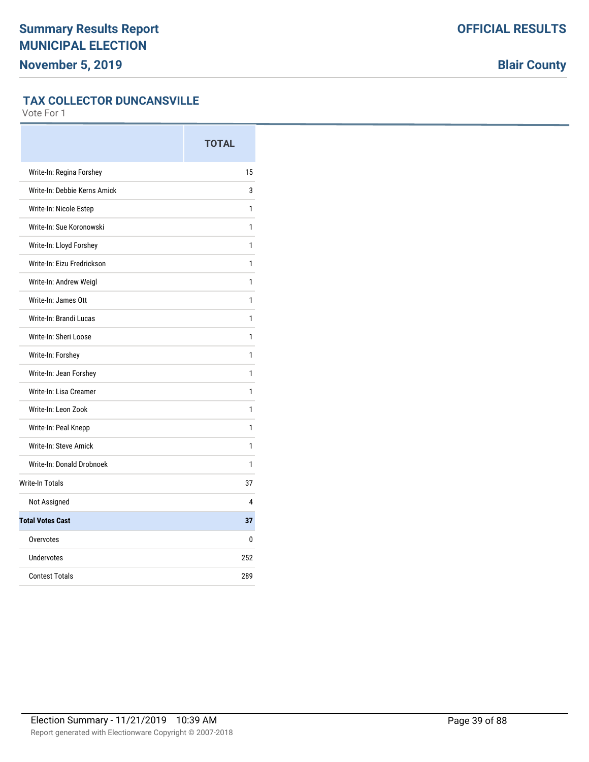### **TAX COLLECTOR DUNCANSVILLE**

|                              | <b>TOTAL</b> |
|------------------------------|--------------|
| Write-In: Regina Forshey     | 15           |
| Write-In: Debbie Kerns Amick | 3            |
| Write-In: Nicole Estep       | 1            |
| Write-In: Sue Koronowski     | 1            |
| Write-In: Lloyd Forshey      | 1            |
| Write-In: Eizu Fredrickson   | 1            |
| Write-In: Andrew Weigl       | 1            |
| Write-In: James Ott          | 1            |
| Write-In: Brandi Lucas       | 1            |
| Write-In: Sheri Loose        | 1            |
| Write-In: Forshey            | 1            |
| Write-In: Jean Forshey       | 1            |
| Write-In: Lisa Creamer       | 1            |
| Write-In: Leon Zook          | 1            |
| Write-In: Peal Knepp         | 1            |
| Write-In: Steve Amick        | 1            |
| Write-In: Donald Drobnoek    | 1            |
| <b>Write-In Totals</b>       | 37           |
| Not Assigned                 | 4            |
| <b>Total Votes Cast</b>      | 37           |
| Overvotes                    | 0            |
| <b>Undervotes</b>            | 252          |
| <b>Contest Totals</b>        | 289          |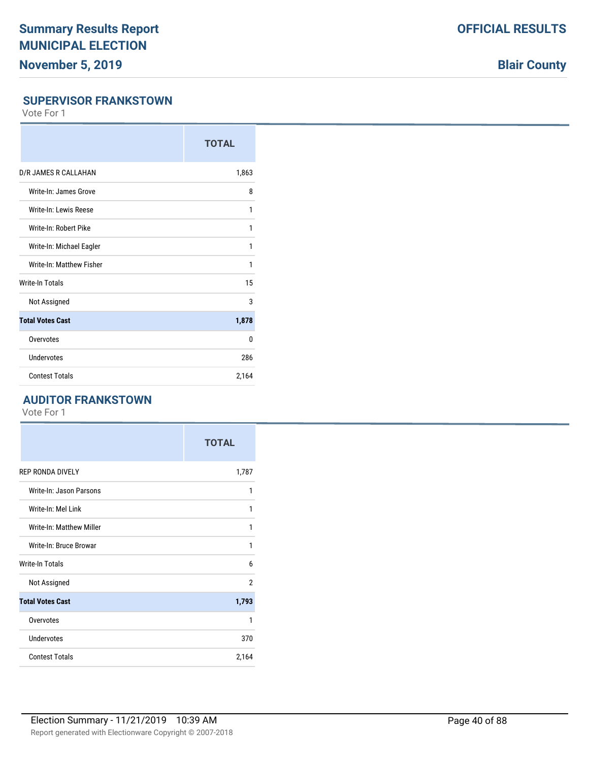## **Blair County**

#### **SUPERVISOR FRANKSTOWN**

Vote For 1

|                             | <b>TOTAL</b> |
|-----------------------------|--------------|
| <b>D/R JAMES R CALLAHAN</b> | 1,863        |
| Write-In: James Grove       | 8            |
| Write-In: Lewis Reese       | 1            |
| Write-In: Robert Pike       | 1            |
| Write-In: Michael Eagler    | 1            |
| Write-In: Matthew Fisher    | 1            |
| <b>Write-In Totals</b>      | 15           |
| Not Assigned                | 3            |
| <b>Total Votes Cast</b>     | 1,878        |
| Overvotes                   | $\Omega$     |
| Undervotes                  | 286          |
| <b>Contest Totals</b>       | 2,164        |

### **AUDITOR FRANKSTOWN**

|                          | <b>TOTAL</b>   |
|--------------------------|----------------|
| <b>REP RONDA DIVELY</b>  | 1,787          |
| Write-In: Jason Parsons  | 1              |
| Write-In: Mel Link       | 1              |
| Write-In: Matthew Miller | 1              |
| Write-In: Bruce Browar   | 1              |
| <b>Write-In Totals</b>   | 6              |
| Not Assigned             | $\overline{2}$ |
| <b>Total Votes Cast</b>  | 1,793          |
| Overvotes                | 1              |
| <b>Undervotes</b>        | 370            |
| <b>Contest Totals</b>    | 2,164          |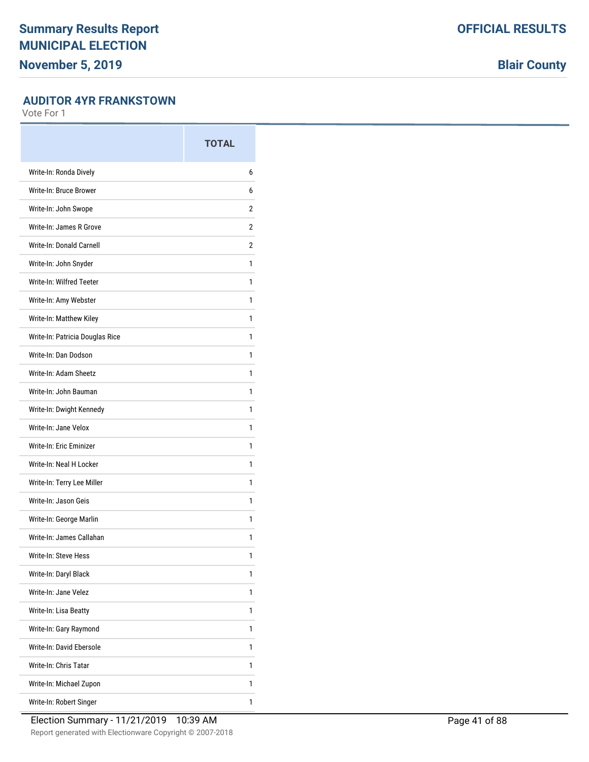#### **AUDITOR 4YR FRANKSTOWN**

|                                 | <b>TOTAL</b> |
|---------------------------------|--------------|
| Write-In: Ronda Dively          | 6            |
| Write-In: Bruce Brower          | 6            |
| Write-In: John Swope            | 2            |
| Write-In: James R Grove         | 2            |
| Write-In: Donald Carnell        | 2            |
| Write-In: John Snyder           | 1            |
| Write-In: Wilfred Teeter        | 1            |
| Write-In: Amy Webster           | 1            |
| Write-In: Matthew Kiley         | 1            |
| Write-In: Patricia Douglas Rice | 1            |
| Write-In: Dan Dodson            | 1            |
| Write-In: Adam Sheetz           | 1            |
| Write-In: John Bauman           | 1            |
| Write-In: Dwight Kennedy        | 1            |
| Write-In: Jane Velox            | 1            |
| Write-In: Eric Eminizer         | 1            |
| Write-In: Neal H Locker         | 1            |
| Write-In: Terry Lee Miller      | 1            |
| Write-In: Jason Geis            | 1            |
| Write-In: George Marlin         | 1            |
| Write-In: James Callahan        | 1            |
| Write-In: Steve Hess            | 1            |
| Write-In: Daryl Black           | 1            |
| Write-In: Jane Velez            | 1            |
| Write-In: Lisa Beatty           | 1            |
| Write-In: Gary Raymond          | 1            |
| Write-In: David Ebersole        | 1            |
| Write-In: Chris Tatar           | 1            |
| Write-In: Michael Zupon         | 1            |
| Write-In: Robert Singer         | 1            |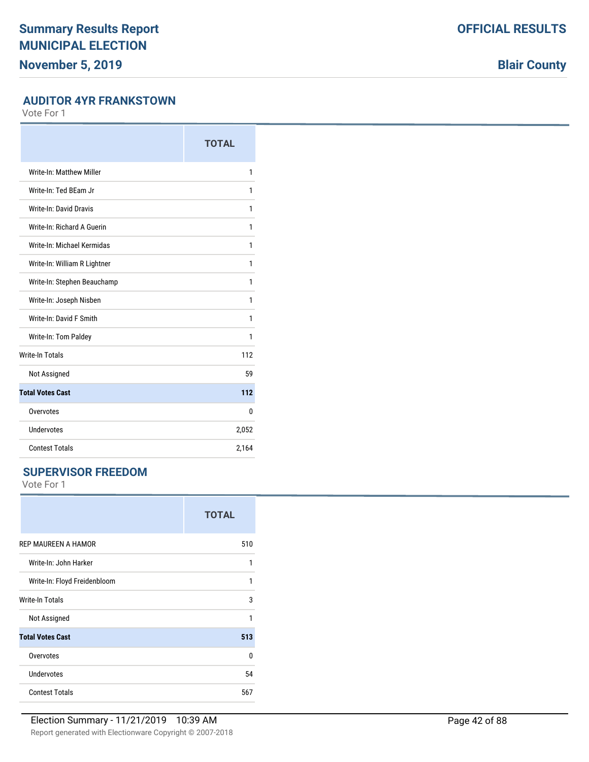**Blair County**

#### **AUDITOR 4YR FRANKSTOWN**

Vote For 1

|                              | <b>TOTAL</b> |
|------------------------------|--------------|
| Write-In: Matthew Miller     | 1            |
| Write-In: Ted BEam Jr        | 1            |
| Write-In: David Dravis       | 1            |
| Write-In: Richard A Guerin   | 1            |
| Write-In: Michael Kermidas   | 1            |
| Write-In: William R Lightner | 1            |
| Write-In: Stephen Beauchamp  | 1            |
| Write-In: Joseph Nisben      | 1            |
| Write-In: David F Smith      | 1            |
| Write-In: Tom Paldey         | 1            |
| <b>Write-In Totals</b>       | 112          |
| Not Assigned                 | 59           |
| <b>Total Votes Cast</b>      | 112          |
| Overvotes                    | 0            |
| Undervotes                   | 2,052        |
| <b>Contest Totals</b>        | 2,164        |

### **SUPERVISOR FREEDOM**

|                              | <b>TOTAL</b> |
|------------------------------|--------------|
| <b>REP MAUREEN A HAMOR</b>   | 510          |
| Write-In: John Harker        | 1            |
| Write-In: Floyd Freidenbloom | 1            |
| <b>Write-In Totals</b>       | 3            |
| Not Assigned                 | 1            |
| <b>Total Votes Cast</b>      | 513          |
| Overvotes                    | 0            |
| <b>Undervotes</b>            | 54           |
| <b>Contest Totals</b>        | 567          |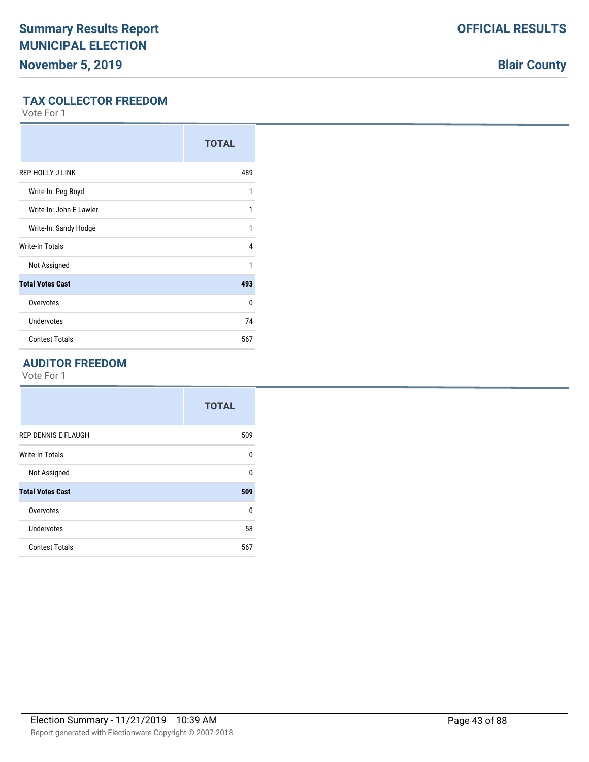## **Blair County**

#### **TAX COLLECTOR FREEDOM**

Vote For 1

|                         | <b>TOTAL</b> |
|-------------------------|--------------|
| <b>REP HOLLY J LINK</b> | 489          |
| Write-In: Peg Boyd      | 1            |
| Write-In: John E Lawler | 1            |
| Write-In: Sandy Hodge   | 1            |
| <b>Write-In Totals</b>  | 4            |
| Not Assigned            | 1            |
| <b>Total Votes Cast</b> | 493          |
| Overvotes               | 0            |
| <b>Undervotes</b>       | 74           |
| <b>Contest Totals</b>   | 567          |

### **AUDITOR FREEDOM**

|                            | <b>TOTAL</b> |
|----------------------------|--------------|
| <b>REP DENNIS E FLAUGH</b> | 509          |
| Write-In Totals            | $\Omega$     |
| Not Assigned               | n            |
| <b>Total Votes Cast</b>    | 509          |
| Overvotes                  | 0            |
| Undervotes                 | 58           |
| <b>Contest Totals</b>      | 567          |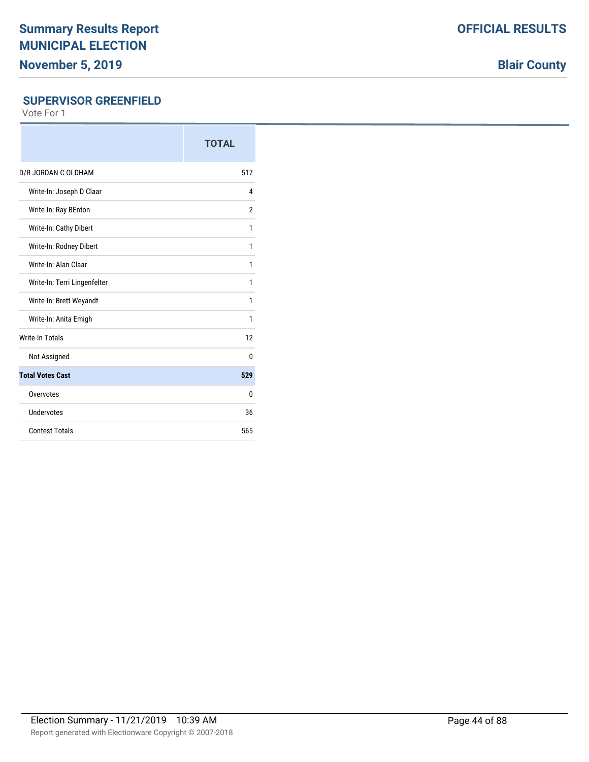**Blair County**

### **SUPERVISOR GREENFIELD**

|                              | <b>TOTAL</b> |
|------------------------------|--------------|
| D/R JORDAN C OLDHAM          | 517          |
| Write-In: Joseph D Claar     | 4            |
| Write-In: Ray BEnton         | 2            |
| Write-In: Cathy Dibert       | 1            |
| Write-In: Rodney Dibert      | 1            |
| Write-In: Alan Claar         | 1            |
| Write-In: Terri Lingenfelter | 1            |
| Write-In: Brett Weyandt      | 1            |
| Write-In: Anita Emigh        | 1            |
| <b>Write-In Totals</b>       | 12           |
| Not Assigned                 | 0            |
| <b>Total Votes Cast</b>      | 529          |
| Overvotes                    | $\Omega$     |
| Undervotes                   | 36           |
| <b>Contest Totals</b>        | 565          |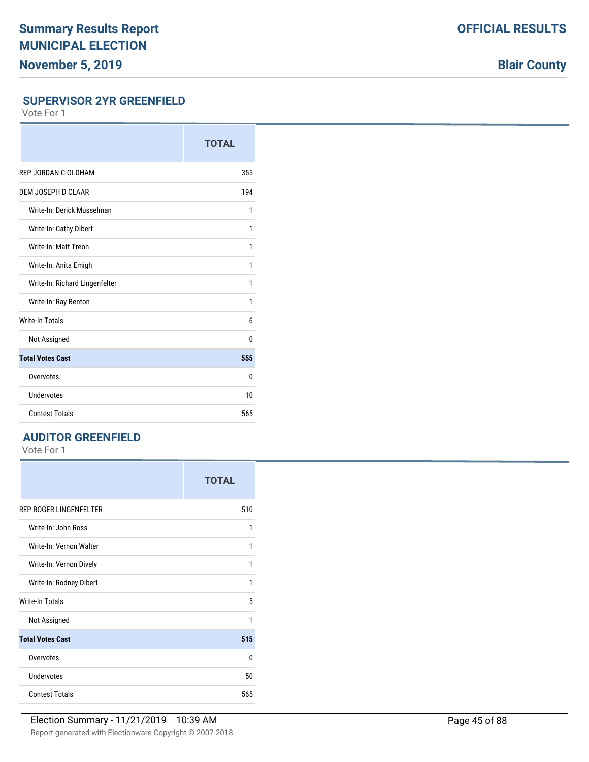### **SUPERVISOR 2YR GREENFIELD**

Vote For 1

|                                | <b>TOTAL</b> |
|--------------------------------|--------------|
| REP JORDAN C OLDHAM            | 355          |
| DEM JOSEPH D CLAAR             | 194          |
| Write-In: Derick Musselman     | 1            |
| Write-In: Cathy Dibert         | 1            |
| Write-In: Matt Treon           | 1            |
| Write-In: Anita Emigh          | 1            |
| Write-In: Richard Lingenfelter | 1            |
| Write-In: Ray Benton           | 1            |
| <b>Write-In Totals</b>         | 6            |
| Not Assigned                   | $\Omega$     |
| <b>Total Votes Cast</b>        | 555          |
| Overvotes                      | 0            |
| Undervotes                     | 10           |
| <b>Contest Totals</b>          | 565          |

### **AUDITOR GREENFIELD**

|                         | <b>TOTAL</b> |
|-------------------------|--------------|
| REP ROGER LINGENFELTER  | 510          |
| Write-In: John Ross     | 1            |
| Write-In: Vernon Walter | 1            |
| Write-In: Vernon Dively | 1            |
| Write-In: Rodney Dibert | 1            |
| <b>Write-In Totals</b>  | 5            |
| Not Assigned            | 1            |
| <b>Total Votes Cast</b> | 515          |
| Overvotes               | $\Omega$     |
| <b>Undervotes</b>       | 50           |
| <b>Contest Totals</b>   | 565          |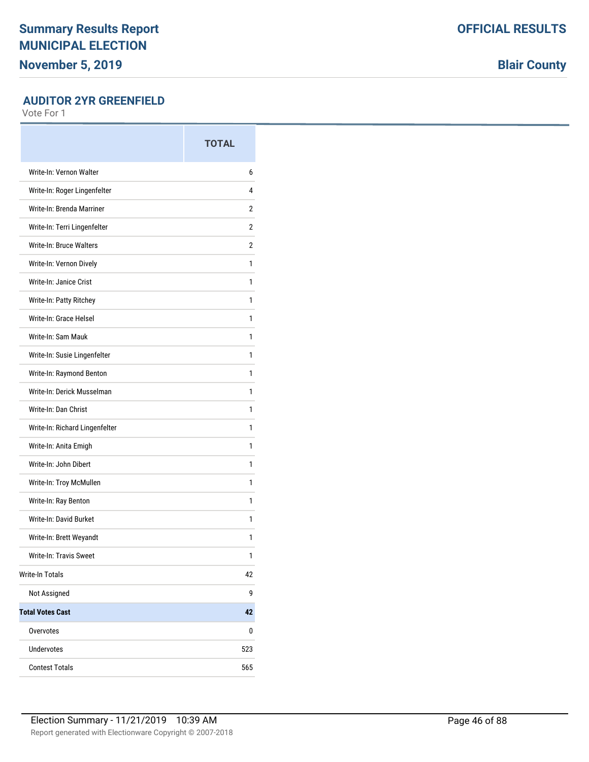#### **AUDITOR 2YR GREENFIELD**

|                                | <b>TOTAL</b>   |
|--------------------------------|----------------|
| Write-In: Vernon Walter        | 6              |
| Write-In: Roger Lingenfelter   | 4              |
| Write-In: Brenda Marriner      | 2              |
| Write-In: Terri Lingenfelter   | $\overline{2}$ |
| Write-In: Bruce Walters        | $\overline{2}$ |
| Write-In: Vernon Dively        | 1              |
| Write-In: Janice Crist         | 1              |
| Write-In: Patty Ritchey        | 1              |
| Write-In: Grace Helsel         | 1              |
| Write-In: Sam Mauk             | 1              |
| Write-In: Susie Lingenfelter   | 1              |
| Write-In: Raymond Benton       | 1              |
| Write-In: Derick Musselman     | 1              |
| Write-In: Dan Christ           | 1              |
| Write-In: Richard Lingenfelter | 1              |
| Write-In: Anita Emigh          | 1              |
| Write-In: John Dibert          | 1              |
| Write-In: Troy McMullen        | 1              |
| Write-In: Ray Benton           | 1              |
| Write-In: David Burket         | 1              |
| Write-In: Brett Weyandt        | 1              |
| <b>Write-In: Travis Sweet</b>  | 1              |
| Write-In Totals                | 42             |
| Not Assigned                   | 9              |
| <b>Total Votes Cast</b>        | 42             |
| Overvotes                      | 0              |
| <b>Undervotes</b>              | 523            |
| <b>Contest Totals</b>          | 565            |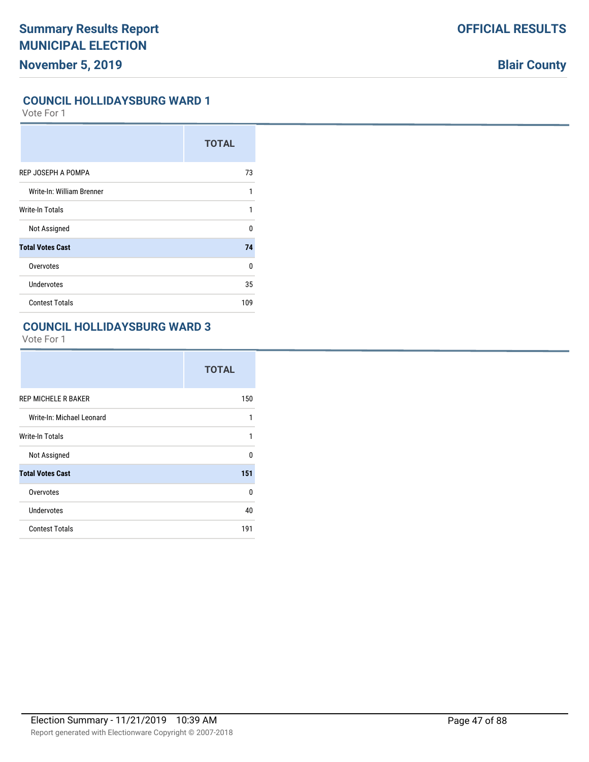#### **COUNCIL HOLLIDAYSBURG WARD 1**

Vote For 1

|                           | <b>TOTAL</b> |
|---------------------------|--------------|
| REP JOSEPH A POMPA        | 73           |
| Write-In: William Brenner | 1            |
| Write-In Totals           | 1            |
| Not Assigned              | U            |
| <b>Total Votes Cast</b>   | 74           |
| Overvotes                 | 0            |
| <b>Undervotes</b>         | 35           |
| <b>Contest Totals</b>     | 109          |

#### **COUNCIL HOLLIDAYSBURG WARD 3**

|                            | <b>TOTAL</b> |
|----------------------------|--------------|
| <b>REP MICHELE R BAKER</b> | 150          |
| Write-In: Michael Leonard  | 1            |
| Write-In Totals            | 1            |
| Not Assigned               | <sup>0</sup> |
| <b>Total Votes Cast</b>    | 151          |
| Overvotes                  | $\Omega$     |
| Undervotes                 | 40           |
| <b>Contest Totals</b>      | 191          |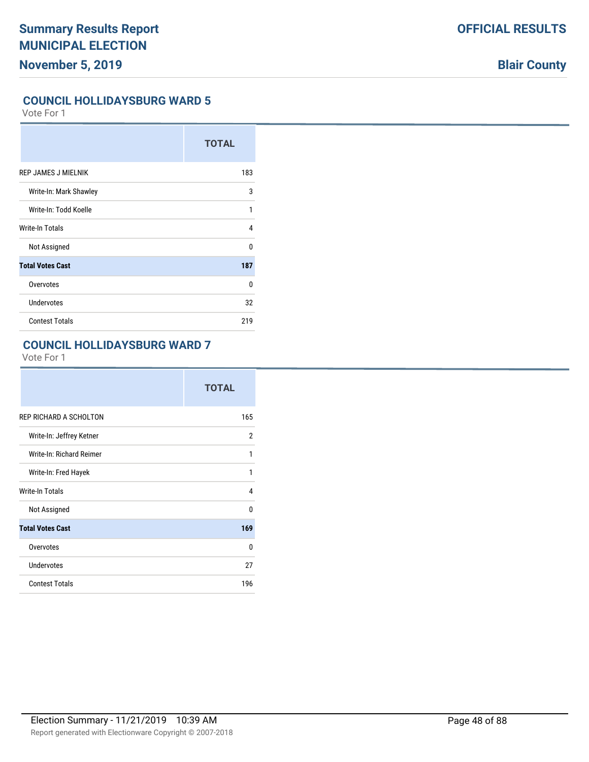## **COUNCIL HOLLIDAYSBURG WARD 5**

Vote For 1

|                            | <b>TOTAL</b> |
|----------------------------|--------------|
| <b>REP JAMES J MIELNIK</b> | 183          |
| Write-In: Mark Shawley     | 3            |
| Write-In: Todd Koelle      | 1            |
| <b>Write-In Totals</b>     | 4            |
| Not Assigned               | 0            |
| <b>Total Votes Cast</b>    | 187          |
| Overvotes                  | U            |
| Undervotes                 | 32           |
| <b>Contest Totals</b>      | 219          |

## **COUNCIL HOLLIDAYSBURG WARD 7**

|                          | <b>TOTAL</b>   |
|--------------------------|----------------|
| REP RICHARD A SCHOLTON   | 165            |
| Write-In: Jeffrey Ketner | $\overline{2}$ |
| Write-In: Richard Reimer | 1              |
| Write-In: Fred Hayek     | 1              |
| <b>Write-In Totals</b>   | 4              |
| Not Assigned             | $\Omega$       |
| <b>Total Votes Cast</b>  | 169            |
| Overvotes                | $\Omega$       |
| <b>Undervotes</b>        | 27             |
| <b>Contest Totals</b>    | 196            |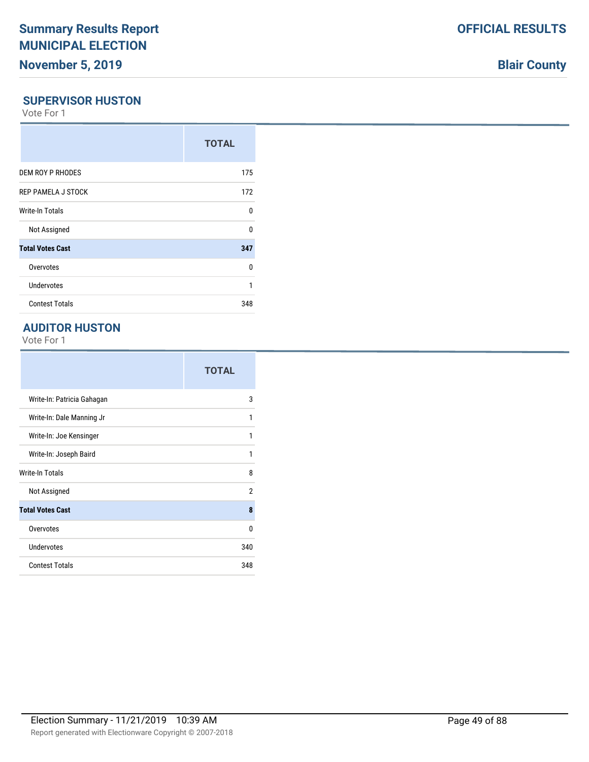## **Blair County**

#### **SUPERVISOR HUSTON**

Vote For 1

|                           | <b>TOTAL</b> |
|---------------------------|--------------|
| <b>DEM ROY P RHODES</b>   | 175          |
| <b>REP PAMELA J STOCK</b> | 172          |
| Write-In Totals           | U            |
| Not Assigned              | U            |
| <b>Total Votes Cast</b>   | 347          |
| Overvotes                 | 0            |
| <b>Undervotes</b>         | 1            |
| <b>Contest Totals</b>     | 348          |

### **AUDITOR HUSTON**

|                            | <b>TOTAL</b> |
|----------------------------|--------------|
| Write-In: Patricia Gahagan | 3            |
| Write-In: Dale Manning Jr  | 1            |
| Write-In: Joe Kensinger    | 1            |
| Write-In: Joseph Baird     | 1            |
| <b>Write-In Totals</b>     | 8            |
| Not Assigned               | 2            |
| <b>Total Votes Cast</b>    | 8            |
| Overvotes                  | U            |
| Undervotes                 | 340          |
| <b>Contest Totals</b>      | 348          |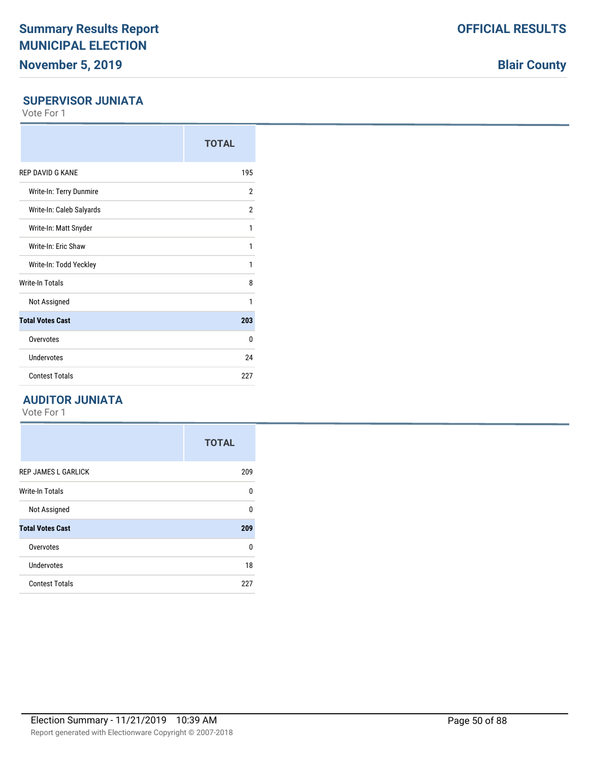**Blair County**

## **SUPERVISOR JUNIATA**

Vote For 1

|                          | <b>TOTAL</b> |
|--------------------------|--------------|
| <b>REP DAVID G KANE</b>  | 195          |
| Write-In: Terry Dunmire  | 2            |
| Write-In: Caleb Salyards | 2            |
| Write-In: Matt Snyder    | 1            |
| Write-In: Fric Shaw      | 1            |
| Write-In: Todd Yeckley   | 1            |
| <b>Write-In Totals</b>   | 8            |
| Not Assigned             | 1            |
| <b>Total Votes Cast</b>  | 203          |
| Overvotes                | 0            |
| <b>Undervotes</b>        | 24           |
| <b>Contest Totals</b>    | 227          |

## **AUDITOR JUNIATA**

|                            | <b>TOTAL</b> |
|----------------------------|--------------|
| <b>REP JAMES L GARLICK</b> | 209          |
| Write-In Totals            | 0            |
| Not Assigned               | 0            |
| <b>Total Votes Cast</b>    | 209          |
| Overvotes                  | 0            |
| <b>Undervotes</b>          | 18           |
| <b>Contest Totals</b>      | 227          |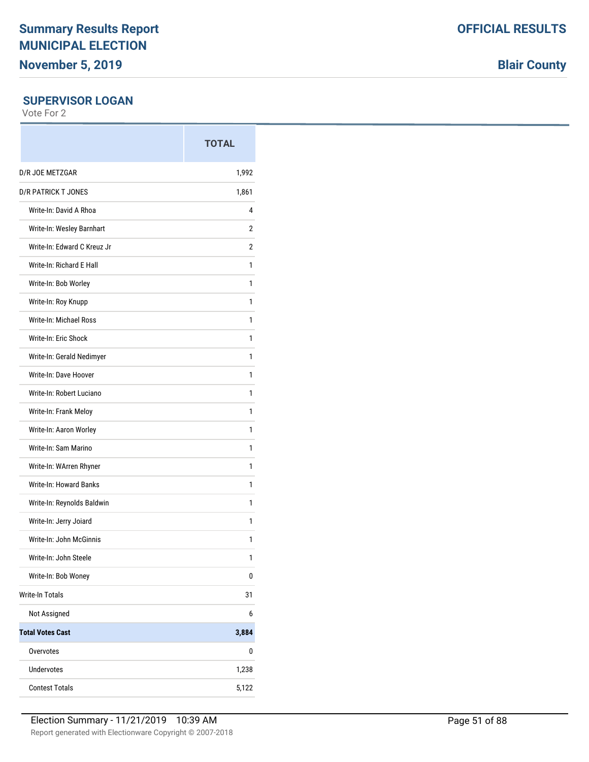**Blair County**

## **SUPERVISOR LOGAN**

|                               | <b>TOTAL</b> |
|-------------------------------|--------------|
| D/R JOE METZGAR               | 1,992        |
| <b>D/R PATRICK T JONES</b>    | 1,861        |
| Write-In: David A Rhoa        | 4            |
| Write-In: Wesley Barnhart     | 2            |
| Write-In: Edward C Kreuz Jr   | 2            |
| Write-In: Richard E Hall      | 1            |
| Write-In: Bob Worley          | 1            |
| Write-In: Roy Knupp           | 1            |
| Write-In: Michael Ross        | 1            |
| Write-In: Eric Shock          | 1            |
| Write-In: Gerald Nedimyer     | 1            |
| Write-In: Dave Hoover         | 1            |
| Write-In: Robert Luciano      | 1            |
| Write-In: Frank Meloy         | 1            |
| Write-In: Aaron Worley        | 1            |
| Write-In: Sam Marino          | 1            |
| Write-In: WArren Rhyner       | 1            |
| <b>Write-In: Howard Banks</b> | 1            |
| Write-In: Reynolds Baldwin    | 1            |
| Write-In: Jerry Joiard        | 1            |
| Write-In: John McGinnis       | 1            |
| Write-In: John Steele         | 1            |
| Write-In: Bob Woney           | 0            |
| <b>Write-In Totals</b>        | 31           |
| Not Assigned                  | 6            |
| <b>Total Votes Cast</b>       | 3,884        |
| Overvotes                     | 0            |
| Undervotes                    | 1,238        |
| <b>Contest Totals</b>         | 5,122        |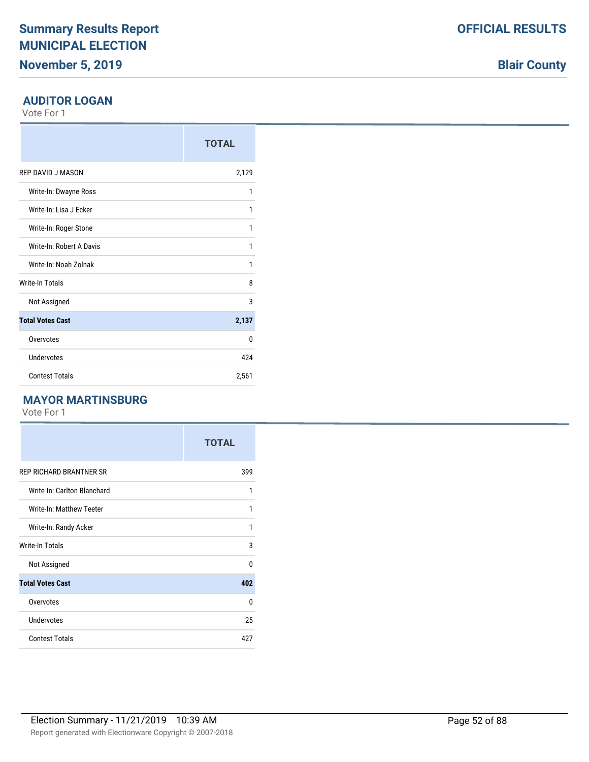**Blair County**

#### **AUDITOR LOGAN**

Vote For 1

|                          | <b>TOTAL</b> |
|--------------------------|--------------|
| REP DAVID J MASON        | 2,129        |
| Write-In: Dwayne Ross    | 1            |
| Write-In: Lisa J Ecker   | 1            |
| Write-In: Roger Stone    | 1            |
| Write-In: Robert A Davis | 1            |
| Write-In: Noah Zolnak    | 1            |
| <b>Write-In Totals</b>   | 8            |
| Not Assigned             | 3            |
| <b>Total Votes Cast</b>  | 2,137        |
| Overvotes                | $\Omega$     |
| Undervotes               | 424          |
| <b>Contest Totals</b>    | 2,561        |

### **MAYOR MARTINSBURG**

|                                | <b>TOTAL</b> |
|--------------------------------|--------------|
| <b>REP RICHARD BRANTNER SR</b> | 399          |
| Write-In: Carlton Blanchard    | 1            |
| Write-In: Matthew Teeter       | 1            |
| Write-In: Randy Acker          | 1            |
| Write-In Totals                | 3            |
| Not Assigned                   | 0            |
| <b>Total Votes Cast</b>        | 402          |
| Overvotes                      | 0            |
| Undervotes                     | 25           |
| <b>Contest Totals</b>          | 427          |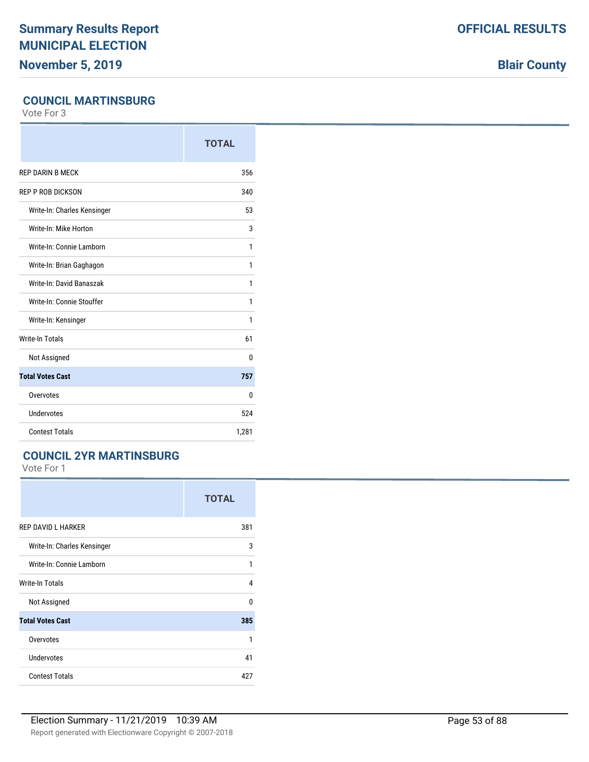**Blair County**

## **COUNCIL MARTINSBURG**

Vote For 3

|                             | <b>TOTAL</b> |
|-----------------------------|--------------|
| <b>REP DARIN B MECK</b>     | 356          |
| <b>REP P ROB DICKSON</b>    | 340          |
| Write-In: Charles Kensinger | 53           |
| Write-In: Mike Horton       | 3            |
| Write-In: Connie Lamborn    | 1            |
| Write-In: Brian Gaghagon    | 1            |
| Write-In: David Banaszak    | 1            |
| Write-In: Connie Stouffer   | 1            |
| Write-In: Kensinger         | 1            |
| <b>Write-In Totals</b>      | 61           |
| Not Assigned                | 0            |
| <b>Total Votes Cast</b>     | 757          |
| Overvotes                   | 0            |
| Undervotes                  | 524          |
| <b>Contest Totals</b>       | 1,281        |

### **COUNCIL 2YR MARTINSBURG**

|                             | <b>TOTAL</b> |
|-----------------------------|--------------|
| <b>REP DAVID L HARKER</b>   | 381          |
| Write-In: Charles Kensinger | 3            |
| Write-In: Connie Lamborn    | 1            |
| <b>Write-In Totals</b>      | 4            |
| Not Assigned                | $\Omega$     |
| <b>Total Votes Cast</b>     | 385          |
| Overvotes                   | 1            |
| Undervotes                  | 41           |
| <b>Contest Totals</b>       | 427          |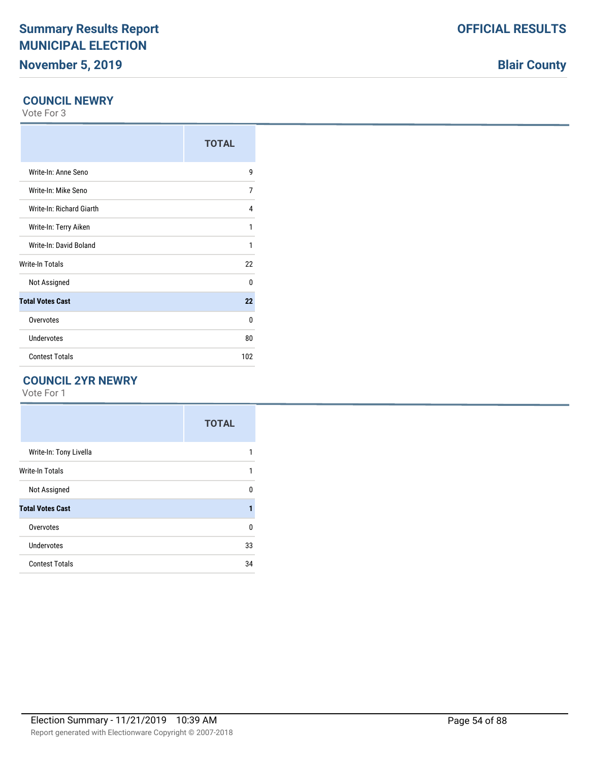**Blair County**

#### **COUNCIL NEWRY**

Vote For 3

|                          | <b>TOTAL</b> |
|--------------------------|--------------|
| Write-In: Anne Seno      | 9            |
| Write-In: Mike Seno      | 7            |
| Write-In: Richard Giarth | 4            |
| Write-In: Terry Aiken    | 1            |
| Write-In: David Boland   | 1            |
| Write-In Totals          | 22           |
| Not Assigned             | $\Omega$     |
| <b>Total Votes Cast</b>  | 22           |
| Overvotes                | 0            |
| <b>Undervotes</b>        | 80           |
| <b>Contest Totals</b>    | 102          |

## **COUNCIL 2YR NEWRY**

|                         | <b>TOTAL</b> |
|-------------------------|--------------|
| Write-In: Tony Livella  | 1            |
| <b>Write-In Totals</b>  | 1            |
| Not Assigned            | 0            |
| <b>Total Votes Cast</b> | 1            |
| Overvotes               | $\Omega$     |
| Undervotes              | 33           |
| <b>Contest Totals</b>   | 34           |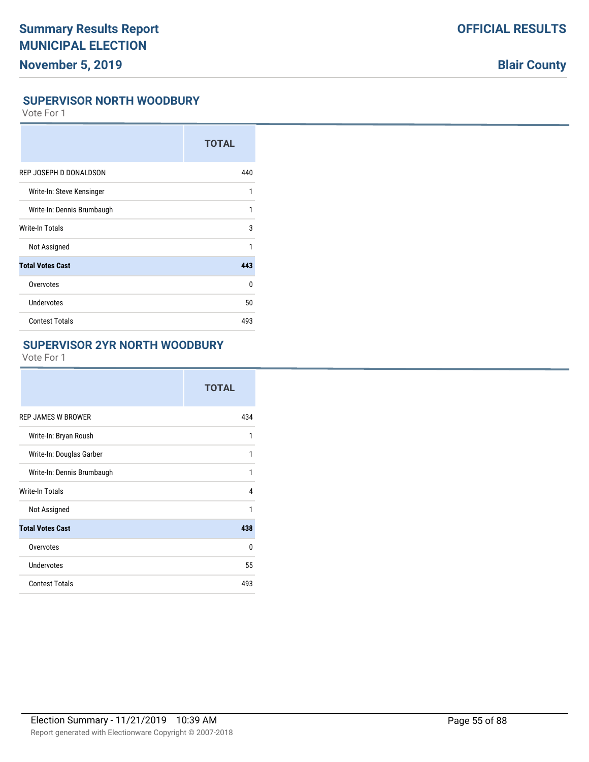#### **SUPERVISOR NORTH WOODBURY**

Vote For 1

|                            | <b>TOTAL</b> |
|----------------------------|--------------|
| REP JOSEPH D DONALDSON     | 440          |
| Write-In: Steve Kensinger  | 1            |
| Write-In: Dennis Brumbaugh | 1            |
| <b>Write-In Totals</b>     | 3            |
| Not Assigned               | 1            |
| <b>Total Votes Cast</b>    | 443          |
| Overvotes                  | U            |
| Undervotes                 | 50           |
| <b>Contest Totals</b>      | 493          |

### **SUPERVISOR 2YR NORTH WOODBURY**

|                            | <b>TOTAL</b> |
|----------------------------|--------------|
| <b>REP JAMES W BROWER</b>  | 434          |
| Write-In: Bryan Roush      | 1            |
| Write-In: Douglas Garber   | 1            |
| Write-In: Dennis Brumbaugh | 1            |
| Write-In Totals            | 4            |
| Not Assigned               | 1            |
| <b>Total Votes Cast</b>    | 438          |
| Overvotes                  | $\Omega$     |
| <b>Undervotes</b>          | 55           |
| <b>Contest Totals</b>      | 493          |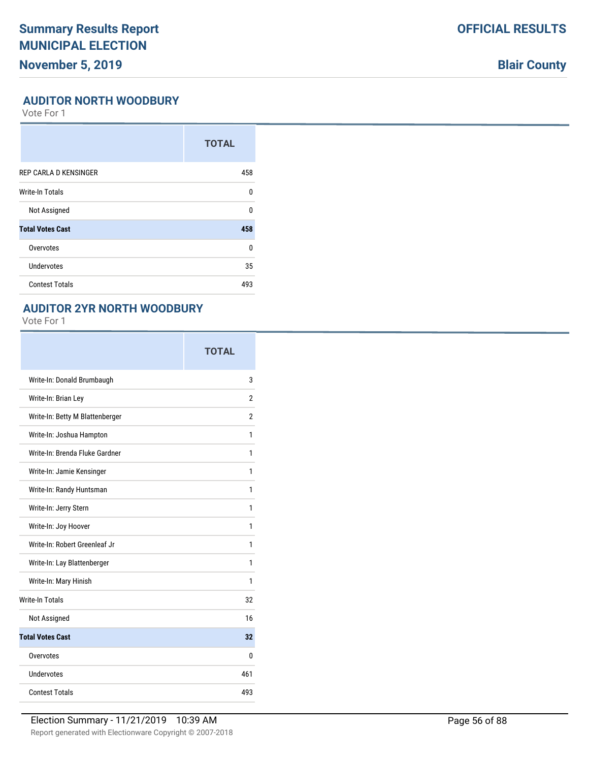#### **AUDITOR NORTH WOODBURY**

Vote For 1

|                              | <b>TOTAL</b> |
|------------------------------|--------------|
| <b>REP CARLA D KENSINGER</b> | 458          |
| Write-In Totals              | U            |
| Not Assigned                 | n            |
| <b>Total Votes Cast</b>      | 458          |
| Overvotes                    | <sup>0</sup> |
| Undervotes                   | 35           |
| <b>Contest Totals</b>        | 493          |

## **AUDITOR 2YR NORTH WOODBURY**

|                                 | <b>TOTAL</b>   |
|---------------------------------|----------------|
| Write-In: Donald Brumbaugh      | 3              |
| Write-In: Brian Ley             | $\overline{2}$ |
| Write-In: Betty M Blattenberger | $\overline{2}$ |
| Write-In: Joshua Hampton        | 1              |
| Write-In: Brenda Fluke Gardner  | 1              |
| Write-In: Jamie Kensinger       | 1              |
| Write-In: Randy Huntsman        | 1              |
| Write-In: Jerry Stern           | 1              |
| Write-In: Joy Hoover            | 1              |
| Write-In: Robert Greenleaf Jr   | 1              |
| Write-In: Lay Blattenberger     | 1              |
| Write-In: Mary Hinish           | 1              |
| <b>Write-In Totals</b>          | 32             |
| Not Assigned                    | 16             |
| <b>Total Votes Cast</b>         | 32             |
| Overvotes                       | 0              |
| <b>Undervotes</b>               | 461            |
| <b>Contest Totals</b>           | 493            |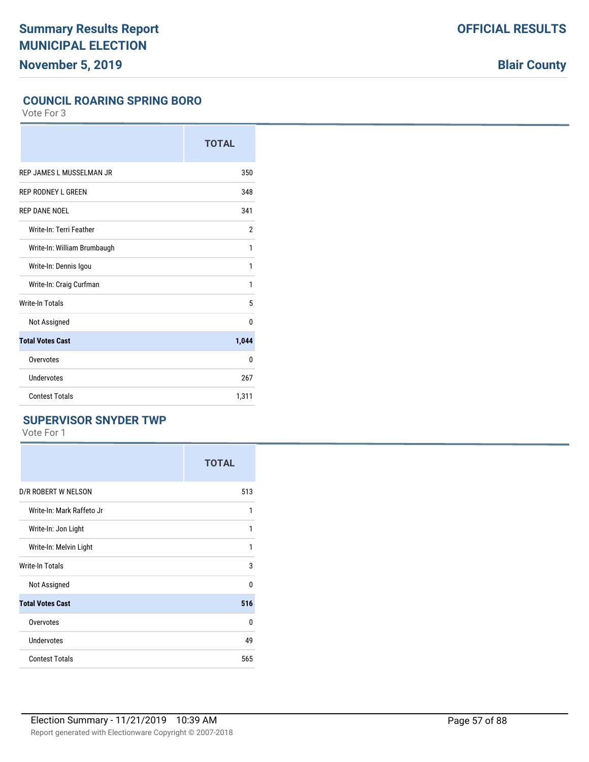#### **COUNCIL ROARING SPRING BORO**

Vote For 3

|                             | <b>TOTAL</b>   |
|-----------------------------|----------------|
| REP JAMES L MUSSELMAN JR    | 350            |
| <b>REP RODNEY L GREEN</b>   | 348            |
| <b>REP DANE NOEL</b>        | 341            |
| Write-In: Terri Feather     | $\overline{2}$ |
| Write-In: William Brumbaugh | 1              |
| Write-In: Dennis Igou       | 1              |
| Write-In: Craig Curfman     | 1              |
| <b>Write-In Totals</b>      | 5              |
| Not Assigned                | 0              |
| <b>Total Votes Cast</b>     | 1,044          |
| Overvotes                   | 0              |
| Undervotes                  | 267            |
| <b>Contest Totals</b>       | 1,311          |

### **SUPERVISOR SNYDER TWP**

|                           | <b>TOTAL</b> |
|---------------------------|--------------|
| D/R ROBERT W NELSON       | 513          |
| Write-In: Mark Raffeto Jr | 1            |
| Write-In: Jon Light       | 1            |
| Write-In: Melvin Light    | 1            |
| Write-In Totals           | 3            |
| Not Assigned              | 0            |
| <b>Total Votes Cast</b>   | 516          |
| Overvotes                 | 0            |
| <b>Undervotes</b>         | 49           |
| <b>Contest Totals</b>     | 565          |
|                           |              |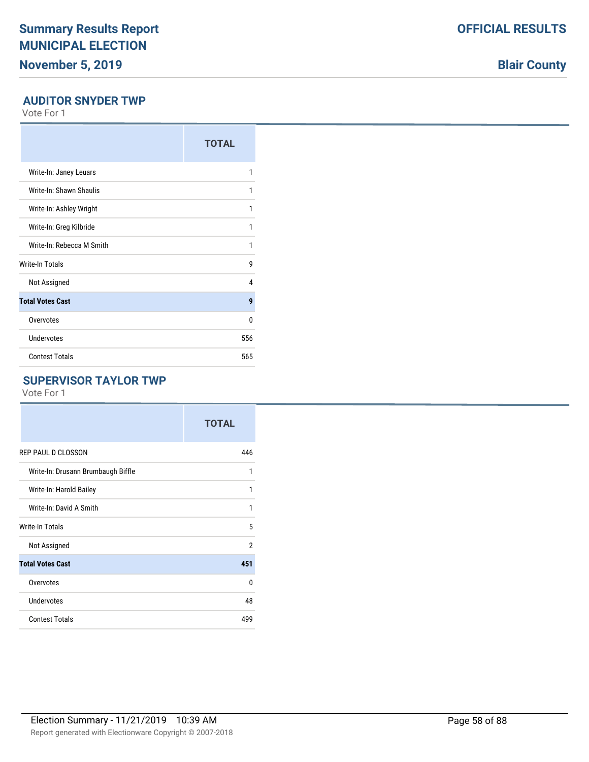**Blair County**

## **AUDITOR SNYDER TWP**

Vote For 1

|                           | <b>TOTAL</b> |
|---------------------------|--------------|
| Write-In: Janey Leuars    | 1            |
| Write-In: Shawn Shaulis   | 1            |
| Write-In: Ashley Wright   | 1            |
| Write-In: Greg Kilbride   | 1            |
| Write-In: Rebecca M Smith | 1            |
| <b>Write-In Totals</b>    | 9            |
| Not Assigned              | 4            |
| <b>Total Votes Cast</b>   | 9            |
| Overvotes                 | $\Omega$     |
| Undervotes                | 556          |
| <b>Contest Totals</b>     | 565          |

## **SUPERVISOR TAYLOR TWP**

|                                    | <b>TOTAL</b>   |
|------------------------------------|----------------|
| REP PAUL D CLOSSON                 | 446            |
| Write-In: Drusann Brumbaugh Biffle | 1              |
| Write-In: Harold Bailey            | 1              |
| Write-In: David A Smith            | 1              |
| Write-In Totals                    | 5              |
| Not Assigned                       | $\overline{2}$ |
| <b>Total Votes Cast</b>            | 451            |
| Overvotes                          | $\Omega$       |
| Undervotes                         | 48             |
| <b>Contest Totals</b>              | 499            |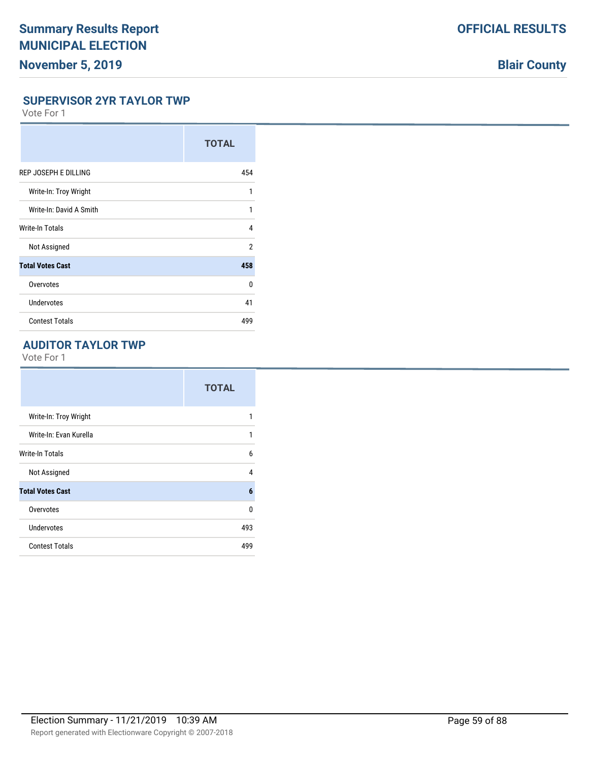#### **SUPERVISOR 2YR TAYLOR TWP**

Vote For 1

|                         | <b>TOTAL</b>   |
|-------------------------|----------------|
| REP JOSEPH E DILLING    | 454            |
| Write-In: Troy Wright   | 1              |
| Write-In: David A Smith | 1              |
| <b>Write-In Totals</b>  | 4              |
| Not Assigned            | $\overline{2}$ |
| <b>Total Votes Cast</b> | 458            |
| Overvotes               | U              |
| Undervotes              | 41             |
| <b>Contest Totals</b>   | 499            |

## **AUDITOR TAYLOR TWP**

|                         | <b>TOTAL</b> |
|-------------------------|--------------|
| Write-In: Troy Wright   | 1            |
| Write-In: Evan Kurella  | 1            |
| Write-In Totals         | 6            |
| Not Assigned            | 4            |
| <b>Total Votes Cast</b> | 6            |
| Overvotes               | 0            |
| <b>Undervotes</b>       | 493          |
| <b>Contest Totals</b>   | 499          |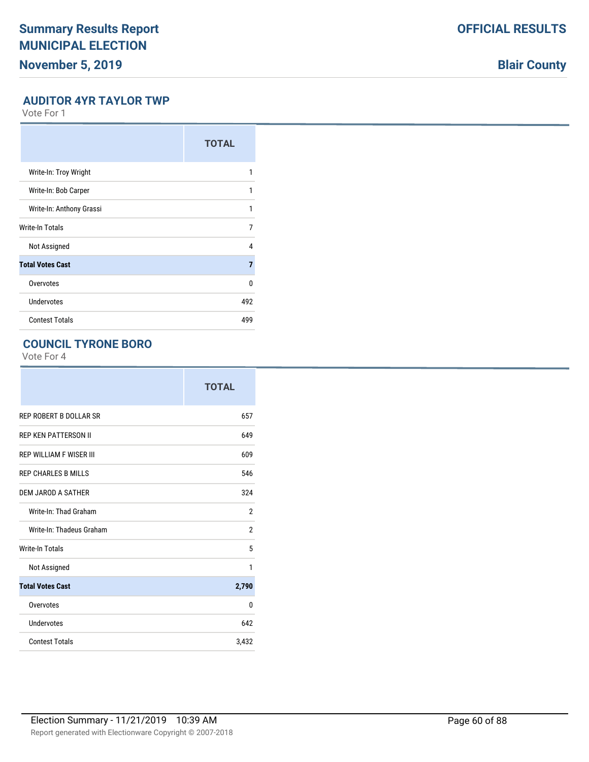## **Blair County**

## **AUDITOR 4YR TAYLOR TWP**

Vote For 1

|                          | <b>TOTAL</b>   |
|--------------------------|----------------|
| Write-In: Troy Wright    | 1              |
| Write-In: Bob Carper     | 1              |
| Write-In: Anthony Grassi | 1              |
| <b>Write-In Totals</b>   | 7              |
| Not Assigned             | 4              |
| <b>Total Votes Cast</b>  | $\overline{7}$ |
| Overvotes                | U              |
| Undervotes               | 492            |
| <b>Contest Totals</b>    | 499            |

## **COUNCIL TYRONE BORO**

|                                | <b>TOTAL</b>   |
|--------------------------------|----------------|
| REP ROBERT B DOLLAR SR         | 657            |
| <b>REP KEN PATTERSON II</b>    | 649            |
| <b>REP WILLIAM F WISER III</b> | 609            |
| <b>REP CHARLES B MILLS</b>     | 546            |
| DEM JAROD A SATHER             | 324            |
| Write-In: Thad Graham          | $\overline{2}$ |
| Write-In: Thadeus Graham       | $\overline{2}$ |
| <b>Write-In Totals</b>         | 5              |
| Not Assigned                   | 1              |
| <b>Total Votes Cast</b>        | 2,790          |
| Overvotes                      | 0              |
| Undervotes                     | 642            |
| <b>Contest Totals</b>          | 3,432          |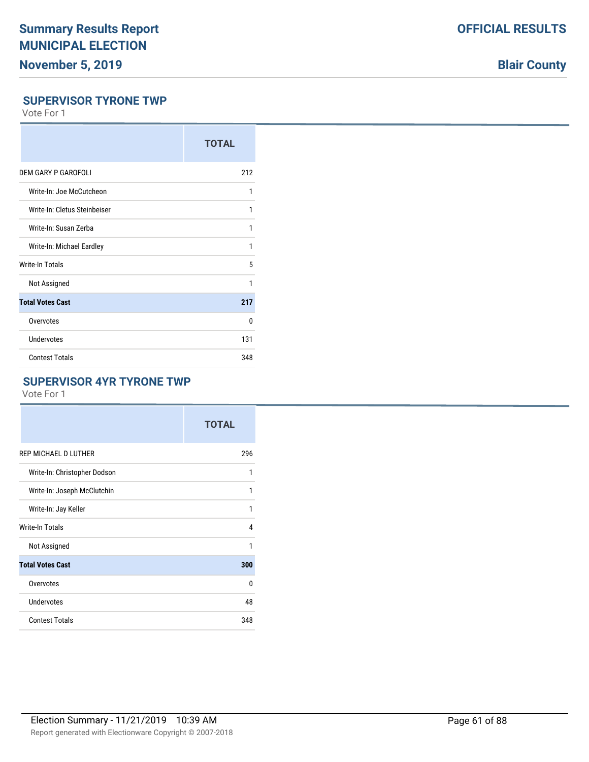**Blair County**

#### **SUPERVISOR TYRONE TWP**

Vote For 1

|                              | <b>TOTAL</b> |
|------------------------------|--------------|
| <b>DEM GARY P GAROFOLI</b>   | 212          |
| Write-In: Joe McCutcheon     | 1            |
| Write-In: Cletus Steinbeiser | 1            |
| Write-In: Susan Zerba        | 1            |
| Write-In: Michael Eardley    | 1            |
| <b>Write-In Totals</b>       | 5            |
| Not Assigned                 | 1            |
| <b>Total Votes Cast</b>      | 217          |
| Overvotes                    | 0            |
| Undervotes                   | 131          |
| <b>Contest Totals</b>        | 348          |

### **SUPERVISOR 4YR TYRONE TWP**

|                              | <b>TOTAL</b> |
|------------------------------|--------------|
| REP MICHAEL D LUTHER         | 296          |
| Write-In: Christopher Dodson | 1            |
| Write-In: Joseph McClutchin  | 1            |
| Write-In: Jay Keller         | 1            |
| <b>Write-In Totals</b>       | 4            |
| Not Assigned                 | 1            |
| <b>Total Votes Cast</b>      | 300          |
| Overvotes                    | 0            |
| <b>Undervotes</b>            | 48           |
| <b>Contest Totals</b>        | 348          |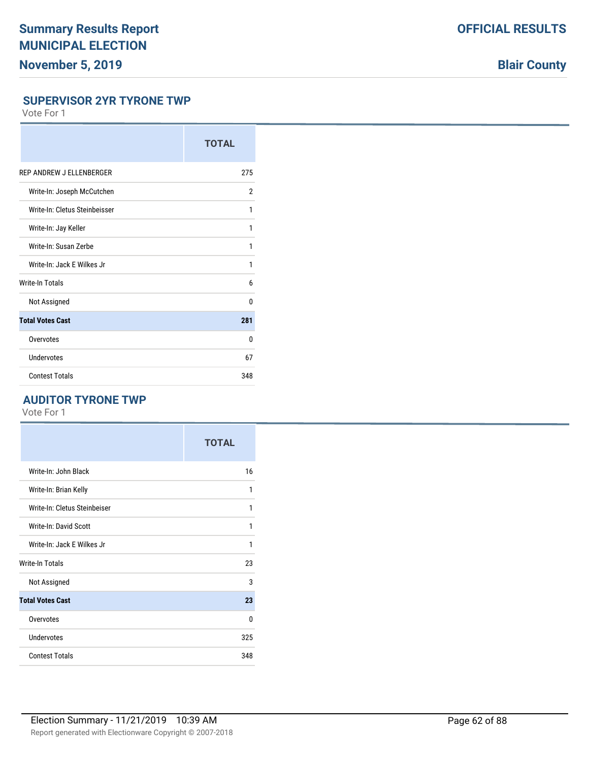#### **SUPERVISOR 2YR TYRONE TWP**

Vote For 1

|                               | <b>TOTAL</b>   |
|-------------------------------|----------------|
| REP ANDREW J ELLENBERGER      | 275            |
| Write-In: Joseph McCutchen    | $\overline{2}$ |
| Write-In: Cletus Steinbeisser | 1              |
| Write-In: Jay Keller          | 1              |
| Write-In: Susan Zerbe         | 1              |
| Write-In: Jack E Wilkes Jr    | 1              |
| <b>Write-In Totals</b>        | 6              |
| Not Assigned                  | $\Omega$       |
| <b>Total Votes Cast</b>       | 281            |
| Overvotes                     | 0              |
| Undervotes                    | 67             |
| <b>Contest Totals</b>         | 348            |

### **AUDITOR TYRONE TWP**

|                              | <b>TOTAL</b> |
|------------------------------|--------------|
| Write-In: John Black         | 16           |
| Write-In: Brian Kelly        | 1            |
| Write-In: Cletus Steinbeiser | 1            |
| Write-In: David Scott        | 1            |
| Write-In: Jack E Wilkes Jr   | 1            |
| <b>Write-In Totals</b>       | 23           |
| Not Assigned                 | 3            |
| <b>Total Votes Cast</b>      | 23           |
| Overvotes                    | 0            |
| <b>Undervotes</b>            | 325          |
| <b>Contest Totals</b>        | 348          |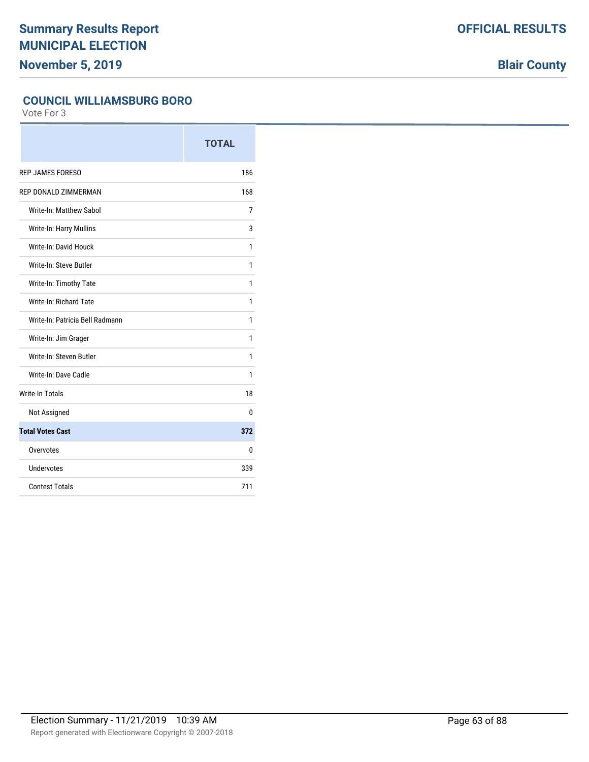**Blair County**

#### **COUNCIL WILLIAMSBURG BORO**

|                                 | <b>TOTAL</b> |
|---------------------------------|--------------|
| <b>REP JAMES FORESO</b>         | 186          |
| REP DONALD ZIMMERMAN            | 168          |
| Write-In: Matthew Sabol         | 7            |
| Write-In: Harry Mullins         | 3            |
| Write-In: David Houck           | 1            |
| Write-In: Steve Butler          | 1            |
| Write-In: Timothy Tate          | 1            |
| Write-In: Richard Tate          | 1            |
| Write-In: Patricia Bell Radmann | 1            |
| Write-In: Jim Grager            | 1            |
| Write-In: Steven Butler         | 1            |
| Write-In: Dave Cadle            | 1            |
| <b>Write-In Totals</b>          | 18           |
| Not Assigned                    | 0            |
| <b>Total Votes Cast</b>         | 372          |
| Overvotes                       | 0            |
| Undervotes                      | 339          |
| <b>Contest Totals</b>           | 711          |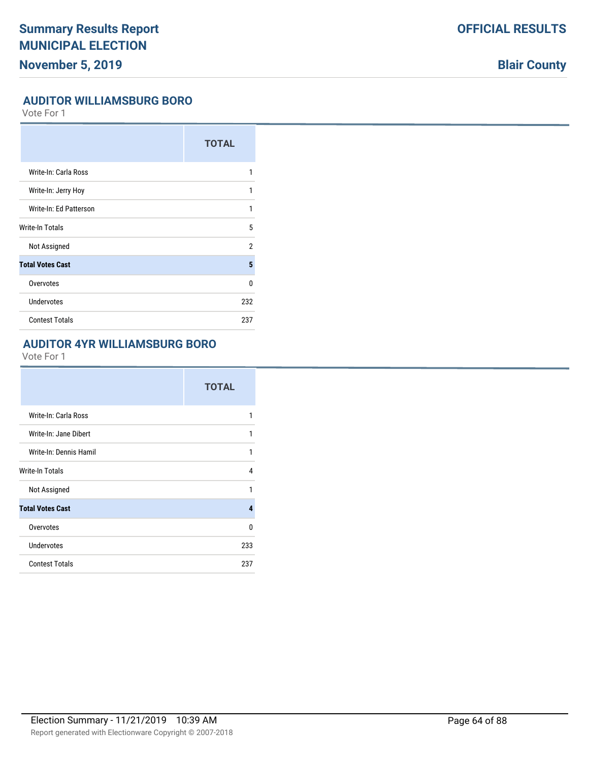## **AUDITOR WILLIAMSBURG BORO**

Vote For 1

|                         | <b>TOTAL</b> |
|-------------------------|--------------|
| Write-In: Carla Ross    | 1            |
| Write-In: Jerry Hoy     | 1            |
| Write-In: Ed Patterson  | 1            |
| Write-In Totals         | 5            |
| Not Assigned            | 2            |
| <b>Total Votes Cast</b> | 5            |
| Overvotes               | U            |
| <b>Undervotes</b>       | 232          |
| <b>Contest Totals</b>   | 237          |

## **AUDITOR 4YR WILLIAMSBURG BORO**

|                         | <b>TOTAL</b> |
|-------------------------|--------------|
| Write-In: Carla Ross    | 1            |
| Write-In: Jane Dibert   | 1            |
| Write-In: Dennis Hamil  | 1            |
| Write-In Totals         | 4            |
| Not Assigned            | 1            |
| <b>Total Votes Cast</b> | 4            |
| Overvotes               | U            |
| Undervotes              | 233          |
| <b>Contest Totals</b>   | 237          |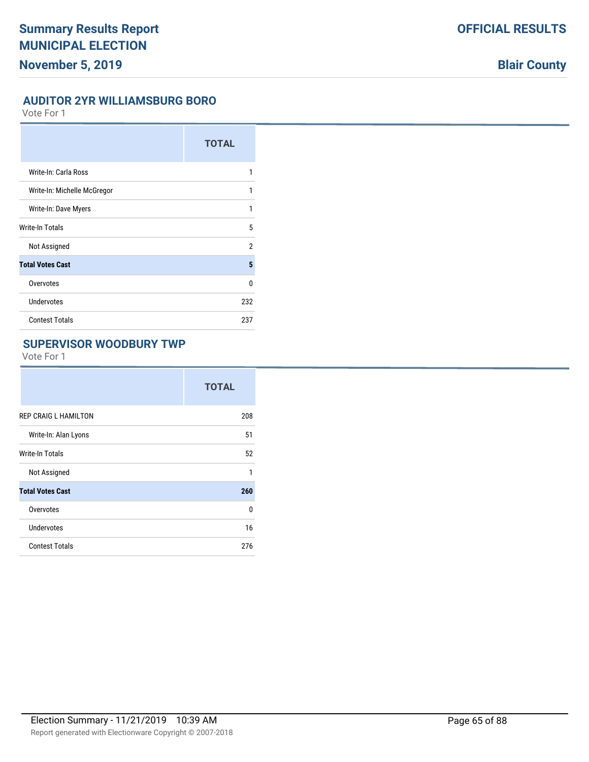#### **AUDITOR 2YR WILLIAMSBURG BORO**

Vote For 1

|                             | <b>TOTAL</b> |
|-----------------------------|--------------|
| Write-In: Carla Ross        | 1            |
| Write-In: Michelle McGregor | 1            |
| Write-In: Dave Myers        | 1            |
| Write-In Totals             | 5            |
| Not Assigned                | 2            |
| <b>Total Votes Cast</b>     | 5            |
| Overvotes                   | <sup>0</sup> |
| Undervotes                  | 232          |
| <b>Contest Totals</b>       | 237          |

### **SUPERVISOR WOODBURY TWP**

|                             | <b>TOTAL</b> |
|-----------------------------|--------------|
| <b>REP CRAIG L HAMILTON</b> | 208          |
| Write-In: Alan Lyons        | 51           |
| Write-In Totals             | 52           |
| Not Assigned                | 1            |
| <b>Total Votes Cast</b>     | 260          |
| Overvotes                   | $\Omega$     |
| Undervotes                  | 16           |
| <b>Contest Totals</b>       | 276          |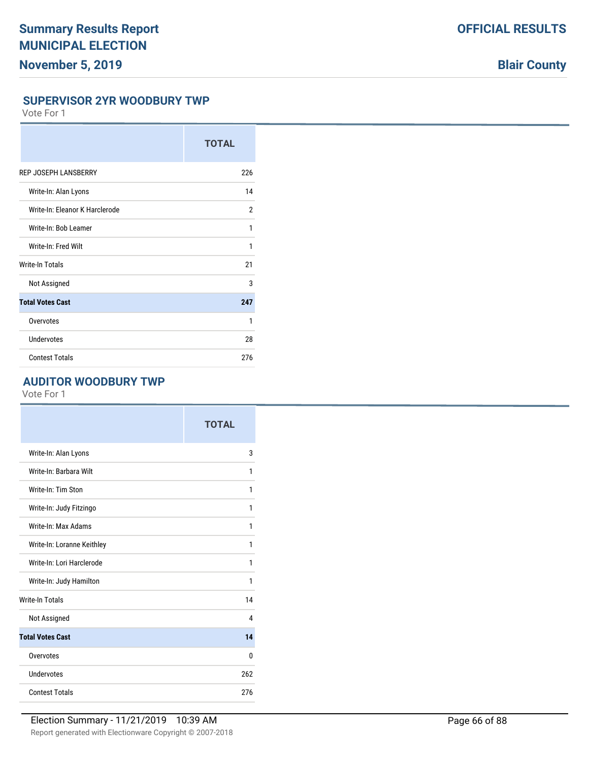## **SUPERVISOR 2YR WOODBURY TWP**

Vote For 1

|                                | <b>TOTAL</b> |
|--------------------------------|--------------|
| <b>REP JOSEPH LANSBERRY</b>    | 226          |
| Write-In: Alan Lyons           | 14           |
| Write-In: Eleanor K Harclerode | 2            |
| Write-In: Bob Leamer           | 1            |
| Write-In: Fred Wilt            | 1            |
| <b>Write-In Totals</b>         | 21           |
| Not Assigned                   | 3            |
| <b>Total Votes Cast</b>        | 247          |
| Overvotes                      | 1            |
| <b>Undervotes</b>              | 28           |
| <b>Contest Totals</b>          | 276          |

## **AUDITOR WOODBURY TWP**

|                            | <b>TOTAL</b> |
|----------------------------|--------------|
| Write-In: Alan Lyons       | 3            |
| Write-In: Barbara Wilt     | 1            |
| Write-In: Tim Ston         | 1            |
| Write-In: Judy Fitzingo    | 1            |
| Write-In: Max Adams        | 1            |
| Write-In: Loranne Keithley | 1            |
| Write-In: Lori Harclerode  | 1            |
| Write-In: Judy Hamilton    | 1            |
| <b>Write-In Totals</b>     | 14           |
| Not Assigned               | 4            |
| <b>Total Votes Cast</b>    | 14           |
| Overvotes                  | 0            |
| Undervotes                 | 262          |
| <b>Contest Totals</b>      | 276          |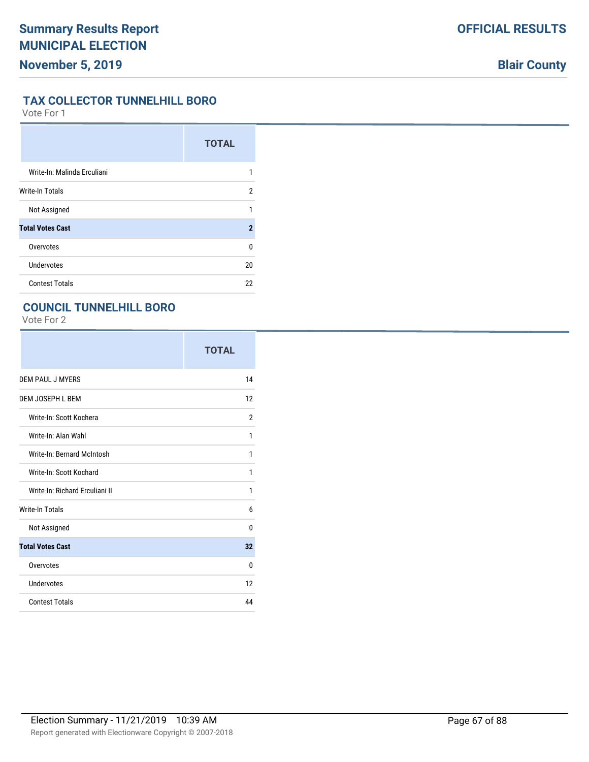#### **TAX COLLECTOR TUNNELHILL BORO**

Vote For 1

|                             | <b>TOTAL</b>   |
|-----------------------------|----------------|
| Write-In: Malinda Erculiani |                |
| <b>Write-In Totals</b>      | 2              |
| Not Assigned                | 1              |
| <b>Total Votes Cast</b>     | $\overline{2}$ |
| Overvotes                   | n              |
| <b>Undervotes</b>           | 20             |
| <b>Contest Totals</b>       | 22             |

### **COUNCIL TUNNELHILL BORO**

|                                | <b>TOTAL</b>   |
|--------------------------------|----------------|
| <b>DEM PAUL J MYERS</b>        | 14             |
| DEM JOSEPH L BEM               | 12             |
| Write-In: Scott Kochera        | $\overline{2}$ |
| Write-In: Alan Wahl            | 1              |
| Write-In: Bernard McIntosh     | 1              |
| Write-In: Scott Kochard        | 1              |
| Write-In: Richard Erculiani II | 1              |
| Write-In Totals                | 6              |
| Not Assigned                   | $\Omega$       |
| <b>Total Votes Cast</b>        | 32             |
| Overvotes                      | 0              |
| Undervotes                     | 12             |
| <b>Contest Totals</b>          | 44             |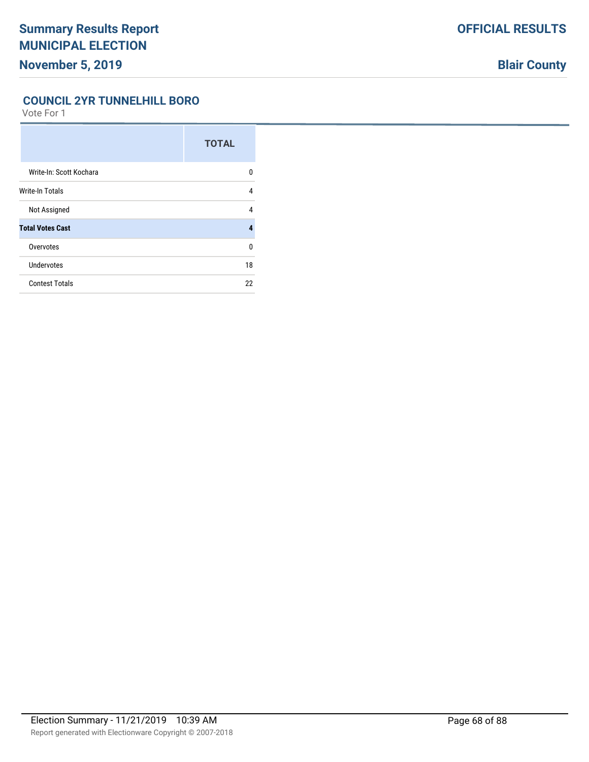#### **COUNCIL 2YR TUNNELHILL BORO**

|                         | <b>TOTAL</b> |
|-------------------------|--------------|
| Write-In: Scott Kochara | 0            |
| Write-In Totals         | 4            |
| Not Assigned            | 4            |
| <b>Total Votes Cast</b> | 4            |
| Overvotes               | 0            |
| Undervotes              | 18           |
| <b>Contest Totals</b>   | 22           |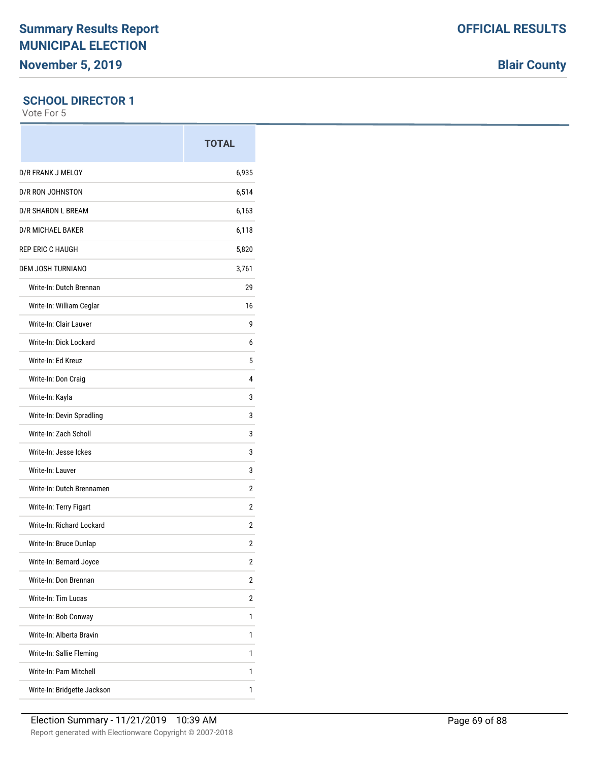**Blair County**

### **SCHOOL DIRECTOR 1**

|                             | <b>TOTAL</b> |
|-----------------------------|--------------|
| D/R FRANK J MELOY           | 6,935        |
| <b>D/R RON JOHNSTON</b>     | 6,514        |
| <b>D/R SHARON L BREAM</b>   | 6,163        |
| D/R MICHAEL BAKER           | 6,118        |
| <b>REP ERIC C HAUGH</b>     | 5,820        |
| <b>DEM JOSH TURNIANO</b>    | 3,761        |
| Write-In: Dutch Brennan     | 29           |
| Write-In: William Ceglar    | 16           |
| Write-In: Clair Lauver      | 9            |
| Write-In: Dick Lockard      | 6            |
| Write-In: Ed Kreuz          | 5            |
| Write-In: Don Craig         | 4            |
| Write-In: Kayla             | 3            |
| Write-In: Devin Spradling   | 3            |
| Write-In: Zach Scholl       | 3            |
| Write-In: Jesse Ickes       | 3            |
| Write-In: Lauver            | 3            |
| Write-In: Dutch Brennamen   | 2            |
| Write-In: Terry Figart      | 2            |
| Write-In: Richard Lockard   | 2            |
| Write-In: Bruce Dunlap      | 2            |
| Write-In: Bernard Joyce     | 2            |
| Write-In: Don Brennan       | 2            |
| Write-In: Tim Lucas         | 2            |
| Write-In: Bob Conway        | 1            |
| Write-In: Alberta Bravin    | 1            |
| Write-In: Sallie Fleming    | 1            |
| Write-In: Pam Mitchell      | 1            |
| Write-In: Bridgette Jackson | 1            |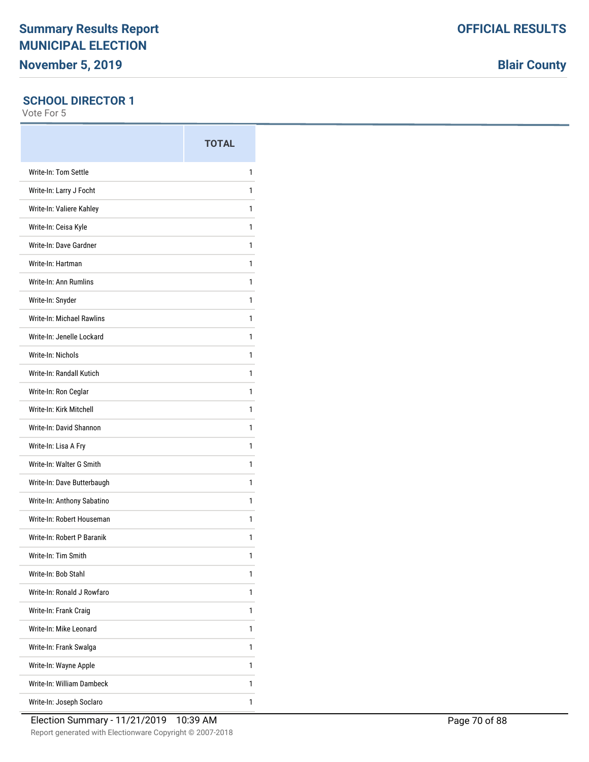**Blair County**

#### **SCHOOL DIRECTOR 1**

|                            | <b>TOTAL</b> |
|----------------------------|--------------|
| Write-In: Tom Settle       | 1            |
| Write-In: Larry J Focht    | 1            |
| Write-In: Valiere Kahley   | 1            |
| Write-In: Ceisa Kyle       | 1            |
| Write-In: Dave Gardner     | 1            |
| Write-In: Hartman          | 1            |
| Write-In: Ann Rumlins      | 1            |
| Write-In: Snyder           | 1            |
| Write-In: Michael Rawlins  | 1            |
| Write-In: Jenelle Lockard  | 1            |
| Write-In: Nichols          | 1            |
| Write-In: Randall Kutich   | 1            |
| Write-In: Ron Ceglar       | 1            |
| Write-In: Kirk Mitchell    | 1            |
| Write-In: David Shannon    | 1            |
| Write-In: Lisa A Fry       | 1            |
| Write-In: Walter G Smith   | 1            |
| Write-In: Dave Butterbaugh | 1            |
| Write-In: Anthony Sabatino | 1            |
| Write-In: Robert Houseman  | 1            |
| Write-In: Robert P Baranik | 1            |
| Write-In: Tim Smith        | 1            |
| Write-In: Bob Stahl        | 1            |
| Write-In: Ronald J Rowfaro | 1            |
| Write-In: Frank Craig      | 1            |
| Write-In: Mike Leonard     | 1            |
| Write-In: Frank Swalga     | 1            |
| Write-In: Wayne Apple      | 1            |
| Write-In: William Dambeck  | 1            |
| Write-In: Joseph Soclaro   | 1            |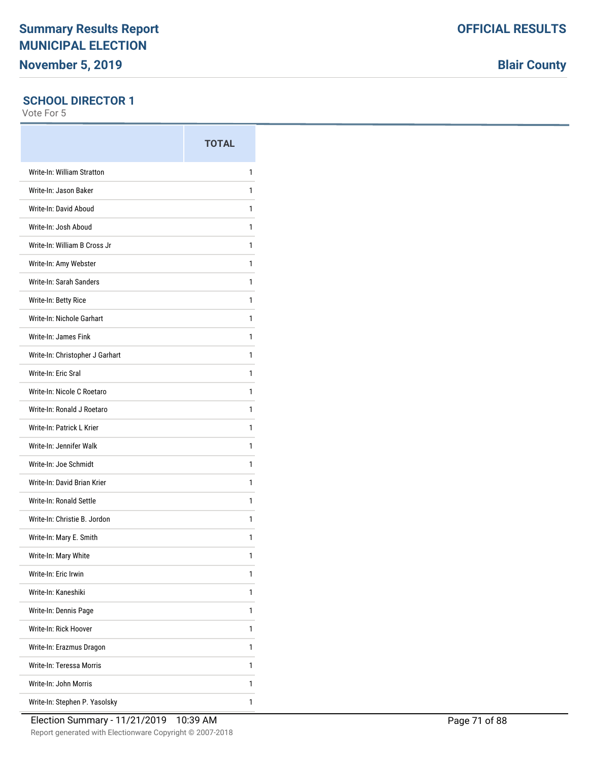**Blair County**

#### **SCHOOL DIRECTOR 1**

|                                 | <b>TOTAL</b> |
|---------------------------------|--------------|
| Write-In: William Stratton      | 1            |
| Write-In: Jason Baker           | 1            |
| Write-In: David Aboud           | 1            |
| Write-In: Josh Aboud            | 1            |
| Write-In: William B Cross Jr    | 1            |
| Write-In: Amy Webster           | 1            |
| Write-In: Sarah Sanders         | 1            |
| Write-In: Betty Rice            | 1            |
| Write-In: Nichole Garhart       | 1            |
| Write-In: James Fink            | 1            |
| Write-In: Christopher J Garhart | 1            |
| Write-In: Fric Sral             | 1            |
| Write-In: Nicole C Roetaro      | 1            |
| Write-In: Ronald J Roetaro      | 1            |
| Write-In: Patrick L Krier       | 1            |
| Write-In: Jennifer Walk         | 1            |
| Write-In: Joe Schmidt           | 1            |
| Write-In: David Brian Krier     | 1            |
| Write-In: Ronald Settle         | 1            |
| Write-In: Christie B. Jordon    | 1            |
| Write-In: Mary E. Smith         | 1            |
| Write-In: Mary White            | 1            |
| Write-In: Eric Irwin            | 1            |
| Write-In: Kaneshiki             | 1            |
| Write-In: Dennis Page           | 1            |
| Write-In: Rick Hoover           | 1            |
| Write-In: Erazmus Dragon        | 1            |
| Write-In: Teressa Morris        | 1            |
| Write-In: John Morris           | 1            |
| Write-In: Stephen P. Yasolsky   | 1            |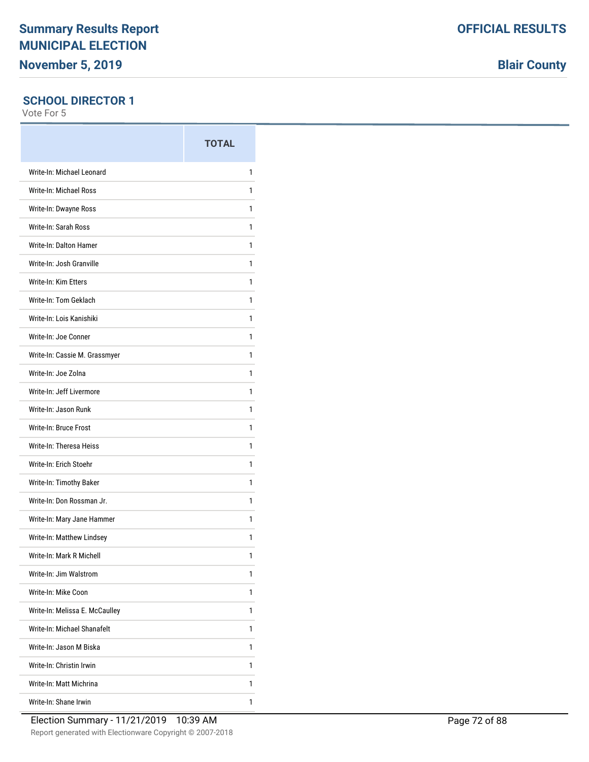**Blair County**

#### **SCHOOL DIRECTOR 1**

|                                | <b>TOTAL</b> |
|--------------------------------|--------------|
| Write-In: Michael Leonard      | 1            |
| Write-In: Michael Ross         | 1            |
| Write-In: Dwayne Ross          | 1            |
| Write-In: Sarah Ross           | 1            |
| Write-In: Dalton Hamer         | 1            |
| Write-In: Josh Granville       | 1            |
| Write-In: Kim Etters           | 1            |
| Write-In: Tom Geklach          | 1            |
| Write-In: Lois Kanishiki       | 1            |
| Write-In: Joe Conner           | 1            |
| Write-In: Cassie M. Grassmyer  | 1            |
| Write-In: Joe Zolna            | 1            |
| Write-In: Jeff Livermore       | 1            |
| Write-In: Jason Runk           | 1            |
| Write-In: Bruce Frost          | 1            |
| Write-In: Theresa Heiss        | 1            |
| Write-In: Erich Stoehr         | 1            |
| Write-In: Timothy Baker        | 1            |
| Write-In: Don Rossman Jr.      | 1            |
| Write-In: Mary Jane Hammer     | 1            |
| Write-In: Matthew Lindsey      | 1            |
| Write-In: Mark R Michell       | 1            |
| Write-In: Jim Walstrom         | 1            |
| Write-In: Mike Coon            | 1            |
| Write-In: Melissa E. McCaulley | 1            |
| Write-In: Michael Shanafelt    | 1            |
| Write-In: Jason M Biska        | 1            |
| Write-In: Christin Irwin       | 1            |
| Write-In: Matt Michrina        | 1            |
| Write-In: Shane Irwin          | 1            |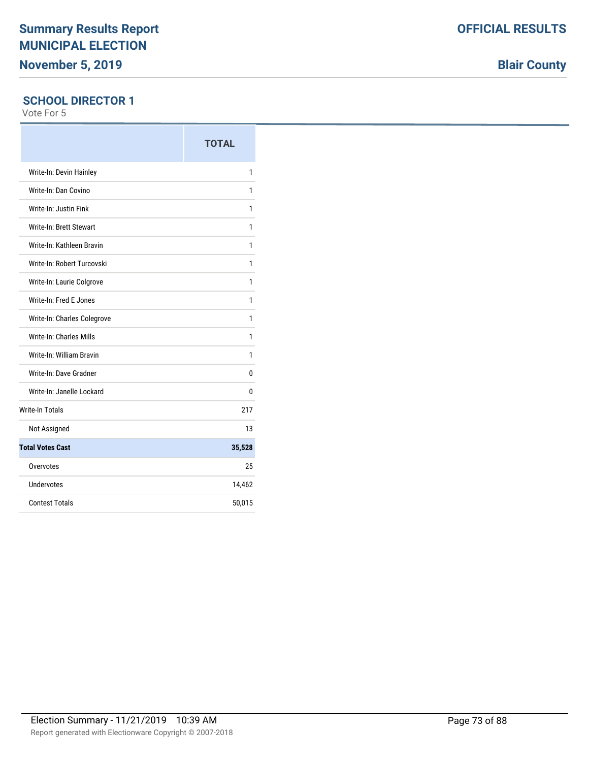**Blair County**

### **SCHOOL DIRECTOR 1**

|                             | <b>TOTAL</b> |
|-----------------------------|--------------|
| Write-In: Devin Hainley     | 1            |
| Write-In: Dan Covino        | 1            |
| Write-In: Justin Fink       | 1            |
| Write-In: Brett Stewart     | 1            |
| Write-In: Kathleen Bravin   | 1            |
| Write-In: Robert Turcovski  | 1            |
| Write-In: Laurie Colgrove   | 1            |
| Write-In: Fred E Jones      | 1            |
| Write-In: Charles Colegrove | 1            |
| Write-In: Charles Mills     | 1            |
| Write-In: William Bravin    | 1            |
| Write-In: Dave Gradner      | 0            |
| Write-In: Janelle Lockard   | 0            |
| <b>Write-In Totals</b>      | 217          |
| Not Assigned                | 13           |
| <b>Total Votes Cast</b>     | 35,528       |
| Overvotes                   | 25           |
| Undervotes                  | 14,462       |
| <b>Contest Totals</b>       | 50,015       |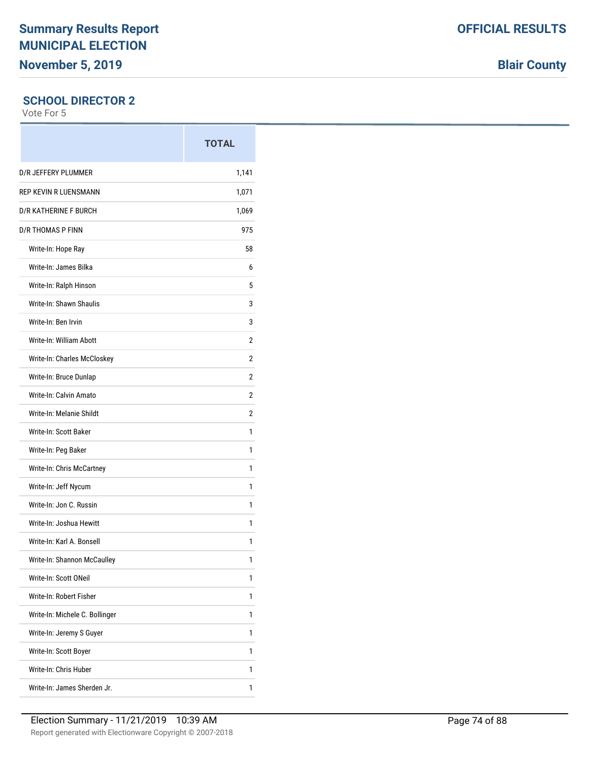**Blair County**

#### **SCHOOL DIRECTOR 2**

|                                | <b>TOTAL</b> |
|--------------------------------|--------------|
| D/R JEFFERY PLUMMER            | 1,141        |
| <b>REP KEVIN R LUENSMANN</b>   | 1,071        |
| <b>D/R KATHERINE F BURCH</b>   | 1,069        |
| <b>D/R THOMAS P FINN</b>       | 975          |
| Write-In: Hope Ray             | 58           |
| Write-In: James Bilka          | 6            |
| Write-In: Ralph Hinson         | 5            |
| Write-In: Shawn Shaulis        | 3            |
| Write-In: Ben Irvin            | 3            |
| Write-In: William Abott        | 2            |
| Write-In: Charles McCloskey    | 2            |
| Write-In: Bruce Dunlap         | 2            |
| Write-In: Calvin Amato         | 2            |
| Write-In: Melanie Shildt       | 2            |
| Write-In: Scott Baker          | 1            |
| Write-In: Peg Baker            | 1            |
| Write-In: Chris McCartney      | 1            |
| Write-In: Jeff Nycum           | 1            |
| Write-In: Jon C. Russin        | 1            |
| Write-In: Joshua Hewitt        | 1            |
| Write-In: Karl A. Bonsell      | 1            |
| Write-In: Shannon McCaulley    | 1            |
| Write-In: Scott ONeil          | 1            |
| Write-In: Robert Fisher        | 1            |
| Write-In: Michele C. Bollinger | 1            |
| Write-In: Jeremy S Guyer       | 1            |
| Write-In: Scott Boyer          | 1            |
| Write-In: Chris Huber          | 1            |
| Write-In: James Sherden Jr.    | 1            |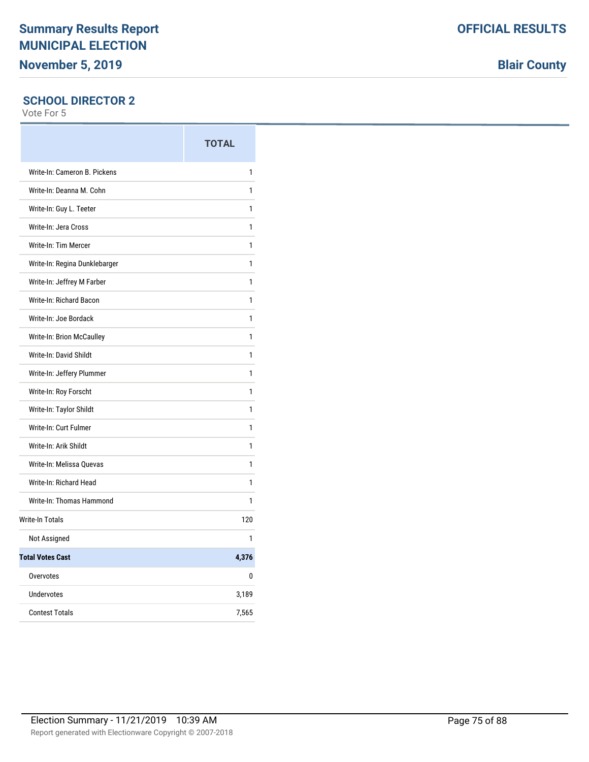**Blair County**

#### **SCHOOL DIRECTOR 2**

|                               | <b>TOTAL</b> |
|-------------------------------|--------------|
| Write-In: Cameron B. Pickens  | 1            |
| Write-In: Deanna M. Cohn      | 1            |
| Write-In: Guy L. Teeter       | 1            |
| Write-In: Jera Cross          | 1            |
| Write-In: Tim Mercer          | 1            |
| Write-In: Regina Dunklebarger | 1            |
| Write-In: Jeffrey M Farber    | 1            |
| Write-In: Richard Bacon       | 1            |
| Write-In: Joe Bordack         | 1            |
| Write-In: Brion McCaulley     | 1            |
| Write-In: David Shildt        | 1            |
| Write-In: Jeffery Plummer     | 1            |
| Write-In: Roy Forscht         | 1            |
| Write-In: Taylor Shildt       | 1            |
| Write-In: Curt Fulmer         | 1            |
| Write-In: Arik Shildt         | 1            |
| Write-In: Melissa Quevas      | 1            |
| Write-In: Richard Head        | 1            |
| Write-In: Thomas Hammond      | 1            |
| <b>Write-In Totals</b>        | 120          |
| Not Assigned                  | 1            |
| <b>Total Votes Cast</b>       | 4,376        |
| Overvotes                     | 0            |
| Undervotes                    | 3,189        |
| <b>Contest Totals</b>         | 7,565        |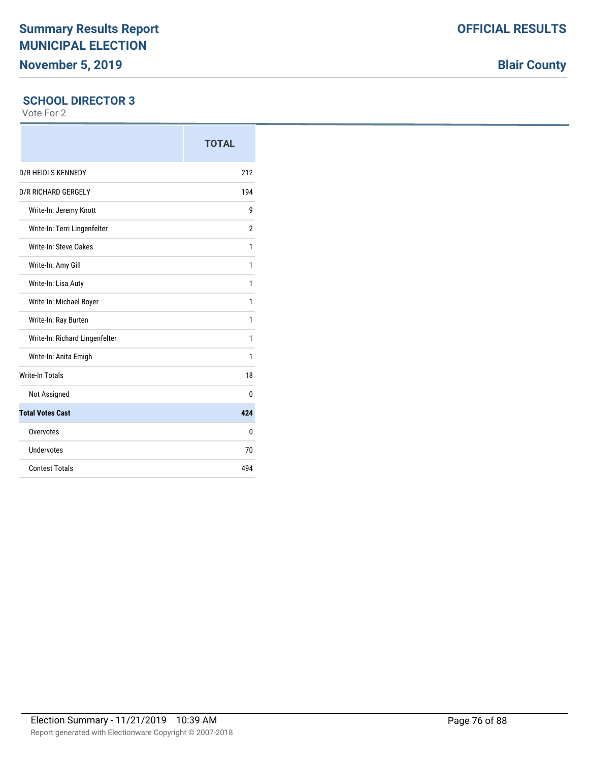**Blair County**

### **SCHOOL DIRECTOR 3**

|                                | <b>TOTAL</b>   |
|--------------------------------|----------------|
| <b>D/R HEIDI S KENNEDY</b>     | 212            |
| <b>D/R RICHARD GERGELY</b>     | 194            |
| Write-In: Jeremy Knott         | 9              |
| Write-In: Terri Lingenfelter   | $\overline{2}$ |
| Write-In: Steve Oakes          | 1              |
| Write-In: Amy Gill             | 1              |
| Write-In: Lisa Auty            | 1              |
| Write-In: Michael Boyer        | 1              |
| Write-In: Ray Burten           | 1              |
| Write-In: Richard Lingenfelter | 1              |
| Write-In: Anita Emigh          | 1              |
| <b>Write-In Totals</b>         | 18             |
| Not Assigned                   | 0              |
| <b>Total Votes Cast</b>        | 424            |
| Overvotes                      | 0              |
| Undervotes                     | 70             |
| <b>Contest Totals</b>          | 494            |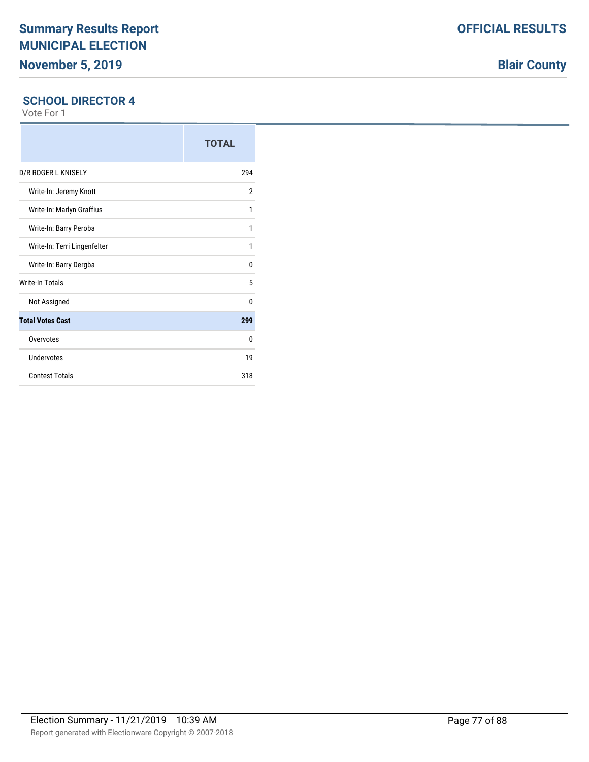**Blair County**

### **SCHOOL DIRECTOR 4**

|                              | <b>TOTAL</b> |
|------------------------------|--------------|
| <b>D/R ROGER L KNISELY</b>   | 294          |
| Write-In: Jeremy Knott       | 2            |
| Write-In: Marlyn Graffius    | 1            |
| Write-In: Barry Peroba       | 1            |
| Write-In: Terri Lingenfelter | 1            |
| Write-In: Barry Dergba       | 0            |
| <b>Write-In Totals</b>       | 5            |
| Not Assigned                 | 0            |
| <b>Total Votes Cast</b>      | 299          |
| Overvotes                    | 0            |
| Undervotes                   | 19           |
| <b>Contest Totals</b>        | 318          |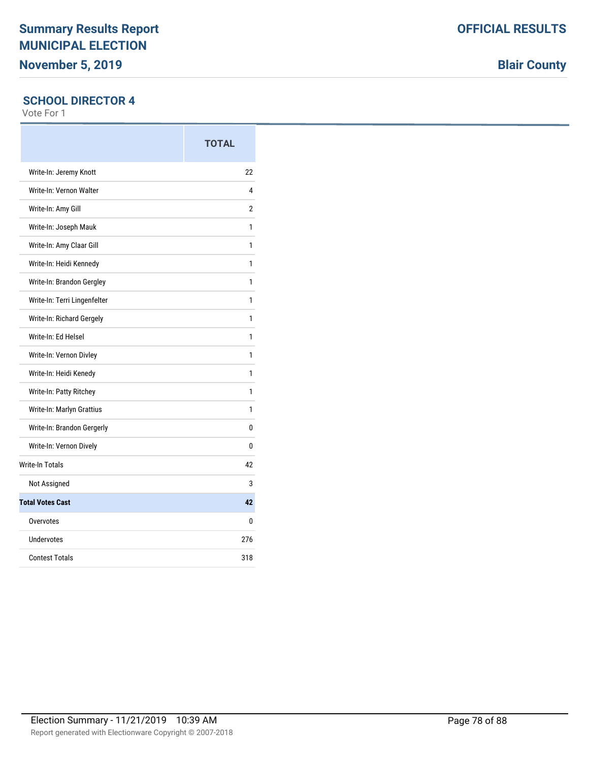# **SCHOOL DIRECTOR 4**

Vote For 1

|                              | <b>TOTAL</b>   |
|------------------------------|----------------|
| Write-In: Jeremy Knott       | 22             |
| Write-In: Vernon Walter      | 4              |
| Write-In: Amy Gill           | $\overline{2}$ |
| Write-In: Joseph Mauk        | 1              |
| Write-In: Amy Claar Gill     | 1              |
| Write-In: Heidi Kennedy      | 1              |
| Write-In: Brandon Gergley    | 1              |
| Write-In: Terri Lingenfelter | 1              |
| Write-In: Richard Gergely    | 1              |
| Write-In: Ed Helsel          | 1              |
| Write-In: Vernon Divley      | 1              |
| Write-In: Heidi Kenedy       | 1              |
| Write-In: Patty Ritchey      | 1              |
| Write-In: Marlyn Grattius    | 1              |
| Write-In: Brandon Gergerly   | 0              |
| Write-In: Vernon Dively      | 0              |
| Write-In Totals              | 42             |
| Not Assigned                 | 3              |
| <b>Total Votes Cast</b>      | 42             |
| Overvotes                    | 0              |
| <b>Undervotes</b>            | 276            |
| <b>Contest Totals</b>        | 318            |

**Blair County**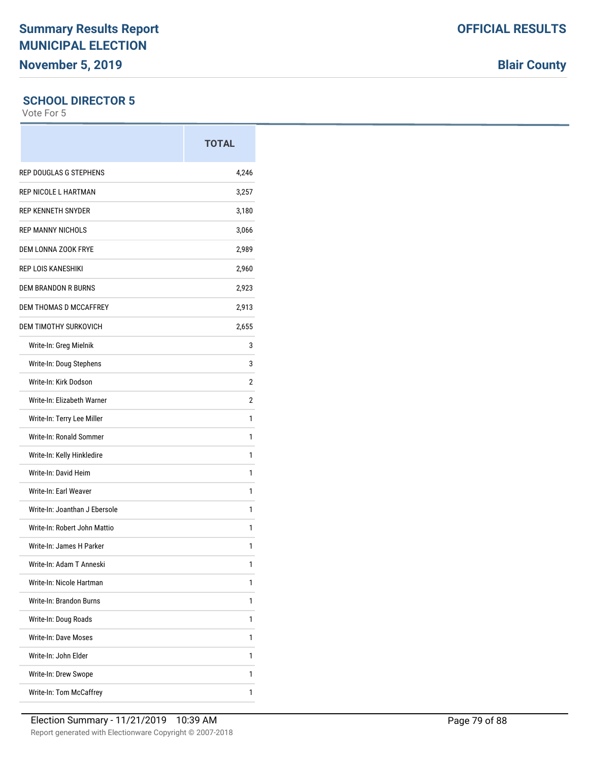**Blair County**

### **SCHOOL DIRECTOR 5**

|                               | <b>TOTAL</b> |
|-------------------------------|--------------|
| <b>REP DOUGLAS G STEPHENS</b> | 4,246        |
| <b>REP NICOLE L HARTMAN</b>   | 3,257        |
| <b>REP KENNETH SNYDER</b>     | 3,180        |
| <b>REP MANNY NICHOLS</b>      | 3,066        |
| <b>DEM LONNA ZOOK FRYE</b>    | 2,989        |
| <b>REP LOIS KANESHIKI</b>     | 2,960        |
| <b>DEM BRANDON R BURNS</b>    | 2,923        |
| DEM THOMAS D MCCAFFREY        | 2,913        |
| DEM TIMOTHY SURKOVICH         | 2,655        |
| Write-In: Greg Mielnik        | 3            |
| Write-In: Doug Stephens       | 3            |
| Write-In: Kirk Dodson         | 2            |
| Write-In: Elizabeth Warner    | 2            |
| Write-In: Terry Lee Miller    | 1            |
| Write-In: Ronald Sommer       | 1            |
| Write-In: Kelly Hinkledire    | 1            |
| Write-In: David Heim          | 1            |
| Write-In: Earl Weaver         | 1            |
| Write-In: Joanthan J Ebersole | 1            |
| Write-In: Robert John Mattio  | 1            |
| Write-In: James H Parker      | 1            |
| Write-In: Adam T Anneski      | 1            |
| Write-In: Nicole Hartman      | 1            |
| Write-In: Brandon Burns       | 1            |
| Write-In: Doug Roads          | 1            |
| <b>Write-In: Dave Moses</b>   | 1            |
| Write-In: John Elder          | 1            |
| Write-In: Drew Swope          | 1            |
| Write-In: Tom McCaffrey       | 1            |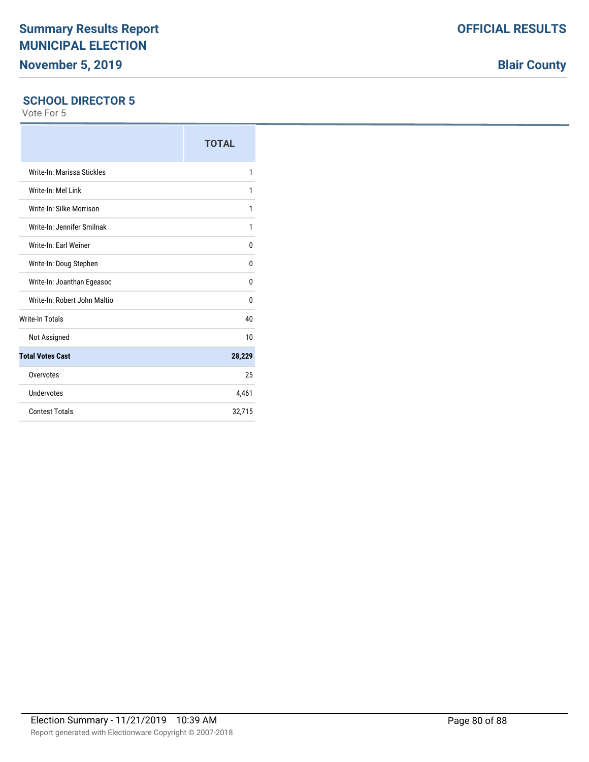**Blair County**

#### **SCHOOL DIRECTOR 5**

|                              | <b>TOTAL</b> |
|------------------------------|--------------|
| Write-In: Marissa Stickles   | 1            |
| Write-In: Mel Link           | 1            |
| Write-In: Silke Morrison     | 1            |
| Write-In: Jennifer Smilnak   | 1            |
| Write-In: Farl Weiner        | 0            |
| Write-In: Doug Stephen       | 0            |
| Write-In: Joanthan Egeasoc   | 0            |
| Write-In: Robert John Maltio | 0            |
| <b>Write-In Totals</b>       | 40           |
| Not Assigned                 | 10           |
| <b>Total Votes Cast</b>      | 28,229       |
| Overvotes                    | 25           |
| Undervotes                   | 4,461        |
| <b>Contest Totals</b>        | 32,715       |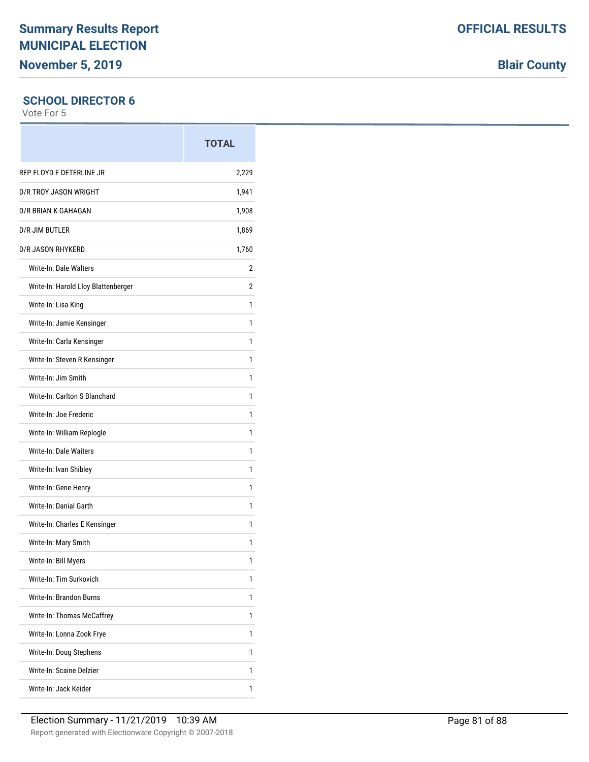**Blair County**

#### **SCHOOL DIRECTOR 6**

|                                     | <b>TOTAL</b> |
|-------------------------------------|--------------|
| REP FLOYD E DETERLINE JR            | 2,229        |
| D/R TROY JASON WRIGHT               | 1,941        |
| D/R BRIAN K GAHAGAN                 | 1,908        |
| <b>D/R JIM BUTLER</b>               | 1,869        |
| <b>D/R JASON RHYKERD</b>            | 1,760        |
| Write-In: Dale Walters              | 2            |
| Write-In: Harold Lloy Blattenberger | 2            |
| Write-In: Lisa King                 | 1            |
| Write-In: Jamie Kensinger           | 1            |
| Write-In: Carla Kensinger           | 1            |
| Write-In: Steven R Kensinger        | 1            |
| Write-In: Jim Smith                 | 1            |
| Write-In: Carlton S Blanchard       | 1            |
| Write-In: Joe Frederic              | 1            |
| Write-In: William Replogle          | 1            |
| Write-In: Dale Waiters              | 1            |
| Write-In: Ivan Shibley              | 1            |
| Write-In: Gene Henry                | 1            |
| Write-In: Danial Garth              | 1            |
| Write-In: Charles E Kensinger       | 1            |
| Write-In: Mary Smith                | 1            |
| Write-In: Bill Myers                | 1            |
| Write-In: Tim Surkovich             | 1            |
| Write-In: Brandon Burns             | 1            |
| Write-In: Thomas McCaffrey          | 1            |
| Write-In: Lonna Zook Frye           | 1            |
| Write-In: Doug Stephens             | 1            |
| Write-In: Scaine Delzier            | 1            |
| Write-In: Jack Keider               | 1            |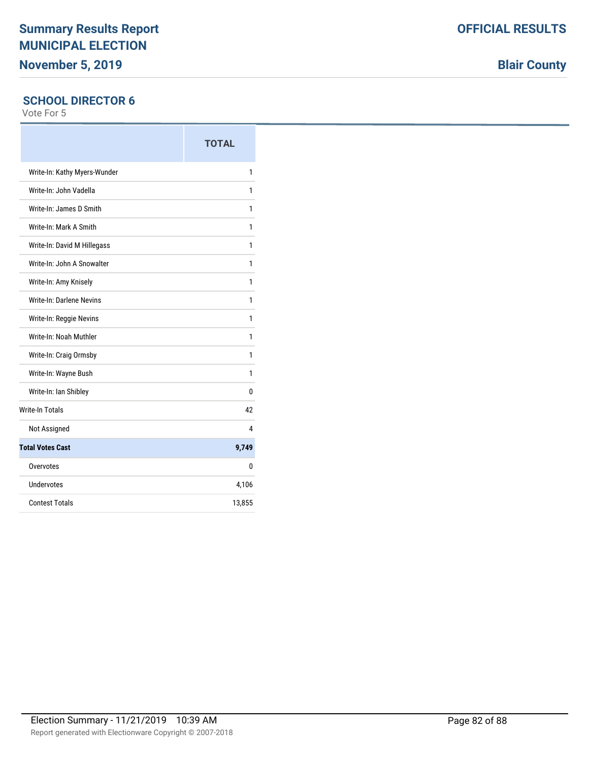**Blair County**

### **SCHOOL DIRECTOR 6**

|                              | <b>TOTAL</b> |
|------------------------------|--------------|
| Write-In: Kathy Myers-Wunder | 1            |
| Write-In: John Vadella       | 1            |
| Write-In: James D Smith      | 1            |
| Write-In: Mark A Smith       | 1            |
| Write-In: David M Hillegass  | 1            |
| Write-In: John A Snowalter   | 1            |
| Write-In: Amy Knisely        | 1            |
| Write-In: Darlene Nevins     | 1            |
| Write-In: Reggie Nevins      | 1            |
| Write-In: Noah Muthler       | 1            |
| Write-In: Craig Ormsby       | 1            |
| Write-In: Wayne Bush         | 1            |
| Write-In: Ian Shibley        | 0            |
| <b>Write-In Totals</b>       | 42           |
| Not Assigned                 | 4            |
| <b>Total Votes Cast</b>      | 9,749        |
| Overvotes                    | 0            |
| Undervotes                   | 4,106        |
| <b>Contest Totals</b>        | 13,855       |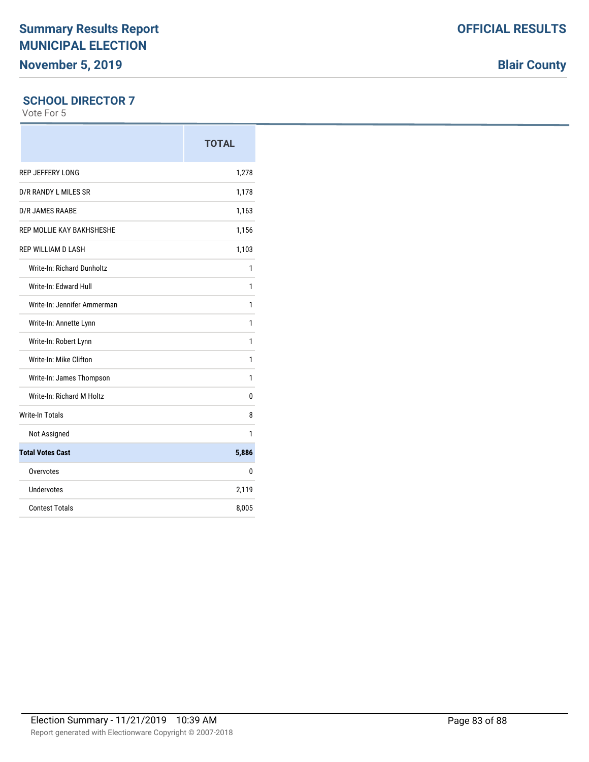**Blair County**

### **SCHOOL DIRECTOR 7**

|                             | <b>TOTAL</b> |
|-----------------------------|--------------|
| <b>REP JEFFERY LONG</b>     | 1,278        |
| <b>D/R RANDY L MILES SR</b> | 1,178        |
| D/R JAMES RAABE             | 1,163        |
| REP MOLLIE KAY BAKHSHESHE   | 1,156        |
| <b>REP WILLIAM D LASH</b>   | 1,103        |
| Write-In: Richard Dunholtz  | 1            |
| Write-In: Edward Hull       | 1            |
| Write-In: Jennifer Ammerman | 1            |
| Write-In: Annette Lynn      | 1            |
| Write-In: Robert Lynn       | 1            |
| Write-In: Mike Clifton      | 1            |
| Write-In: James Thompson    | 1            |
| Write-In: Richard M Holtz   | 0            |
| <b>Write-In Totals</b>      | 8            |
| Not Assigned                | 1            |
| <b>Total Votes Cast</b>     | 5,886        |
| Overvotes                   | 0            |
| Undervotes                  | 2,119        |
| <b>Contest Totals</b>       | 8,005        |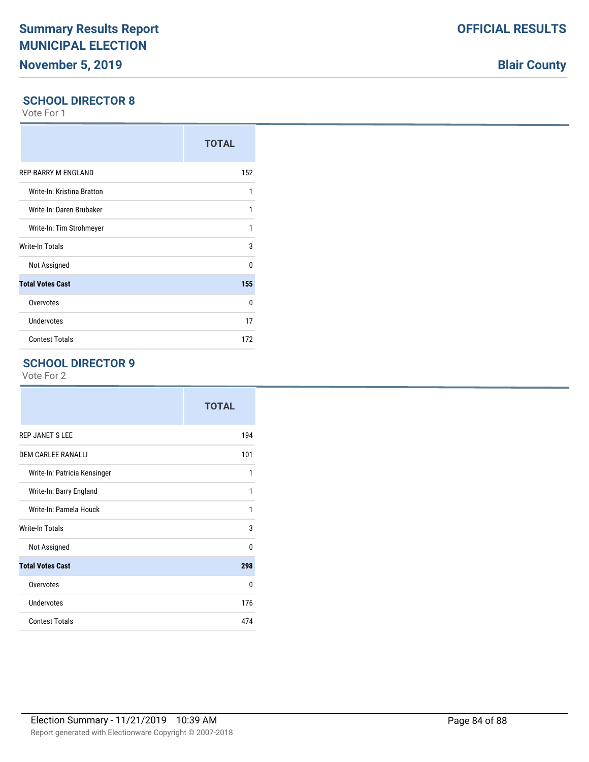## **Blair County**

### **SCHOOL DIRECTOR 8**

Vote For 1

|                            | <b>TOTAL</b> |
|----------------------------|--------------|
| <b>REP BARRY M ENGLAND</b> | 152          |
| Write-In: Kristina Bratton | 1            |
| Write-In: Daren Brubaker   | 1            |
| Write-In: Tim Strohmeyer   | 1            |
| <b>Write-In Totals</b>     | 3            |
| Not Assigned               | $\Omega$     |
| <b>Total Votes Cast</b>    | 155          |
| Overvotes                  | $\Omega$     |
| Undervotes                 | 17           |
| <b>Contest Totals</b>      | 172          |

### **SCHOOL DIRECTOR 9**

|                              | <b>TOTAL</b> |
|------------------------------|--------------|
| <b>REP JANET S LEE</b>       | 194          |
| <b>DEM CARLEE RANALLI</b>    | 101          |
| Write-In: Patricia Kensinger | 1            |
| Write-In: Barry England      | 1            |
| Write-In: Pamela Houck       | 1            |
| <b>Write-In Totals</b>       | 3            |
| Not Assigned                 | $\Omega$     |
| <b>Total Votes Cast</b>      | 298          |
| Overvotes                    | $\Omega$     |
| Undervotes                   | 176          |
| <b>Contest Totals</b>        | 474          |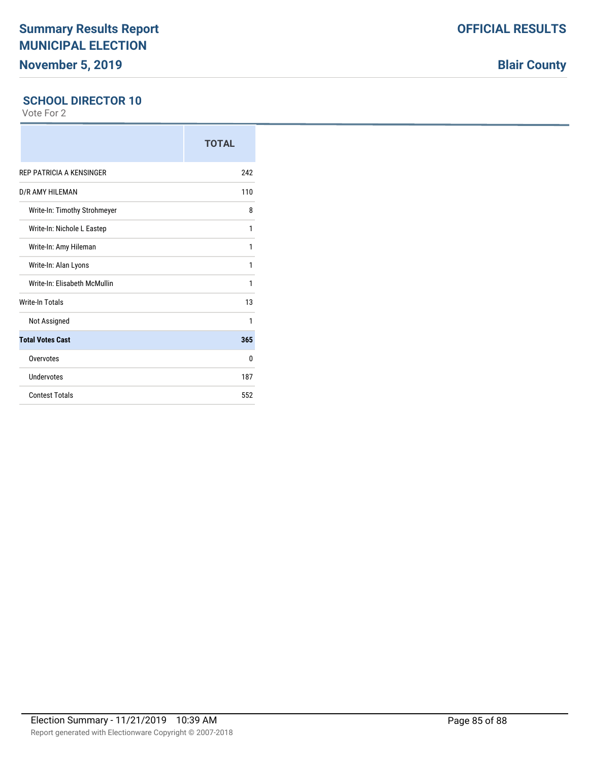**Blair County**

#### **SCHOOL DIRECTOR 10**

|                              | <b>TOTAL</b> |
|------------------------------|--------------|
| REP PATRICIA A KENSINGER     | 242          |
| <b>D/R AMY HILEMAN</b>       | 110          |
| Write-In: Timothy Strohmeyer | 8            |
| Write-In: Nichole L Eastep   | 1            |
| Write-In: Amy Hileman        | 1            |
| Write-In: Alan Lyons         | 1            |
| Write-In: Elisabeth McMullin | 1            |
| <b>Write-In Totals</b>       | 13           |
| Not Assigned                 | 1            |
| <b>Total Votes Cast</b>      | 365          |
| Overvotes                    | 0            |
| Undervotes                   | 187          |
| <b>Contest Totals</b>        | 552          |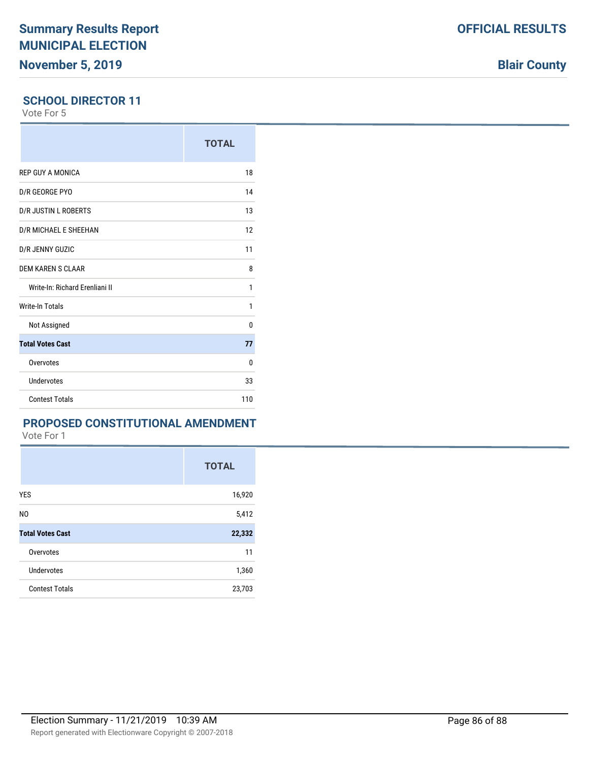**Blair County**

#### **SCHOOL DIRECTOR 11**

Vote For 5

|                                | <b>TOTAL</b> |
|--------------------------------|--------------|
| <b>REP GUY A MONICA</b>        | 18           |
| D/R GEORGE PYO                 | 14           |
| <b>D/R JUSTIN L ROBERTS</b>    | 13           |
| D/R MICHAEL E SHEEHAN          | 12           |
| D/R JENNY GUZIC                | 11           |
| <b>DEM KAREN S CLAAR</b>       | 8            |
| Write-In: Richard Erenliani II | 1            |
| <b>Write-In Totals</b>         | 1            |
| Not Assigned                   | 0            |
| <b>Total Votes Cast</b>        | 77           |
| Overvotes                      | 0            |
| Undervotes                     | 33           |
| <b>Contest Totals</b>          | 110          |

#### **PROPOSED CONSTITUTIONAL AMENDMENT**

|                         | <b>TOTAL</b> |
|-------------------------|--------------|
| <b>YES</b>              | 16,920       |
| N <sub>0</sub>          | 5,412        |
| <b>Total Votes Cast</b> | 22,332       |
| Overvotes               | 11           |
| Undervotes              | 1,360        |
| <b>Contest Totals</b>   | 23,703       |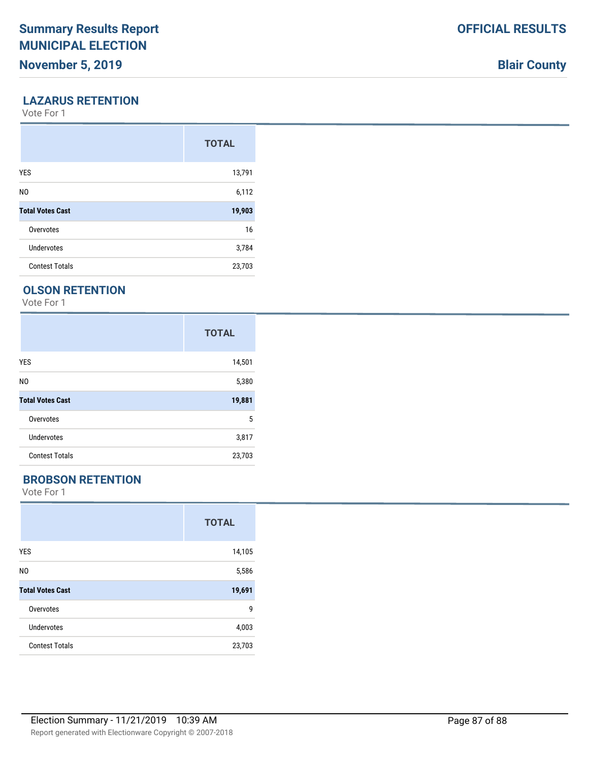## **Blair County**

#### **LAZARUS RETENTION**

Vote For 1

|                         | <b>TOTAL</b> |
|-------------------------|--------------|
| <b>YES</b>              | 13,791       |
| N <sub>0</sub>          | 6,112        |
| <b>Total Votes Cast</b> | 19,903       |
| Overvotes               | 16           |
| <b>Undervotes</b>       | 3,784        |
| <b>Contest Totals</b>   | 23,703       |

### **OLSON RETENTION**

Vote For 1

|                         | <b>TOTAL</b> |
|-------------------------|--------------|
| <b>YES</b>              | 14,501       |
| N <sub>0</sub>          | 5,380        |
| <b>Total Votes Cast</b> | 19,881       |
| Overvotes               | 5            |
| Undervotes              | 3,817        |
| <b>Contest Totals</b>   | 23,703       |

#### **BROBSON RETENTION**

|                         | <b>TOTAL</b> |
|-------------------------|--------------|
| <b>YES</b>              | 14,105       |
| N <sub>0</sub>          | 5,586        |
| <b>Total Votes Cast</b> | 19,691       |
| Overvotes               | 9            |
| Undervotes              | 4,003        |
| <b>Contest Totals</b>   | 23,703       |